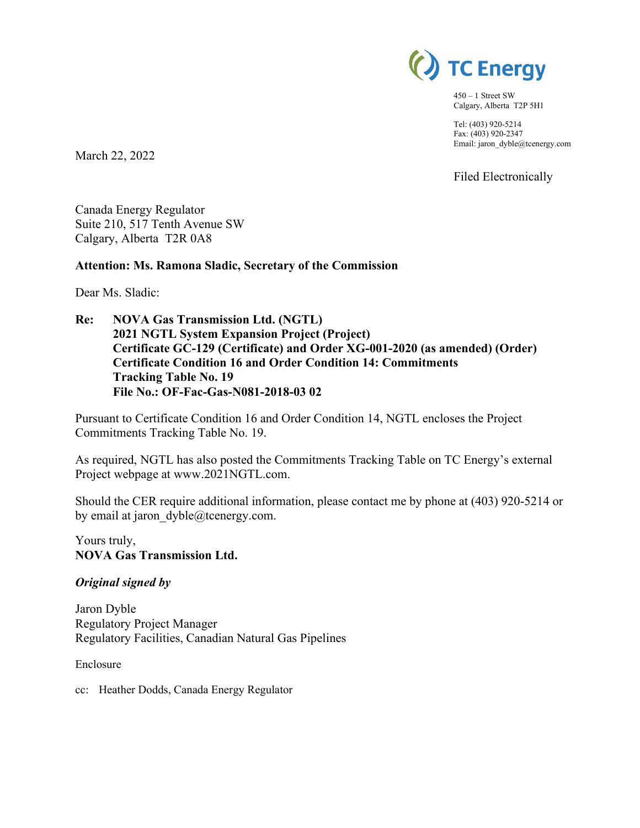

450 – 1 Street SW Calgary, Alberta T2P 5H1

Tel: (403) 920-5214 Fax: (403) 920-2347 Email: jaron\_dyble@tcenergy.com

Filed Electronically

March 22, 2022

Canada Energy Regulator Suite 210, 517 Tenth Avenue SW Calgary, Alberta T2R 0A8

### **Attention: Ms. Ramona Sladic, Secretary of the Commission**

Dear Ms. Sladic:

**Re: NOVA Gas Transmission Ltd. (NGTL) 2021 NGTL System Expansion Project (Project) Certificate GC-129 (Certificate) and Order XG-001-2020 (as amended) (Order) Certificate Condition 16 and Order Condition 14: Commitments Tracking Table No. 19 File No.: OF-Fac-Gas-N081-2018-03 02** 

Pursuant to Certificate Condition 16 and Order Condition 14, NGTL encloses the Project Commitments Tracking Table No. 19.

As required, NGTL has also posted the Commitments Tracking Table on TC Energy's external Project webpage at www.2021NGTL.com.

Should the CER require additional information, please contact me by phone at (403) 920-5214 or by email at jaron dyble@tcenergy.com.

Yours truly, **NOVA Gas Transmission Ltd.**

### *Original signed by*

Jaron Dyble Regulatory Project Manager Regulatory Facilities, Canadian Natural Gas Pipelines

Enclosure

cc: Heather Dodds, Canada Energy Regulator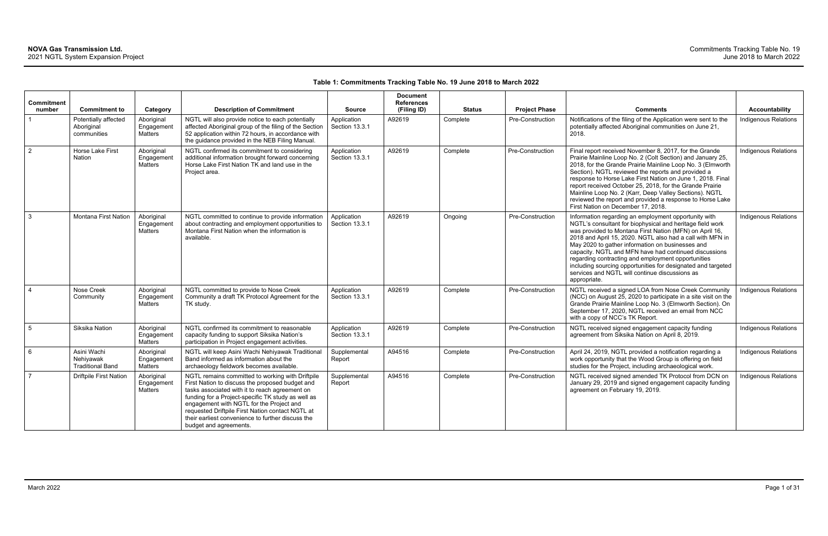### **Table 1: Commitments Tracking Table No. 19 June 2018 to March 2022**

| <b>Commitment</b><br>number | <b>Commitment to</b>                                | Category                            | <b>Description of Commitment</b>                                                                                                                                                                                                                                                                                                                                                           | <b>Source</b>                 | <b>Document</b><br><b>References</b><br>(Filing ID) | <b>Status</b> | <b>Project Phase</b> | <b>Comments</b>                                                                                                                                                                                                                                                                                                                                                                                                                                                                                                                                | Accountability              |
|-----------------------------|-----------------------------------------------------|-------------------------------------|--------------------------------------------------------------------------------------------------------------------------------------------------------------------------------------------------------------------------------------------------------------------------------------------------------------------------------------------------------------------------------------------|-------------------------------|-----------------------------------------------------|---------------|----------------------|------------------------------------------------------------------------------------------------------------------------------------------------------------------------------------------------------------------------------------------------------------------------------------------------------------------------------------------------------------------------------------------------------------------------------------------------------------------------------------------------------------------------------------------------|-----------------------------|
| $\overline{1}$              | Potentially affected<br>Aboriginal<br>communities   | Aboriginal<br>Engagement<br>Matters | NGTL will also provide notice to each potentially<br>affected Aboriginal group of the filing of the Section<br>52 application within 72 hours, in accordance with<br>the guidance provided in the NEB Filing Manual.                                                                                                                                                                       | Application<br>Section 13.3.1 | A92619                                              | Complete      | Pre-Construction     | Notifications of the filing of the Application were sent to the<br>potentially affected Aboriginal communities on June 21,<br>2018.                                                                                                                                                                                                                                                                                                                                                                                                            | Indigenous Relations        |
| $\overline{2}$              | Horse Lake First<br>Nation                          | Aboriginal<br>Engagement<br>Matters | NGTL confirmed its commitment to considering<br>additional information brought forward concerning<br>Horse Lake First Nation TK and land use in the<br>Project area.                                                                                                                                                                                                                       | Application<br>Section 13.3.1 | A92619                                              | Complete      | Pre-Construction     | Final report received November 8, 2017, for the Grande<br>Prairie Mainline Loop No. 2 (Colt Section) and January 25,<br>2018, for the Grande Prairie Mainline Loop No. 3 (Elmworth<br>Section). NGTL reviewed the reports and provided a<br>response to Horse Lake First Nation on June 1, 2018. Final<br>report received October 25, 2018, for the Grande Prairie<br>Mainline Loop No. 2 (Karr, Deep Valley Sections). NGTL<br>reviewed the report and provided a response to Horse Lake<br>First Nation on December 17, 2018.                | Indigenous Relations        |
| $\mathbf{3}$                | Montana First Nation                                | Aboriginal<br>Engagement<br>Matters | NGTL committed to continue to provide information<br>about contracting and employment opportunities to<br>Montana First Nation when the information is<br>available.                                                                                                                                                                                                                       | Application<br>Section 13.3.1 | A92619                                              | Ongoing       | Pre-Construction     | Information regarding an employment opportunity with<br>NGTL's consultant for biophysical and heritage field work<br>was provided to Montana First Nation (MFN) on April 16,<br>2018 and April 15, 2020. NGTL also had a call with MFN in<br>May 2020 to gather information on businesses and<br>capacity. NGTL and MFN have had continued discussions<br>regarding contracting and employment opportunities<br>including sourcing opportunities for designated and targeted<br>services and NGTL will continue discussions as<br>appropriate. | Indigenous Relations        |
| $\overline{4}$              | Nose Creek<br>Community                             | Aboriginal<br>Engagement<br>Matters | NGTL committed to provide to Nose Creek<br>Community a draft TK Protocol Agreement for the<br>TK study.                                                                                                                                                                                                                                                                                    | Application<br>Section 13.3.1 | A92619                                              | Complete      | Pre-Construction     | NGTL received a signed LOA from Nose Creek Community<br>(NCC) on August 25, 2020 to participate in a site visit on the<br>Grande Prairie Mainline Loop No. 3 (Elmworth Section). On<br>September 17, 2020, NGTL received an email from NCC<br>with a copy of NCC's TK Report.                                                                                                                                                                                                                                                                  | Indigenous Relations        |
| $5\overline{5}$             | Siksika Nation                                      | Aboriginal<br>Engagement<br>Matters | NGTL confirmed its commitment to reasonable<br>capacity funding to support Siksika Nation's<br>participation in Project engagement activities.                                                                                                                                                                                                                                             | Application<br>Section 13.3.1 | A92619                                              | Complete      | Pre-Construction     | NGTL received signed engagement capacity funding<br>agreement from Siksika Nation on April 8, 2019.                                                                                                                                                                                                                                                                                                                                                                                                                                            | Indigenous Relations        |
| 6                           | Asini Wachi<br>Nehiyawak<br><b>Traditional Band</b> | Aboriginal<br>Engagement<br>Matters | NGTL will keep Asini Wachi Nehiyawak Traditional<br>Band informed as information about the<br>archaeology fieldwork becomes available.                                                                                                                                                                                                                                                     | Supplemental<br>Report        | A94516                                              | Complete      | Pre-Construction     | April 24, 2019, NGTL provided a notification regarding a<br>work opportunity that the Wood Group is offering on field<br>studies for the Project, including archaeological work.                                                                                                                                                                                                                                                                                                                                                               | <b>Indigenous Relations</b> |
| $\overline{7}$              | <b>Driftpile First Nation</b>                       | Aboriginal<br>Engagement<br>Matters | NGTL remains committed to working with Driftpile<br>First Nation to discuss the proposed budget and<br>tasks associated with it to reach agreement on<br>funding for a Project-specific TK study as well as<br>engagement with NGTL for the Project and<br>requested Driftpile First Nation contact NGTL at<br>their earliest convenience to further discuss the<br>budget and agreements. | Supplemental<br>Report        | A94516                                              | Complete      | Pre-Construction     | NGTL received signed amended TK Protocol from DCN on<br>January 29, 2019 and signed engagement capacity funding<br>agreement on February 19, 2019.                                                                                                                                                                                                                                                                                                                                                                                             | <b>Indigenous Relations</b> |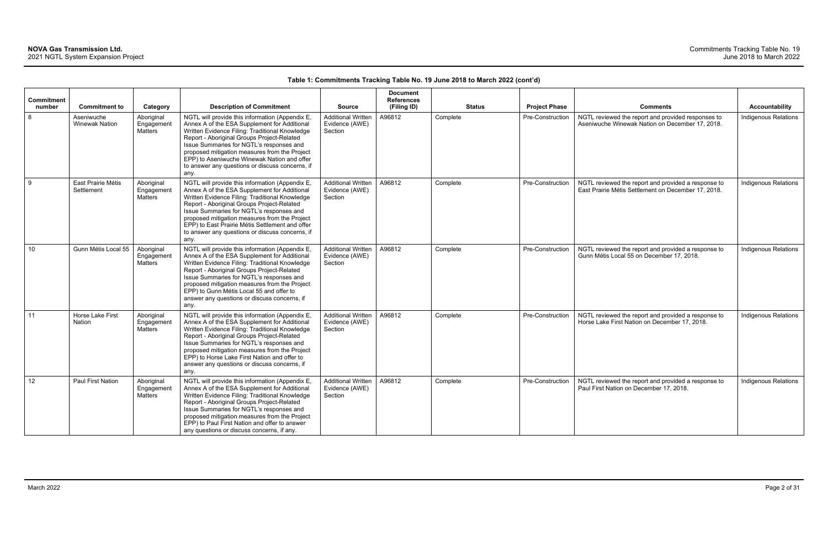| Commitment      |                                                             |                                                        | <b>Description of Commitment</b>                                                                                                                                                                                                                                                                                                                                                                           |                                                                         | <b>Document</b><br><b>References</b> |                           |                                          |                                                                                                                          | <b>Accountability</b>       |
|-----------------|-------------------------------------------------------------|--------------------------------------------------------|------------------------------------------------------------------------------------------------------------------------------------------------------------------------------------------------------------------------------------------------------------------------------------------------------------------------------------------------------------------------------------------------------------|-------------------------------------------------------------------------|--------------------------------------|---------------------------|------------------------------------------|--------------------------------------------------------------------------------------------------------------------------|-----------------------------|
| number<br>8     | <b>Commitment to</b><br>Aseniwuche<br><b>Winewak Nation</b> | Category<br>Aboriginal<br>Engagement<br><b>Matters</b> | NGTL will provide this information (Appendix E,<br>Annex A of the ESA Supplement for Additional<br>Written Evidence Filing: Traditional Knowledge<br>Report - Aboriginal Groups Project-Related<br>Issue Summaries for NGTL's responses and<br>proposed mitigation measures from the Project<br>EPP) to Aseniwuche Winewak Nation and offer<br>to answer any questions or discuss concerns, if<br>any.     | <b>Source</b><br><b>Additional Written</b><br>Evidence (AWE)<br>Section | (Filing ID)<br>A96812                | <b>Status</b><br>Complete | <b>Project Phase</b><br>Pre-Construction | <b>Comments</b><br>NGTL reviewed the report and provided responses to<br>Aseniwuche Winewak Nation on December 17, 2018. | <b>Indigenous Relations</b> |
| 9               | East Prairie Métis<br>Settlement                            | Aboriginal<br>Engagement<br><b>Matters</b>             | NGTL will provide this information (Appendix E,<br>Annex A of the ESA Supplement for Additional<br>Written Evidence Filing: Traditional Knowledge<br>Report - Aboriginal Groups Project-Related<br>Issue Summaries for NGTL's responses and<br>proposed mitigation measures from the Project<br>EPP) to East Prairie Métis Settlement and offer<br>to answer any questions or discuss concerns, if<br>any. | <b>Additional Written</b><br>Evidence (AWE)<br>Section                  | A96812                               | Complete                  | Pre-Construction                         | NGTL reviewed the report and provided a response to<br>East Prairie Métis Settlement on December 17, 2018.               | <b>Indigenous Relations</b> |
| 10              | Gunn Métis Local 55                                         | Aboriginal<br>Engagement<br><b>Matters</b>             | NGTL will provide this information (Appendix E,<br>Annex A of the ESA Supplement for Additional<br>Written Evidence Filing: Traditional Knowledge<br>Report - Aboriginal Groups Project-Related<br>Issue Summaries for NGTL's responses and<br>proposed mitigation measures from the Project<br>EPP) to Gunn Métis Local 55 and offer to<br>answer any questions or discuss concerns, if<br>any.           | <b>Additional Written</b><br>Evidence (AWE)<br>Section                  | A96812                               | Complete                  | Pre-Construction                         | NGTL reviewed the report and provided a response to<br>Gunn Métis Local 55 on December 17, 2018.                         | <b>Indigenous Relations</b> |
| 11              | Horse Lake First<br><b>Nation</b>                           | Aboriginal<br>Engagement<br><b>Matters</b>             | NGTL will provide this information (Appendix E,<br>Annex A of the ESA Supplement for Additional<br>Written Evidence Filing: Traditional Knowledge<br>Report - Aboriginal Groups Project-Related<br>Issue Summaries for NGTL's responses and<br>proposed mitigation measures from the Project<br>EPP) to Horse Lake First Nation and offer to<br>answer any questions or discuss concerns, if<br>any.       | <b>Additional Written</b><br>Evidence (AWE)<br>Section                  | A96812                               | Complete                  | Pre-Construction                         | NGTL reviewed the report and provided a response to<br>Horse Lake First Nation on December 17, 2018.                     | Indigenous Relations        |
| 12 <sup>°</sup> | Paul First Nation                                           | Aboriginal<br>Engagement<br><b>Matters</b>             | NGTL will provide this information (Appendix E,<br>Annex A of the ESA Supplement for Additional<br>Written Evidence Filing: Traditional Knowledge<br>Report - Aboriginal Groups Project-Related<br>Issue Summaries for NGTL's responses and<br>proposed mitigation measures from the Project<br>EPP) to Paul First Nation and offer to answer<br>any questions or discuss concerns, if any.                | <b>Additional Written</b><br>Evidence (AWE)<br>Section                  | A96812                               | Complete                  | Pre-Construction                         | NGTL reviewed the report and provided a response to<br>Paul First Nation on December 17, 2018.                           | <b>Indigenous Relations</b> |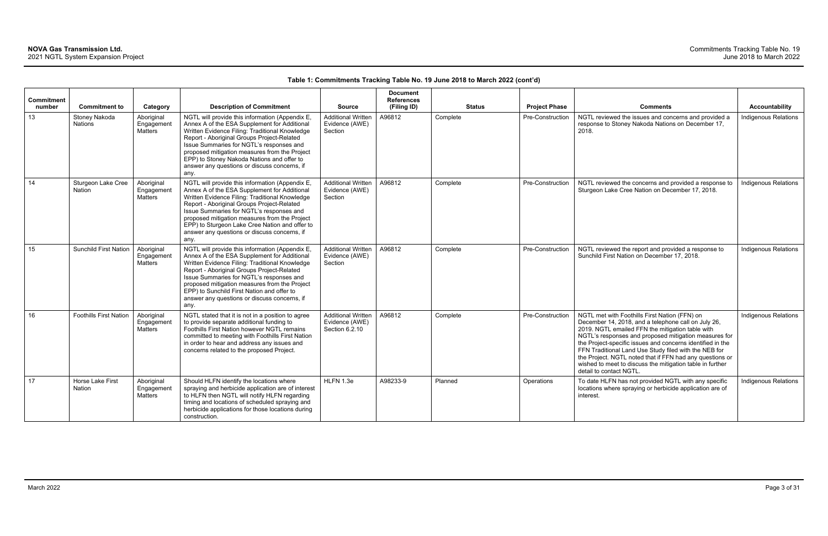|                             |                                     |                                     |                                                                                                                                                                                                                                                                                                                                                                                                        |                                                               | <b>Document</b>                  |               |                         |                                                                                                                                                                                                                                                                                                                                                                                                                                                                                              |                             |
|-----------------------------|-------------------------------------|-------------------------------------|--------------------------------------------------------------------------------------------------------------------------------------------------------------------------------------------------------------------------------------------------------------------------------------------------------------------------------------------------------------------------------------------------------|---------------------------------------------------------------|----------------------------------|---------------|-------------------------|----------------------------------------------------------------------------------------------------------------------------------------------------------------------------------------------------------------------------------------------------------------------------------------------------------------------------------------------------------------------------------------------------------------------------------------------------------------------------------------------|-----------------------------|
| <b>Commitment</b><br>number | <b>Commitment to</b>                | Category                            | <b>Description of Commitment</b>                                                                                                                                                                                                                                                                                                                                                                       | <b>Source</b>                                                 | <b>References</b><br>(Filing ID) | <b>Status</b> | <b>Project Phase</b>    | <b>Comments</b>                                                                                                                                                                                                                                                                                                                                                                                                                                                                              | Accountability              |
| 13                          | Stoney Nakoda<br><b>Nations</b>     | Aboriginal<br>Engagemen<br>Matters  | NGTL will provide this information (Appendix E,<br>Annex A of the ESA Supplement for Additional<br>Written Evidence Filing: Traditional Knowledge<br>Report - Aboriginal Groups Project-Related<br>Issue Summaries for NGTL's responses and<br>proposed mitigation measures from the Project<br>EPP) to Stoney Nakoda Nations and offer to<br>answer any questions or discuss concerns, if<br>any.     | <b>Additional Written</b><br>Evidence (AWE)<br>Section        | A96812                           | Complete      | <b>Pre-Construction</b> | NGTL reviewed the issues and concerns and provided a<br>response to Stoney Nakoda Nations on December 17,<br>2018.                                                                                                                                                                                                                                                                                                                                                                           | <b>Indigenous Relations</b> |
| 14                          | Sturgeon Lake Cree<br><b>Nation</b> | Aboriginal<br>Engagemen<br>Matters  | NGTL will provide this information (Appendix E,<br>Annex A of the ESA Supplement for Additional<br>Written Evidence Filing: Traditional Knowledge<br>Report - Aboriginal Groups Project-Related<br>Issue Summaries for NGTL's responses and<br>proposed mitigation measures from the Project<br>EPP) to Sturgeon Lake Cree Nation and offer to<br>answer any questions or discuss concerns, if<br>any. | <b>Additional Written</b><br>Evidence (AWE)<br>Section        | A96812                           | Complete      | Pre-Construction        | NGTL reviewed the concerns and provided a response to<br>Sturgeon Lake Cree Nation on December 17, 2018.                                                                                                                                                                                                                                                                                                                                                                                     | <b>Indigenous Relations</b> |
| 15                          | <b>Sunchild First Nation</b>        | Aboriginal<br>Engagement<br>Matters | NGTL will provide this information (Appendix E,<br>Annex A of the ESA Supplement for Additional<br>Written Evidence Filing: Traditional Knowledge<br>Report - Aboriginal Groups Project-Related<br>Issue Summaries for NGTL's responses and<br>proposed mitigation measures from the Project<br>EPP) to Sunchild First Nation and offer to<br>answer any questions or discuss concerns, if<br>any.     | <b>Additional Written</b><br>Evidence (AWE)<br>Section        | A96812                           | Complete      | Pre-Construction        | NGTL reviewed the report and provided a response to<br>Sunchild First Nation on December 17, 2018.                                                                                                                                                                                                                                                                                                                                                                                           | <b>Indigenous Relations</b> |
| 16                          | <b>Foothills First Nation</b>       | Aboriginal<br>Engagemen<br>Matters  | NGTL stated that it is not in a position to agree<br>to provide separate additional funding to<br>Foothills First Nation however NGTL remains<br>committed to meeting with Foothills First Nation<br>in order to hear and address any issues and<br>concerns related to the proposed Project.                                                                                                          | <b>Additional Written</b><br>Evidence (AWE)<br>Section 6.2.10 | A96812                           | Complete      | Pre-Construction        | NGTL met with Foothills First Nation (FFN) on<br>December 14, 2018, and a telephone call on July 26,<br>2019. NGTL emailed FFN the mitigation table with<br>NGTL's responses and proposed mitigation measures for<br>the Project-specific issues and concerns identified in the<br>FFN Traditional Land Use Study filed with the NEB for<br>the Project. NGTL noted that if FFN had any questions or<br>wished to meet to discuss the mitigation table in further<br>detail to contact NGTL. | Indigenous Relations        |
| 17                          | Horse Lake First<br>Nation          | Aboriginal<br>Engagement<br>Matters | Should HLFN identify the locations where<br>spraying and herbicide application are of interest<br>to HLFN then NGTL will notify HLFN regarding<br>timing and locations of scheduled spraying and<br>herbicide applications for those locations during<br>construction.                                                                                                                                 | HLFN 1.3e                                                     | A98233-9                         | Planned       | Operations              | To date HLFN has not provided NGTL with any specific<br>locations where spraying or herbicide application are of<br>interest.                                                                                                                                                                                                                                                                                                                                                                | Indigenous Relations        |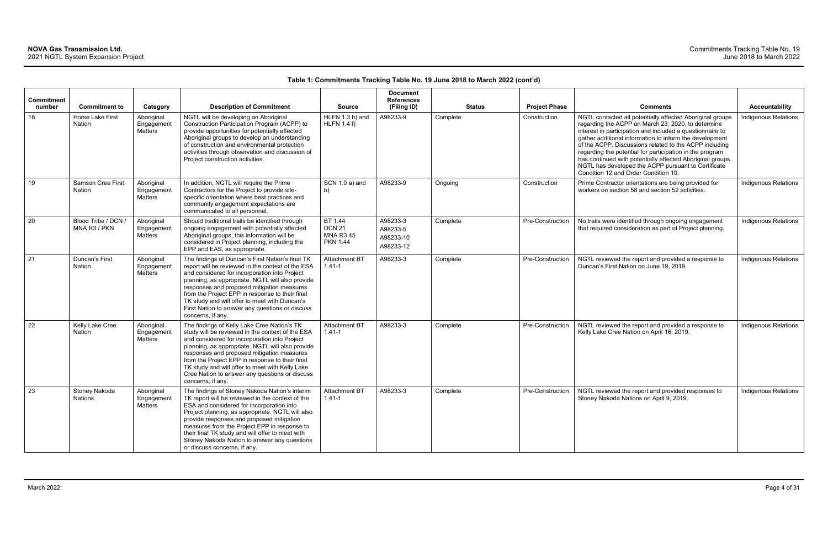| Commitment<br>number | <b>Commitment to</b>                | Category                            | <b>Description of Commitment</b>                                                                                                                                                                                                                                                                                                                                                                                                     | <b>Source</b>                                                   | <b>Document</b><br><b>References</b><br>(Filing ID) | <b>Status</b> | <b>Project Phase</b> | <b>Comments</b>                                                                                                                                                                                                                                                                                                                                                                                                                                                                                                            | <b>Accountability</b>       |
|----------------------|-------------------------------------|-------------------------------------|--------------------------------------------------------------------------------------------------------------------------------------------------------------------------------------------------------------------------------------------------------------------------------------------------------------------------------------------------------------------------------------------------------------------------------------|-----------------------------------------------------------------|-----------------------------------------------------|---------------|----------------------|----------------------------------------------------------------------------------------------------------------------------------------------------------------------------------------------------------------------------------------------------------------------------------------------------------------------------------------------------------------------------------------------------------------------------------------------------------------------------------------------------------------------------|-----------------------------|
| 18                   | Horse Lake First<br><b>Nation</b>   | Aboriginal<br>Engagement<br>Matters | NGTL will be developing an Aboriginal<br>Construction Participation Program (ACPP) to<br>provide opportunities for potentially affected<br>Aboriginal groups to develop an understanding<br>of construction and environmental protection<br>activities through observation and discussion of<br>Project construction activities.                                                                                                     | HLFN 1.3 h) and<br>HLFN 1.4 f                                   | A98233-9                                            | Complete      | Construction         | NGTL contacted all potentially affected Aboriginal groups<br>regarding the ACPP on March 23, 2020, to determine<br>interest in participation and included a questionnaire to<br>gather additional information to inform the development<br>of the ACPP. Discussions related to the ACPP including<br>regarding the potential for participation in the program<br>has continued with potentially affected Aboriginal groups.<br>NGTL has developed the ACPP pursuant to Certificate<br>Condition 12 and Order Condition 10. | <b>Indigenous Relations</b> |
| 19                   | Samson Cree First<br><b>Nation</b>  | Aboriginal<br>Engagement<br>Matters | In addition, NGTL will require the Prime<br>Contractors for the Project to provide site-<br>specific orientation where best practices and<br>community engagement expectations are<br>communicated to all personnel.                                                                                                                                                                                                                 | SCN 1.0 a) and<br>b)                                            | A98233-9                                            | Ongoing       | Construction         | Prime Contractor orientations are being provided for<br>workers on section 58 and section 52 activities.                                                                                                                                                                                                                                                                                                                                                                                                                   | <b>Indigenous Relations</b> |
| 20                   | Blood Tribe / DCN /<br>MNA R3 / PKN | Aboriginal<br>Engagement<br>Matters | Should traditional trails be identified through<br>ongoing engagement with potentially affected<br>Aboriginal groups, this information will be<br>considered in Project planning, including the<br>EPP and EAS, as appropriate.                                                                                                                                                                                                      | BT 1.44<br><b>DCN 21</b><br><b>MNA R3 45</b><br><b>PKN 1.44</b> | A98233-3<br>A98233-5<br>A98233-10<br>A98233-12      | Complete      | Pre-Construction     | No trails were identified through ongoing engagement<br>that required consideration as part of Project planning.                                                                                                                                                                                                                                                                                                                                                                                                           | Indigenous Relations        |
| 21                   | Duncan's First<br><b>Nation</b>     | Aboriginal<br>Engagement<br>Matters | The findings of Duncan's First Nation's final TK<br>report will be reviewed in the context of the ESA<br>and considered for incorporation into Project<br>planning, as appropriate. NGTL will also provide<br>responses and proposed mitigation measures<br>from the Project EPP in response to their final<br>TK study and will offer to meet with Duncan's<br>First Nation to answer any questions or discuss<br>concerns, if any. | <b>Attachment BT</b><br>$1.41 - 1$                              | A98233-3                                            | Complete      | Pre-Construction     | NGTL reviewed the report and provided a response to<br>Duncan's First Nation on June 19, 2019.                                                                                                                                                                                                                                                                                                                                                                                                                             | Indigenous Relations        |
| 22                   | Kelly Lake Cree<br><b>Nation</b>    | Aboriginal<br>Engagement<br>Matters | The findings of Kelly Lake Cree Nation's TK<br>study will be reviewed in the context of the ESA<br>and considered for incorporation into Project<br>planning, as appropriate. NGTL will also provide<br>responses and proposed mitigation measures<br>from the Project EPP in response to their final<br>TK study and will offer to meet with Kelly Lake<br>Cree Nation to answer any questions or discuss<br>concerns, if any.      | <b>Attachment BT</b><br>$1.41 - 1$                              | A98233-3                                            | Complete      | Pre-Construction     | NGTL reviewed the report and provided a response to<br>Kelly Lake Cree Nation on April 16, 2019.                                                                                                                                                                                                                                                                                                                                                                                                                           | <b>Indigenous Relations</b> |
| 23                   | Stoney Nakoda<br>Nations            | Aboriginal<br>Engagement<br>Matters | The findings of Stoney Nakoda Nation's interim<br>TK report will be reviewed in the context of the<br>ESA and considered for incorporation into<br>Project planning, as appropriate. NGTL will also<br>provide responses and proposed mitigation<br>measures from the Project EPP in response to<br>their final TK study and will offer to meet with<br>Stoney Nakoda Nation to answer any questions<br>or discuss concerns, if any. | Attachment BT<br>$1.41 - 1$                                     | A98233-3                                            | Complete      | Pre-Construction     | NGTL reviewed the report and provided responses to<br>Stoney Nakoda Nations on April 9, 2019.                                                                                                                                                                                                                                                                                                                                                                                                                              | Indigenous Relations        |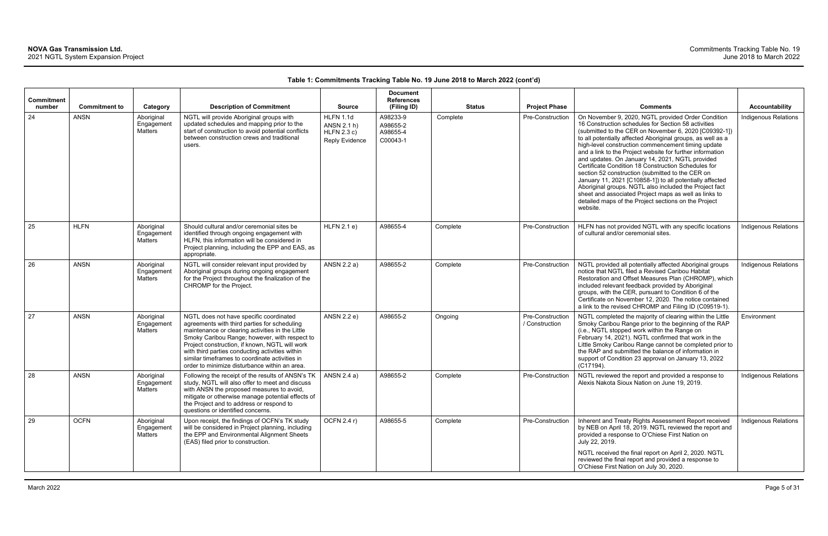| Commitment<br>number | <b>Commitment to</b> | Category                            | <b>Description of Commitment</b>                                                                                                                                                                                                                                                                                                                                                                     | <b>Source</b>                                                    | <b>Document</b><br><b>References</b><br>(Filing ID) | <b>Status</b> | <b>Project Phase</b>               | <b>Comments</b>                                                                                                                                                                                                                                                                                                                                                                                                                                                                                                                                                                                                                                                                                                                                                       | <b>Accountability</b>       |
|----------------------|----------------------|-------------------------------------|------------------------------------------------------------------------------------------------------------------------------------------------------------------------------------------------------------------------------------------------------------------------------------------------------------------------------------------------------------------------------------------------------|------------------------------------------------------------------|-----------------------------------------------------|---------------|------------------------------------|-----------------------------------------------------------------------------------------------------------------------------------------------------------------------------------------------------------------------------------------------------------------------------------------------------------------------------------------------------------------------------------------------------------------------------------------------------------------------------------------------------------------------------------------------------------------------------------------------------------------------------------------------------------------------------------------------------------------------------------------------------------------------|-----------------------------|
| 24                   | <b>ANSN</b>          | Aboriginal<br>Engagement<br>Matters | NGTL will provide Aboriginal groups with<br>updated schedules and mapping prior to the<br>start of construction to avoid potential conflicts<br>between construction crews and traditional<br>users.                                                                                                                                                                                                 | HLFN 1.1d<br>ANSN 2.1 h)<br>HLFN 2.3 c)<br><b>Reply Evidence</b> | A98233-9<br>A98655-2<br>A98655-4<br>C00043-1        | Complete      | Pre-Construction                   | On November 9, 2020, NGTL provided Order Condition<br>16 Construction schedules for Section 58 activities<br>(submitted to the CER on November 6, 2020 [C09392-1])<br>to all potentially affected Aboriginal groups, as well as a<br>high-level construction commencement timing update<br>and a link to the Project website for further information<br>and updates. On January 14, 2021, NGTL provided<br>Certificate Condition 18 Construction Schedules for<br>section 52 construction (submitted to the CER on<br>January 11, 2021 [C10858-1]) to all potentially affected<br>Aboriginal groups. NGTL also included the Project fact<br>sheet and associated Project maps as well as links to<br>detailed maps of the Project sections on the Project<br>website. | Indigenous Relations        |
| 25                   | <b>HLFN</b>          | Aboriginal<br>Engagement<br>Matters | Should cultural and/or ceremonial sites be<br>identified through ongoing engagement with<br>HLFN, this information will be considered in<br>Project planning, including the EPP and EAS, as<br>appropriate.                                                                                                                                                                                          | HLFN 2.1 e)                                                      | A98655-4                                            | Complete      | Pre-Construction                   | HLFN has not provided NGTL with any specific locations<br>of cultural and/or ceremonial sites.                                                                                                                                                                                                                                                                                                                                                                                                                                                                                                                                                                                                                                                                        | Indigenous Relations        |
| 26                   | <b>ANSN</b>          | Aboriginal<br>Engagement<br>Matters | NGTL will consider relevant input provided by<br>Aboriginal groups during ongoing engagement<br>for the Project throughout the finalization of the<br>CHROMP for the Project.                                                                                                                                                                                                                        | ANSN 2.2 a)                                                      | A98655-2                                            | Complete      | Pre-Construction                   | NGTL provided all potentially affected Aboriginal groups<br>notice that NGTL filed a Revised Caribou Habitat<br>Restoration and Offset Measures Plan (CHROMP), which<br>included relevant feedback provided by Aboriginal<br>groups, with the CER, pursuant to Condition 6 of the<br>Certificate on November 12, 2020. The notice contained<br>a link to the revised CHROMP and Filing ID (C09519-1).                                                                                                                                                                                                                                                                                                                                                                 | Indigenous Relations        |
| 27                   | <b>ANSN</b>          | Aboriginal<br>Engagement<br>Matters | NGTL does not have specific coordinated<br>agreements with third parties for scheduling<br>maintenance or clearing activities in the Little<br>Smoky Caribou Range; however, with respect to<br>Project construction, if known, NGTL will work<br>with third parties conducting activities within<br>similar timeframes to coordinate activities in<br>order to minimize disturbance within an area. | ANSN 2.2 e)                                                      | A98655-2                                            | Ongoing       | Pre-Construction<br>/ Construction | NGTL completed the majority of clearing within the Little<br>Smoky Caribou Range prior to the beginning of the RAP<br>(i.e., NGTL stopped work within the Range on<br>February 14, 2021). NGTL confirmed that work in the<br>Little Smoky Caribou Range cannot be completed prior to<br>the RAP and submitted the balance of information in<br>support of Condition 23 approval on January 13, 2022<br>$(C17194)$ .                                                                                                                                                                                                                                                                                                                                                   | Environment                 |
| 28                   | <b>ANSN</b>          | Aboriginal<br>Engagement<br>Matters | Following the receipt of the results of ANSN's TK<br>study, NGTL will also offer to meet and discuss<br>with ANSN the proposed measures to avoid,<br>mitigate or otherwise manage potential effects of<br>the Project and to address or respond to<br>questions or identified concerns.                                                                                                              | ANSN 2.4 a)                                                      | A98655-2                                            | Complete      | Pre-Construction                   | NGTL reviewed the report and provided a response to<br>Alexis Nakota Sioux Nation on June 19, 2019.                                                                                                                                                                                                                                                                                                                                                                                                                                                                                                                                                                                                                                                                   | <b>Indigenous Relations</b> |
| 29                   | <b>OCFN</b>          | Aboriginal<br>Engagement<br>Matters | Upon receipt, the findings of OCFN's TK study<br>will be considered in Project planning, including<br>the EPP and Environmental Alignment Sheets<br>(EAS) filed prior to construction.                                                                                                                                                                                                               | OCFN 2.4 r)                                                      | A98655-5                                            | Complete      | Pre-Construction                   | Inherent and Treaty Rights Assessment Report received<br>by NEB on April 18, 2019. NGTL reviewed the report and<br>provided a response to O'Chiese First Nation on<br>July 22, 2019.<br>NGTL received the final report on April 2, 2020. NGTL<br>reviewed the final report and provided a response to<br>O'Chiese First Nation on July 30, 2020.                                                                                                                                                                                                                                                                                                                                                                                                                      | <b>Indigenous Relations</b> |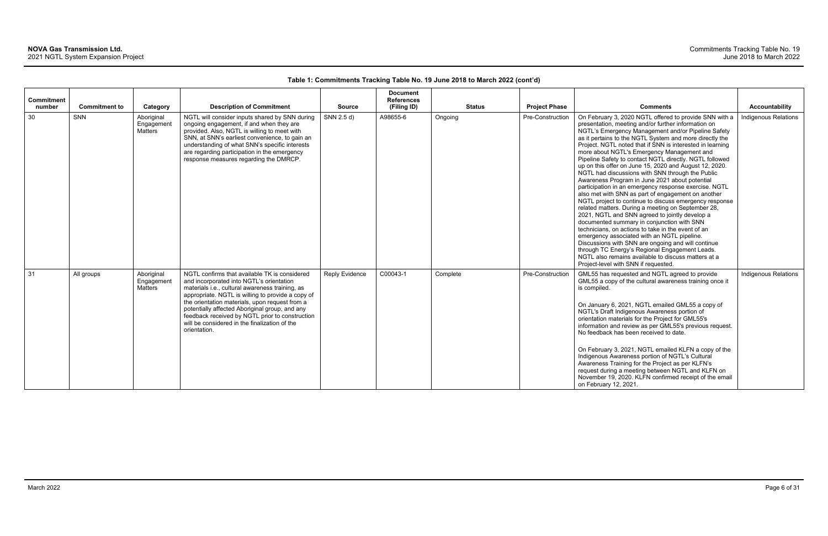| <b>Commitment</b><br>number | <b>Commitment to</b> | Category                            | <b>Description of Commitment</b>                                                                                                                                                                                                                                                                                                                                                                                          | <b>Source</b>         | <b>Document</b><br><b>References</b><br>(Filing ID) |          | <b>Status</b> | <b>Project Phase</b> | <b>Comments</b>                                                                                                                                                                                                                                                                                                                                                                                                                                                                                                                                                                                                                                                                                                                                                                                                                                                                                                                                                                                                                                                                                                                                                                                                 | <b>Accountability</b>       |
|-----------------------------|----------------------|-------------------------------------|---------------------------------------------------------------------------------------------------------------------------------------------------------------------------------------------------------------------------------------------------------------------------------------------------------------------------------------------------------------------------------------------------------------------------|-----------------------|-----------------------------------------------------|----------|---------------|----------------------|-----------------------------------------------------------------------------------------------------------------------------------------------------------------------------------------------------------------------------------------------------------------------------------------------------------------------------------------------------------------------------------------------------------------------------------------------------------------------------------------------------------------------------------------------------------------------------------------------------------------------------------------------------------------------------------------------------------------------------------------------------------------------------------------------------------------------------------------------------------------------------------------------------------------------------------------------------------------------------------------------------------------------------------------------------------------------------------------------------------------------------------------------------------------------------------------------------------------|-----------------------------|
| 30                          | <b>SNN</b>           | Aboriginal<br>Engagement<br>Matters | NGTL will consider inputs shared by SNN during<br>ongoing engagement, if and when they are<br>provided. Also, NGTL is willing to meet with<br>SNN, at SNN's earliest convenience, to gain an<br>understanding of what SNN's specific interests<br>are regarding participation in the emergency<br>response measures regarding the DMRCP.                                                                                  | SNN 2.5 d)            | A98655-6                                            | Ongoing  |               | Pre-Construction     | On February 3, 2020 NGTL offered to provide SNN with a<br>presentation, meeting and/or further information on<br>NGTL's Emergency Management and/or Pipeline Safety<br>as it pertains to the NGTL System and more directly the<br>Project. NGTL noted that if SNN is interested in learning<br>more about NGTL's Emergency Management and<br>Pipeline Safety to contact NGTL directly. NGTL followed<br>up on this offer on June 15, 2020 and August 12, 2020.<br>NGTL had discussions with SNN through the Public<br>Awareness Program in June 2021 about potential<br>participation in an emergency response exercise. NGTL<br>also met with SNN as part of engagement on another<br>NGTL project to continue to discuss emergency response<br>related matters. During a meeting on September 28,<br>2021, NGTL and SNN agreed to jointly develop a<br>documented summary in conjunction with SNN<br>technicians, on actions to take in the event of an<br>emergency associated with an NGTL pipeline.<br>Discussions with SNN are ongoing and will continue<br>through TC Energy's Regional Engagement Leads.<br>NGTL also remains available to discuss matters at a<br>Project-level with SNN if requested. | <b>Indigenous Relations</b> |
| 31                          | All groups           | Aboriginal<br>Engagement<br>Matters | NGTL confirms that available TK is considered<br>and incorporated into NGTL's orientation<br>materials i.e., cultural awareness training, as<br>appropriate. NGTL is willing to provide a copy of<br>the orientation materials, upon request from a<br>potentially affected Aboriginal group, and any<br>feedback received by NGTL prior to construction<br>will be considered in the finalization of the<br>orientation. | <b>Reply Evidence</b> | C00043-1                                            | Complete |               | Pre-Construction     | GML55 has requested and NGTL agreed to provide<br>GML55 a copy of the cultural awareness training once it<br>is compiled.<br>On January 6, 2021, NGTL emailed GML55 a copy of<br>NGTL's Draft Indigenous Awareness portion of<br>orientation materials for the Project for GML55's<br>information and review as per GML55's previous request.<br>No feedback has been received to date.<br>On February 3, 2021, NGTL emailed KLFN a copy of the<br>Indigenous Awareness portion of NGTL's Cultural<br>Awareness Training for the Project as per KLFN's<br>request during a meeting between NGTL and KLFN on<br>November 19, 2020. KLFN confirmed receipt of the email<br>on February 12, 2021.                                                                                                                                                                                                                                                                                                                                                                                                                                                                                                                  | Indigenous Relations        |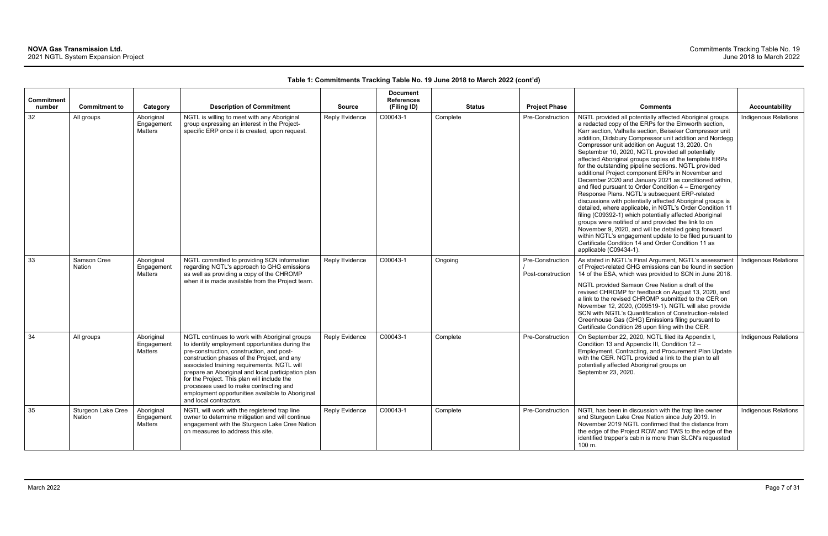| <b>Commitment</b><br>number | <b>Commitment to</b>         | Category                                   | <b>Description of Commitment</b>                                                                                                                                                                                                                                                                                                                                                                                                                                         | <b>Source</b>         | <b>Document</b><br><b>References</b><br>(Filing ID) | <b>Status</b> | <b>Project Phase</b>                  | <b>Comments</b>                                                                                                                                                                                                                                                                                                                                                                                                                                                                                                                                                                                                                                                                                                                                                                                                                                                                                                                                                                                                                                                                                                                           | <b>Accountability</b>       |
|-----------------------------|------------------------------|--------------------------------------------|--------------------------------------------------------------------------------------------------------------------------------------------------------------------------------------------------------------------------------------------------------------------------------------------------------------------------------------------------------------------------------------------------------------------------------------------------------------------------|-----------------------|-----------------------------------------------------|---------------|---------------------------------------|-------------------------------------------------------------------------------------------------------------------------------------------------------------------------------------------------------------------------------------------------------------------------------------------------------------------------------------------------------------------------------------------------------------------------------------------------------------------------------------------------------------------------------------------------------------------------------------------------------------------------------------------------------------------------------------------------------------------------------------------------------------------------------------------------------------------------------------------------------------------------------------------------------------------------------------------------------------------------------------------------------------------------------------------------------------------------------------------------------------------------------------------|-----------------------------|
| 32                          | All groups                   | Aboriginal<br>Engagement<br>Matters        | NGTL is willing to meet with any Aboriginal<br>group expressing an interest in the Project-<br>specific ERP once it is created, upon request.                                                                                                                                                                                                                                                                                                                            | <b>Reply Evidence</b> | C00043-1                                            | Complete      | Pre-Construction                      | NGTL provided all potentially affected Aboriginal groups<br>a redacted copy of the ERPs for the Elmworth section,<br>Karr section, Valhalla section, Beiseker Compressor unit<br>addition, Didsbury Compressor unit addition and Nordegg<br>Compressor unit addition on August 13, 2020. On<br>September 10, 2020, NGTL provided all potentially<br>affected Aboriginal groups copies of the template ERPs<br>for the outstanding pipeline sections. NGTL provided<br>additional Project component ERPs in November and<br>December 2020 and January 2021 as conditioned within,<br>and filed pursuant to Order Condition $4 -$ Emergency<br>Response Plans. NGTL's subsequent ERP-related<br>discussions with potentially affected Aboriginal groups is<br>detailed, where applicable, in NGTL's Order Condition 11<br>filing (C09392-1) which potentially affected Aboriginal<br>groups were notified of and provided the link to on<br>November 9, 2020, and will be detailed going forward<br>within NGTL's engagement update to be filed pursuant to<br>Certificate Condition 14 and Order Condition 11 as<br>applicable (C09434-1). | <b>Indigenous Relations</b> |
| 33                          | Samson Cree<br><b>Nation</b> | Aboriginal<br>Engagement<br>Matters        | NGTL committed to providing SCN information<br>regarding NGTL's approach to GHG emissions<br>as well as providing a copy of the CHROMP<br>when it is made available from the Project team.                                                                                                                                                                                                                                                                               | <b>Reply Evidence</b> | C00043-1                                            | Ongoing       | Pre-Construction<br>Post-construction | As stated in NGTL's Final Argument, NGTL's assessment<br>of Project-related GHG emissions can be found in section<br>14 of the ESA, which was provided to SCN in June 2018.<br>NGTL provided Samson Cree Nation a draft of the<br>revised CHROMP for feedback on August 13, 2020, and<br>a link to the revised CHROMP submitted to the CER on<br>November 12, 2020, (C09519-1). NGTL will also provide<br>SCN with NGTL's Quantification of Construction-related<br>Greenhouse Gas (GHG) Emissions filing pursuant to<br>Certificate Condition 26 upon filing with the CER.                                                                                                                                                                                                                                                                                                                                                                                                                                                                                                                                                               | Indigenous Relations        |
| 34                          | All groups                   | Aboriginal<br>Engagement<br><b>Matters</b> | NGTL continues to work with Aboriginal groups<br>to identify employment opportunities during the<br>pre-construction, construction, and post-<br>construction phases of the Project, and any<br>associated training requirements. NGTL will<br>prepare an Aboriginal and local participation plan<br>for the Project. This plan will include the<br>processes used to make contracting and<br>employment opportunities available to Aboriginal<br>and local contractors. | Reply Evidence        | C00043-1                                            | Complete      | Pre-Construction                      | On September 22, 2020, NGTL filed its Appendix I,<br>Condition 13 and Appendix III, Condition 12 -<br>Employment, Contracting, and Procurement Plan Update<br>with the CER. NGTL provided a link to the plan to all<br>potentially affected Aboriginal groups on<br>September 23, 2020.                                                                                                                                                                                                                                                                                                                                                                                                                                                                                                                                                                                                                                                                                                                                                                                                                                                   | Indigenous Relations        |
| 35                          | Sturgeon Lake Cree<br>Nation | Aboriginal<br>Engagement<br>Matters        | NGTL will work with the registered trap line<br>owner to determine mitigation and will continue<br>engagement with the Sturgeon Lake Cree Nation<br>on measures to address this site.                                                                                                                                                                                                                                                                                    | Reply Evidence        | C00043-1                                            | Complete      | Pre-Construction                      | NGTL has been in discussion with the trap line owner<br>and Sturgeon Lake Cree Nation since July 2019. In<br>November 2019 NGTL confirmed that the distance from<br>the edge of the Project ROW and TWS to the edge of the<br>identified trapper's cabin is more than SLCN's requested<br>100 m.                                                                                                                                                                                                                                                                                                                                                                                                                                                                                                                                                                                                                                                                                                                                                                                                                                          | Indigenous Relations        |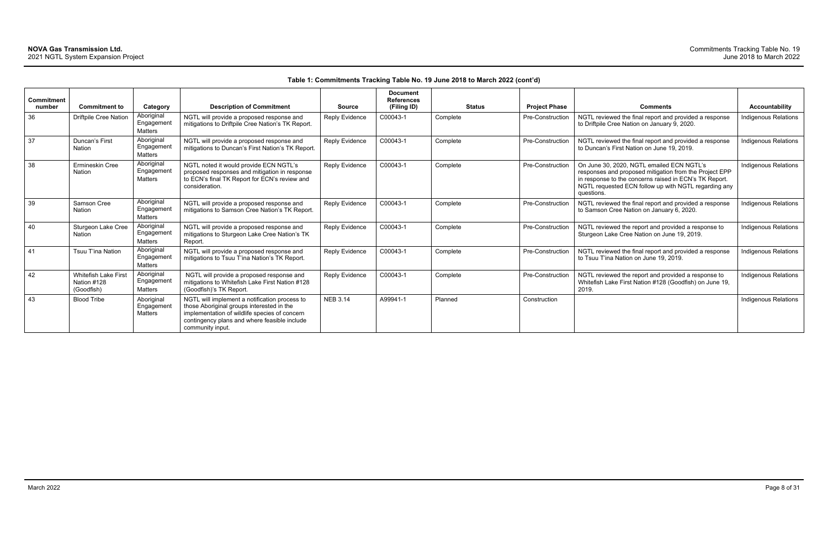| <b>Commitment</b><br>number | <b>Commitment to</b>                              | Category                                   | <b>Description of Commitment</b>                                                                                                                                                                                | <b>Source</b>         | <b>Document</b><br><b>References</b><br>(Filing ID) | <b>Status</b> | <b>Project Phase</b> | <b>Comments</b>                                                                                                                                                                                                                     | <b>Accountability</b>       |
|-----------------------------|---------------------------------------------------|--------------------------------------------|-----------------------------------------------------------------------------------------------------------------------------------------------------------------------------------------------------------------|-----------------------|-----------------------------------------------------|---------------|----------------------|-------------------------------------------------------------------------------------------------------------------------------------------------------------------------------------------------------------------------------------|-----------------------------|
| 36                          | <b>Driftpile Cree Nation</b>                      | Aboriginal<br>Engagement<br><b>Matters</b> | NGTL will provide a proposed response and<br>mitigations to Driftpile Cree Nation's TK Report.                                                                                                                  | Reply Evidence        | C00043-1                                            | Complete      | Pre-Construction     | NGTL reviewed the final report and provided a response<br>to Driftpile Cree Nation on January 9, 2020.                                                                                                                              | Indigenous Relations        |
| 37                          | Duncan's First<br>Nation                          | Aboriginal<br>Engagement<br><b>Matters</b> | NGTL will provide a proposed response and<br>mitigations to Duncan's First Nation's TK Report.                                                                                                                  | Reply Evidence        | C00043-1                                            | Complete      | Pre-Construction     | NGTL reviewed the final report and provided a response<br>to Duncan's First Nation on June 19, 2019.                                                                                                                                | Indigenous Relations        |
| 38                          | Ermineskin Cree<br><b>Nation</b>                  | Aboriginal<br>Engagement<br><b>Matters</b> | NGTL noted it would provide ECN NGTL's<br>proposed responses and mitigation in response<br>to ECN's final TK Report for ECN's review and<br>consideration.                                                      | Reply Evidence        | C00043-1                                            | Complete      | Pre-Construction     | On June 30, 2020, NGTL emailed ECN NGTL's<br>responses and proposed mitigation from the Project EPP<br>in response to the concerns raised in ECN's TK Report.<br>NGTL requested ECN follow up with NGTL regarding any<br>questions. | <b>Indigenous Relations</b> |
| 39                          | Samson Cree<br><b>Nation</b>                      | Aboriginal<br>Engagement<br>Matters        | NGTL will provide a proposed response and<br>mitigations to Samson Cree Nation's TK Report.                                                                                                                     | Reply Evidence        | C00043-1                                            | Complete      | Pre-Construction     | NGTL reviewed the final report and provided a response<br>to Samson Cree Nation on January 6, 2020.                                                                                                                                 | <b>Indigenous Relations</b> |
| 40                          | Sturgeon Lake Cree<br>Nation                      | Aboriginal<br>Engagement<br>Matters        | NGTL will provide a proposed response and<br>mitigations to Sturgeon Lake Cree Nation's TK<br>Report.                                                                                                           | Reply Evidence        | C00043-1                                            | Complete      | Pre-Construction     | NGTL reviewed the report and provided a response to<br>Sturgeon Lake Cree Nation on June 19, 2019.                                                                                                                                  | Indigenous Relations        |
| 41                          | Tsuu T'ina Nation                                 | Aboriginal<br>Engagement<br>Matters        | NGTL will provide a proposed response and<br>mitigations to Tsuu T'ina Nation's TK Report.                                                                                                                      | <b>Reply Evidence</b> | C00043-1                                            | Complete      | Pre-Construction     | NGTL reviewed the final report and provided a response<br>to Tsuu T'ina Nation on June 19, 2019.                                                                                                                                    | <b>Indigenous Relations</b> |
| 42                          | Whitefish Lake First<br>Nation #128<br>(Goodfish) | Aboriginal<br>Engagement<br>Matters        | NGTL will provide a proposed response and<br>mitigations to Whitefish Lake First Nation #128<br>(Goodfish)'s TK Report.                                                                                         | Reply Evidence        | C00043-1                                            | Complete      | Pre-Construction     | NGTL reviewed the report and provided a response to<br>Whitefish Lake First Nation #128 (Goodfish) on June 19,<br>2019.                                                                                                             | Indigenous Relations        |
| 43                          | <b>Blood Tribe</b>                                | Aboriginal<br>Engagemen<br>Matters         | NGTL will implement a notification process to<br>those Aboriginal groups interested in the<br>implementation of wildlife species of concern<br>contingency plans and where feasible include<br>community input. | <b>NEB 3.14</b>       | A99941-1                                            | Planned       | Construction         |                                                                                                                                                                                                                                     | <b>Indigenous Relations</b> |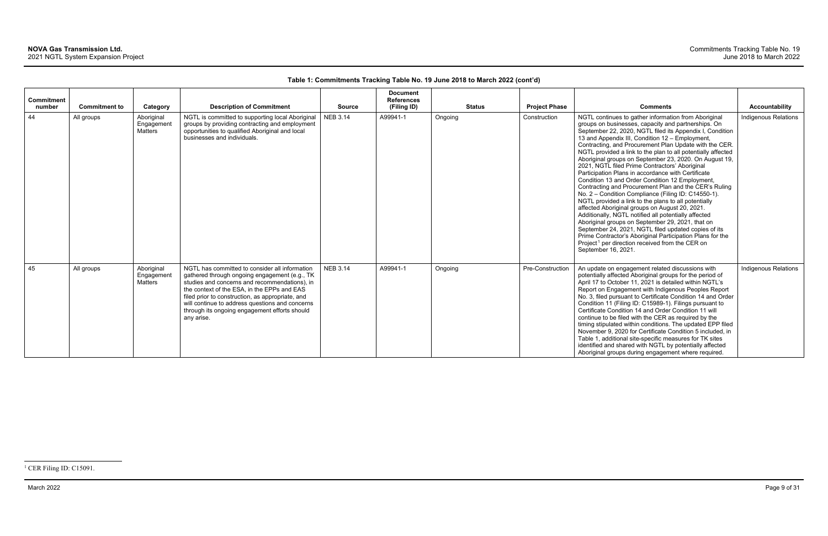<span id="page-9-0"></span>

| <b>Commitment</b><br>number | <b>Commitment to</b> | Category                                   | <b>Description of Commitment</b>                                                                                                                                                                                                                                                                                                                                      | <b>Source</b>   | <b>Document</b><br><b>References</b><br>(Filing ID) | <b>Status</b> | <b>Project Phase</b> | <b>Comments</b>                                                                                                                                                                                                                                                                                                                                                                                                                                                                                                                                                                                                                                                                                                                                                                                                                                                                                                                                                                                                                                                                                                            | <b>Accountability</b>       |
|-----------------------------|----------------------|--------------------------------------------|-----------------------------------------------------------------------------------------------------------------------------------------------------------------------------------------------------------------------------------------------------------------------------------------------------------------------------------------------------------------------|-----------------|-----------------------------------------------------|---------------|----------------------|----------------------------------------------------------------------------------------------------------------------------------------------------------------------------------------------------------------------------------------------------------------------------------------------------------------------------------------------------------------------------------------------------------------------------------------------------------------------------------------------------------------------------------------------------------------------------------------------------------------------------------------------------------------------------------------------------------------------------------------------------------------------------------------------------------------------------------------------------------------------------------------------------------------------------------------------------------------------------------------------------------------------------------------------------------------------------------------------------------------------------|-----------------------------|
| 44                          | All groups           | Aboriginal<br>Engagement<br><b>Matters</b> | NGTL is committed to supporting local Aboriginal<br>groups by providing contracting and employment<br>opportunities to qualified Aboriginal and local<br>businesses and individuals.                                                                                                                                                                                  | <b>NEB 3.14</b> | A99941-1                                            | Ongoing       | Construction         | NGTL continues to gather information from Aboriginal<br>groups on businesses, capacity and partnerships. On<br>September 22, 2020, NGTL filed its Appendix I, Condition<br>13 and Appendix III, Condition 12 - Employment,<br>Contracting, and Procurement Plan Update with the CER.<br>NGTL provided a link to the plan to all potentially affected<br>Aboriginal groups on September 23, 2020. On August 19,<br>2021, NGTL filed Prime Contractors' Aboriginal<br>Participation Plans in accordance with Certificate<br>Condition 13 and Order Condition 12 Employment,<br>Contracting and Procurement Plan and the CER's Ruling<br>No. 2 - Condition Compliance (Filing ID: C14550-1).<br>NGTL provided a link to the plans to all potentially<br>affected Aboriginal groups on August 20, 2021.<br>Additionally, NGTL notified all potentially affected<br>Aboriginal groups on September 29, 2021, that on<br>September 24, 2021, NGTL filed updated copies of its<br>Prime Contractor's Aboriginal Participation Plans for the<br>Project <sup>1</sup> per direction received from the CER on<br>September 16, 2021. | <b>Indigenous Relations</b> |
| 45                          | All groups           | Aboriginal<br>Engagement<br>Matters        | NGTL has committed to consider all information<br>gathered through ongoing engagement (e.g., TK<br>studies and concerns and recommendations), in<br>the context of the ESA, in the EPPs and EAS<br>filed prior to construction, as appropriate, and<br>will continue to address questions and concerns<br>through its ongoing engagement efforts should<br>any arise. | <b>NEB 3.14</b> | A99941-1                                            | Ongoing       | Pre-Construction     | An update on engagement related discussions with<br>potentially affected Aboriginal groups for the period of<br>April 17 to October 11, 2021 is detailed within NGTL's<br>Report on Engagement with Indigenous Peoples Report<br>No. 3, filed pursuant to Certificate Condition 14 and Order<br>Condition 11 (Filing ID: C15989-1). Filings pursuant to<br>Certificate Condition 14 and Order Condition 11 will<br>continue to be filed with the CER as required by the<br>timing stipulated within conditions. The updated EPP filed<br>November 9, 2020 for Certificate Condition 5 included, in<br>Table 1, additional site-specific measures for TK sites<br>identified and shared with NGTL by potentially affected<br>Aboriginal groups during engagement where required.                                                                                                                                                                                                                                                                                                                                            | <b>Indigenous Relations</b> |

<sup>&</sup>lt;sup>1</sup> CER Filing ID: C15091.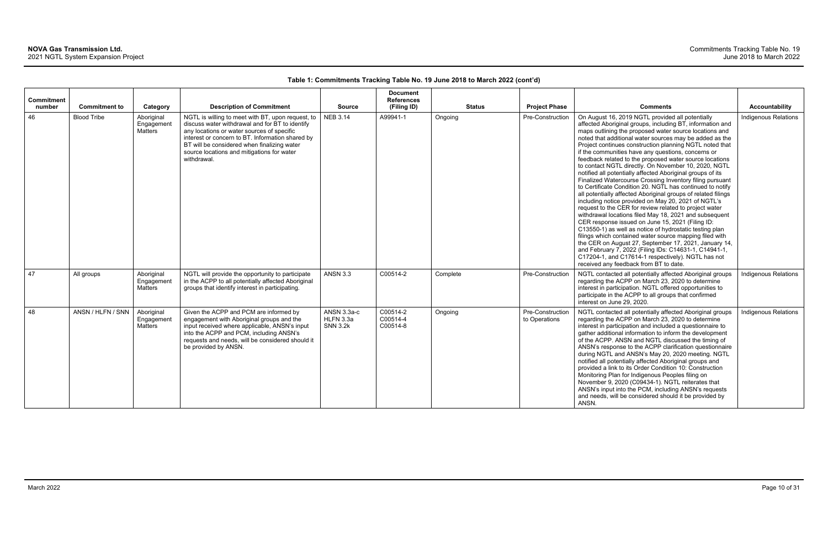| <b>Commitment</b> |                      |                                     |                                                                                                                                                                                                                                                                                                                    |                                             | <b>Document</b><br><b>References</b> |          |                                       |                                                                                                                                                                                                                                                                                                                                                                                                                                                                                                                                                                                                                                                                                                                                                                                                                                                                                                                                                                                                                                                                                                                                                                                                                                                                                                       |                             |
|-------------------|----------------------|-------------------------------------|--------------------------------------------------------------------------------------------------------------------------------------------------------------------------------------------------------------------------------------------------------------------------------------------------------------------|---------------------------------------------|--------------------------------------|----------|---------------------------------------|-------------------------------------------------------------------------------------------------------------------------------------------------------------------------------------------------------------------------------------------------------------------------------------------------------------------------------------------------------------------------------------------------------------------------------------------------------------------------------------------------------------------------------------------------------------------------------------------------------------------------------------------------------------------------------------------------------------------------------------------------------------------------------------------------------------------------------------------------------------------------------------------------------------------------------------------------------------------------------------------------------------------------------------------------------------------------------------------------------------------------------------------------------------------------------------------------------------------------------------------------------------------------------------------------------|-----------------------------|
| number            | <b>Commitment to</b> | Category                            | <b>Description of Commitment</b>                                                                                                                                                                                                                                                                                   | <b>Source</b>                               | (Filing ID)                          |          | <b>Project Phase</b><br><b>Status</b> | <b>Comments</b>                                                                                                                                                                                                                                                                                                                                                                                                                                                                                                                                                                                                                                                                                                                                                                                                                                                                                                                                                                                                                                                                                                                                                                                                                                                                                       | Accountability              |
| 46                | <b>Blood Tribe</b>   | Aboriginal<br>Engagement<br>Matters | NGTL is willing to meet with BT, upon request, to<br>discuss water withdrawal and for BT to identify<br>any locations or water sources of specific<br>interest or concern to BT. Information shared by<br>BT will be considered when finalizing water<br>source locations and mitigations for water<br>withdrawal. | <b>NEB 3.14</b>                             | A99941-1                             | Ongoing  | Pre-Construction                      | On August 16, 2019 NGTL provided all potentially<br>affected Aboriginal groups, including BT, information and<br>maps outlining the proposed water source locations and<br>noted that additional water sources may be added as the<br>Project continues construction planning NGTL noted that<br>if the communities have any questions, concerns or<br>feedback related to the proposed water source locations<br>to contact NGTL directly. On November 10, 2020, NGTL<br>notified all potentially affected Aboriginal groups of its<br>Finalized Watercourse Crossing Inventory filing pursuant<br>to Certificate Condition 20. NGTL has continued to notify<br>all potentially affected Aboriginal groups of related filings<br>including notice provided on May 20, 2021 of NGTL's<br>request to the CER for review related to project water<br>withdrawal locations filed May 18, 2021 and subsequent<br>CER response issued on June 15, 2021 (Filing ID:<br>C13550-1) as well as notice of hydrostatic testing plan<br>filings which contained water source mapping filed with<br>the CER on August 27, September 17, 2021, January 14,<br>and February 7, 2022 (Filing IDs: C14631-1, C14941-1,<br>C17204-1, and C17614-1 respectively). NGTL has not<br>received any feedback from BT to date. | <b>Indigenous Relations</b> |
| 47                | All groups           | Aboriginal<br>Engagement<br>Matters | NGTL will provide the opportunity to participate<br>in the ACPP to all potentially affected Aboriginal<br>groups that identify interest in participating.                                                                                                                                                          | <b>ANSN 3.3</b>                             | C00514-2                             | Complete | Pre-Construction                      | NGTL contacted all potentially affected Aboriginal groups<br>regarding the ACPP on March 23, 2020 to determine<br>interest in participation. NGTL offered opportunities to<br>participate in the ACPP to all groups that confirmed<br>interest on June 29, 2020.                                                                                                                                                                                                                                                                                                                                                                                                                                                                                                                                                                                                                                                                                                                                                                                                                                                                                                                                                                                                                                      | <b>Indigenous Relations</b> |
| 48                | ANSN / HLFN / SNN    | Aboriginal<br>Engagement<br>Matters | Given the ACPP and PCM are informed by<br>engagement with Aboriginal groups and the<br>input received where applicable, ANSN's input<br>into the ACPP and PCM, including ANSN's<br>requests and needs, will be considered should it<br>be provided by ANSN.                                                        | ANSN 3.3a-c<br>HLFN 3.3a<br><b>SNN 3.2k</b> | C00514-2<br>C00514-4<br>C00514-8     | Ongoing  | Pre-Construction<br>to Operations     | NGTL contacted all potentially affected Aboriginal groups<br>regarding the ACPP on March 23, 2020 to determine<br>interest in participation and included a questionnaire to<br>gather additional information to inform the development<br>of the ACPP. ANSN and NGTL discussed the timing of<br>ANSN's response to the ACPP clarification questionnaire<br>during NGTL and ANSN's May 20, 2020 meeting. NGTL<br>notified all potentially affected Aboriginal groups and<br>provided a link to its Order Condition 10: Construction<br>Monitoring Plan for Indigenous Peoples filing on<br>November 9, 2020 (C09434-1). NGTL reiterates that<br>ANSN's input into the PCM, including ANSN's requests<br>and needs, will be considered should it be provided by<br>ANSN.                                                                                                                                                                                                                                                                                                                                                                                                                                                                                                                                | <b>Indigenous Relations</b> |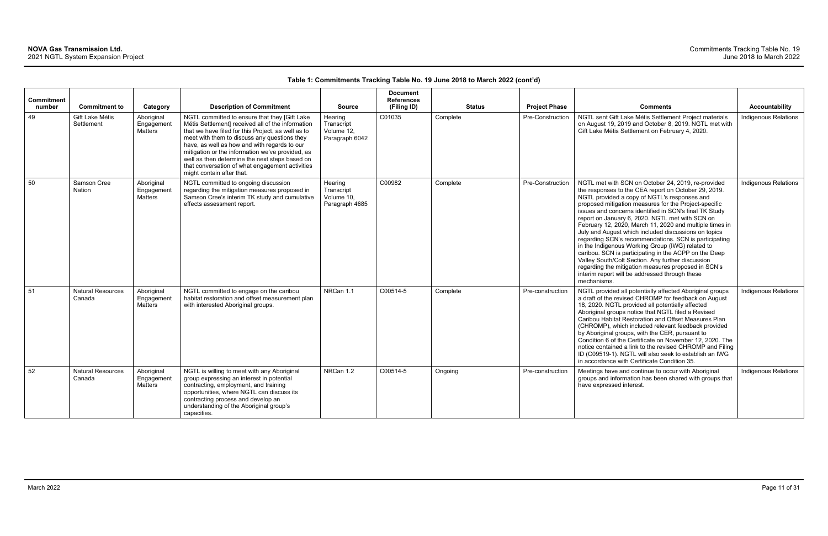| Commitment   |                                                       |                                                 |                                                                                                                                                                                                                                                                                                                                                                                                                                                                                    |                                                                        | <b>Document</b><br><b>References</b> |                           |                                          |                                                                                                                                                                                                                                                                                                                                                                                                                                                                                                                                                                                                                                                                                                                                                                                                        |                                               |
|--------------|-------------------------------------------------------|-------------------------------------------------|------------------------------------------------------------------------------------------------------------------------------------------------------------------------------------------------------------------------------------------------------------------------------------------------------------------------------------------------------------------------------------------------------------------------------------------------------------------------------------|------------------------------------------------------------------------|--------------------------------------|---------------------------|------------------------------------------|--------------------------------------------------------------------------------------------------------------------------------------------------------------------------------------------------------------------------------------------------------------------------------------------------------------------------------------------------------------------------------------------------------------------------------------------------------------------------------------------------------------------------------------------------------------------------------------------------------------------------------------------------------------------------------------------------------------------------------------------------------------------------------------------------------|-----------------------------------------------|
| number<br>49 | <b>Commitment to</b><br>Gift Lake Métis<br>Settlement | Category<br>Aboriginal<br>Engagement<br>Matters | <b>Description of Commitment</b><br>NGTL committed to ensure that they [Gift Lake<br>Métis Settlement] received all of the information<br>that we have filed for this Project, as well as to<br>meet with them to discuss any questions they<br>have, as well as how and with regards to our<br>mitigation or the information we've provided, as<br>well as then determine the next steps based on<br>that conversation of what engagement activities<br>might contain after that. | <b>Source</b><br>Hearing<br>Transcript<br>Volume 12.<br>Paragraph 6042 | (Filing ID)<br>C01035                | <b>Status</b><br>Complete | <b>Project Phase</b><br>Pre-Construction | <b>Comments</b><br>NGTL sent Gift Lake Métis Settlement Project materials<br>on August 19, 2019 and October 8, 2019. NGTL met with<br>Gift Lake Métis Settlement on February 4, 2020.                                                                                                                                                                                                                                                                                                                                                                                                                                                                                                                                                                                                                  | Accountability<br><b>Indigenous Relations</b> |
| 50           | Samson Cree<br><b>Nation</b>                          | Aboriginal<br>Engagement<br><b>Matters</b>      | NGTL committed to ongoing discussion<br>regarding the mitigation measures proposed in<br>Samson Cree's interim TK study and cumulative<br>effects assessment report.                                                                                                                                                                                                                                                                                                               | Hearing<br>Transcript<br>Volume 10,<br>Paragraph 4685                  | C00982                               | Complete                  | Pre-Construction                         | NGTL met with SCN on October 24, 2019, re-provided<br>the responses to the CEA report on October 29, 2019.<br>NGTL provided a copy of NGTL's responses and<br>proposed mitigation measures for the Project-specific<br>issues and concerns identified in SCN's final TK Study<br>report on January 6, 2020. NGTL met with SCN on<br>February 12, 2020, March 11, 2020 and multiple times in<br>July and August which included discussions on topics<br>regarding SCN's recommendations. SCN is participating<br>in the Indigenous Working Group (IWG) related to<br>caribou. SCN is participating in the ACPP on the Deep<br>Valley South/Colt Section. Any further discussion<br>regarding the mitigation measures proposed in SCN's<br>interim report will be addressed through these<br>mechanisms. | <b>Indigenous Relations</b>                   |
| 51           | <b>Natural Resources</b><br>Canada                    | Aboriginal<br>Engagement<br>Matters             | NGTL committed to engage on the caribou<br>habitat restoration and offset measurement plan<br>with interested Aboriginal groups.                                                                                                                                                                                                                                                                                                                                                   | NRCan 1.1                                                              | C00514-5                             | Complete                  | Pre-construction                         | NGTL provided all potentially affected Aboriginal groups<br>a draft of the revised CHROMP for feedback on August<br>18, 2020. NGTL provided all potentially affected<br>Aboriginal groups notice that NGTL filed a Revised<br>Caribou Habitat Restoration and Offset Measures Plan<br>(CHROMP), which included relevant feedback provided<br>by Aboriginal groups, with the CER, pursuant to<br>Condition 6 of the Certificate on November 12, 2020. The<br>notice contained a link to the revised CHROMP and Filing<br>ID (C09519-1). NGTL will also seek to establish an IWG<br>in accordance with Certificate Condition 35.                                                                                                                                                                         | Indigenous Relations                          |
| 52           | <b>Natural Resources</b><br>Canada                    | Aboriginal<br>Engagement<br>Matters             | NGTL is willing to meet with any Aboriginal<br>group expressing an interest in potential<br>contracting, employment, and training<br>opportunities, where NGTL can discuss its<br>contracting process and develop an<br>understanding of the Aboriginal group's<br>capacities.                                                                                                                                                                                                     | NRCan 1.2                                                              | C00514-5                             | Ongoing                   | Pre-construction                         | Meetings have and continue to occur with Aboriginal<br>groups and information has been shared with groups that<br>have expressed interest.                                                                                                                                                                                                                                                                                                                                                                                                                                                                                                                                                                                                                                                             | Indigenous Relations                          |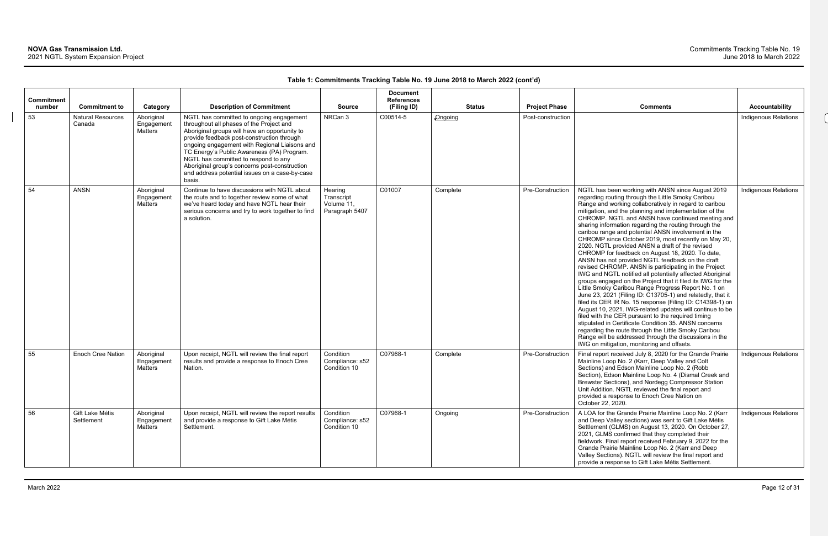### Commitments Tracking Table No. 19 June 2018 to March 2022

| Commitment<br>number | <b>Commitment to</b>               | Category                                   | <b>Description of Commitment</b>                                                                                                                                                                                                                                                                                                                                                                                                        | <b>Source</b>                                         | <b>Document</b><br><b>References</b><br>(Filing ID) | <b>Status</b> | <b>Project Phase</b> | <b>Comments</b>                                                                                                                                                                                                                                                                                                                                                                                                                                                                                                                                                                                                                                                                                                                                                                                                                                                                                                                                                                                                                                                                                                                                                                                                                                                                                                                    | <b>Accountability</b>       |
|----------------------|------------------------------------|--------------------------------------------|-----------------------------------------------------------------------------------------------------------------------------------------------------------------------------------------------------------------------------------------------------------------------------------------------------------------------------------------------------------------------------------------------------------------------------------------|-------------------------------------------------------|-----------------------------------------------------|---------------|----------------------|------------------------------------------------------------------------------------------------------------------------------------------------------------------------------------------------------------------------------------------------------------------------------------------------------------------------------------------------------------------------------------------------------------------------------------------------------------------------------------------------------------------------------------------------------------------------------------------------------------------------------------------------------------------------------------------------------------------------------------------------------------------------------------------------------------------------------------------------------------------------------------------------------------------------------------------------------------------------------------------------------------------------------------------------------------------------------------------------------------------------------------------------------------------------------------------------------------------------------------------------------------------------------------------------------------------------------------|-----------------------------|
| 53                   | <b>Natural Resources</b><br>Canada | Aboriginal<br>Engagement<br><b>Matters</b> | NGTL has committed to ongoing engagement<br>throughout all phases of the Project and<br>Aboriginal groups will have an opportunity to<br>provide feedback post-construction through<br>ongoing engagement with Regional Liaisons and<br>TC Energy's Public Awareness (PA) Program.<br>NGTL has committed to respond to any<br>Aboriginal group's concerns post-construction<br>and address potential issues on a case-by-case<br>basis. | NRCan 3                                               | C00514-5                                            | Ongoing       | Post-construction    |                                                                                                                                                                                                                                                                                                                                                                                                                                                                                                                                                                                                                                                                                                                                                                                                                                                                                                                                                                                                                                                                                                                                                                                                                                                                                                                                    | <b>Indigenous Relations</b> |
| 54                   | <b>ANSN</b>                        | Aboriginal<br>Engagement<br>Matters        | Continue to have discussions with NGTL about<br>the route and to together review some of what<br>we've heard today and have NGTL hear their<br>serious concerns and try to work together to find<br>a solution.                                                                                                                                                                                                                         | Hearing<br>Transcript<br>Volume 11,<br>Paragraph 5407 | C01007                                              | Complete      | Pre-Construction     | NGTL has been working with ANSN since August 2019<br>regarding routing through the Little Smoky Caribou<br>Range and working collaboratively in regard to caribou<br>mitigation, and the planning and implementation of the<br>CHROMP. NGTL and ANSN have continued meeting and<br>sharing information regarding the routing through the<br>caribou range and potential ANSN involvement in the<br>CHROMP since October 2019, most recently on May 20,<br>2020. NGTL provided ANSN a draft of the revised<br>CHROMP for feedback on August 18, 2020. To date,<br>ANSN has not provided NGTL feedback on the draft<br>revised CHROMP. ANSN is participating in the Project<br>IWG and NGTL notified all potentially affected Aboriginal<br>groups engaged on the Project that it filed its IWG for the<br>Little Smoky Caribou Range Progress Report No. 1 on<br>June 23, 2021 (Filing ID: C13705-1) and relatedly, that it<br>filed its CER IR No. 15 response (Filing ID: C14398-1) on<br>August 10, 2021. IWG-related updates will continue to be<br>filed with the CER pursuant to the required timing<br>stipulated in Certificate Condition 35. ANSN concerns<br>regarding the route through the Little Smoky Caribou<br>Range will be addressed through the discussions in the<br>IWG on mitigation, monitoring and offsets. | <b>Indigenous Relations</b> |
| 55                   | <b>Enoch Cree Nation</b>           | Aboriginal<br>Engagement<br>Matters        | Upon receipt, NGTL will review the final report<br>results and provide a response to Enoch Cree<br>Nation.                                                                                                                                                                                                                                                                                                                              | Condition<br>Compliance: s52<br>Condition 10          | C07968-1                                            | Complete      | Pre-Construction     | Final report received July 8, 2020 for the Grande Prairie<br>Mainline Loop No. 2 (Karr, Deep Valley and Colt<br>Sections) and Edson Mainline Loop No. 2 (Robb<br>Section), Edson Mainline Loop No. 4 (Dismal Creek and<br>Brewster Sections), and Nordegg Compressor Station<br>Unit Addition. NGTL reviewed the final report and<br>provided a response to Enoch Cree Nation on<br>October 22, 2020.                                                                                                                                                                                                                                                                                                                                                                                                                                                                                                                                                                                                                                                                                                                                                                                                                                                                                                                              | <b>Indigenous Relations</b> |
| 56                   | Gift Lake Métis<br>Settlement      | Aboriginal<br>Engagement<br><b>Matters</b> | Upon receipt, NGTL will review the report results<br>and provide a response to Gift Lake Métis<br>Settlement.                                                                                                                                                                                                                                                                                                                           | Condition<br>Compliance: s52<br>Condition 10          | C07968-1                                            | Ongoing       | Pre-Construction     | A LOA for the Grande Prairie Mainline Loop No. 2 (Karr<br>and Deep Valley sections) was sent to Gift Lake Métis<br>Settlement (GLMS) on August 13, 2020. On October 27,<br>2021, GLMS confirmed that they completed their<br>fieldwork. Final report received February 9, 2022 for the<br>Grande Prairie Mainline Loop No. 2 (Karr and Deep<br>Valley Sections). NGTL will review the final report and<br>provide a response to Gift Lake Métis Settlement.                                                                                                                                                                                                                                                                                                                                                                                                                                                                                                                                                                                                                                                                                                                                                                                                                                                                        | Indigenous Relations        |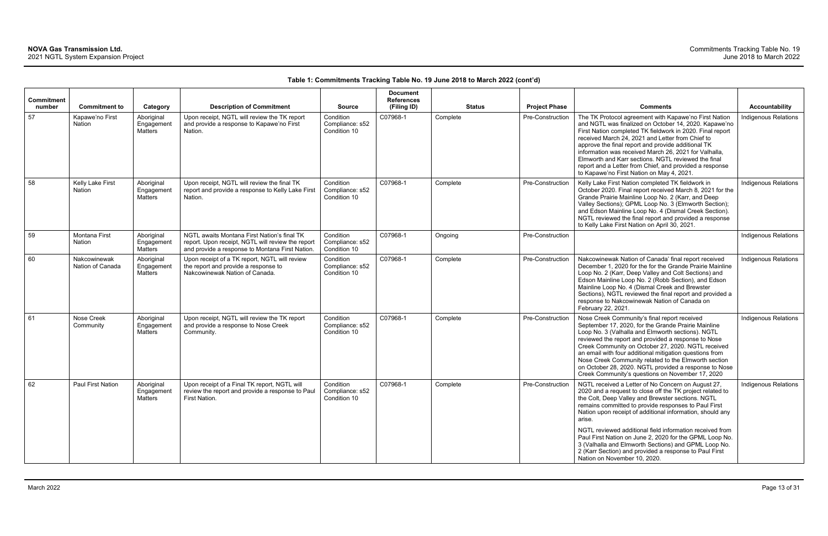| Commitment<br>number | <b>Commitment to</b>             | Category                                   | <b>Description of Commitment</b>                                                                                                                    | <b>Source</b>                                | <b>Document</b><br><b>References</b><br>(Filing ID) | <b>Status</b> | <b>Project Phase</b> | <b>Comments</b>                                                                                                                                                                                                                                                                                                                                                                                                                                                                                                                                                              | <b>Accountability</b>       |
|----------------------|----------------------------------|--------------------------------------------|-----------------------------------------------------------------------------------------------------------------------------------------------------|----------------------------------------------|-----------------------------------------------------|---------------|----------------------|------------------------------------------------------------------------------------------------------------------------------------------------------------------------------------------------------------------------------------------------------------------------------------------------------------------------------------------------------------------------------------------------------------------------------------------------------------------------------------------------------------------------------------------------------------------------------|-----------------------------|
| 57                   | Kapawe'no First<br>Nation        | Aboriginal<br>Engagement<br><b>Matters</b> | Upon receipt, NGTL will review the TK report<br>and provide a response to Kapawe'no First<br>Nation.                                                | Condition<br>Compliance: s52<br>Condition 10 | C07968-1                                            | Complete      | Pre-Construction     | The TK Protocol agreement with Kapawe'no First Nation<br>and NGTL was finalized on October 14, 2020. Kapawe'no<br>First Nation completed TK fieldwork in 2020. Final report<br>received March 24, 2021 and Letter from Chief to<br>approve the final report and provide additional TK<br>information was received March 26, 2021 for Valhalla,<br>Elmworth and Karr sections. NGTL reviewed the final<br>report and a Letter from Chief, and provided a response<br>to Kapawe'no First Nation on May 4, 2021.                                                                | <b>Indigenous Relations</b> |
| 58                   | Kelly Lake First<br>Nation       | Aboriginal<br>Engagement<br>Matters        | Upon receipt, NGTL will review the final TK<br>report and provide a response to Kelly Lake First<br>Nation.                                         | Condition<br>Compliance: s52<br>Condition 10 | C07968-1                                            | Complete      | Pre-Construction     | Kelly Lake First Nation completed TK fieldwork in<br>October 2020. Final report received March 8, 2021 for the<br>Grande Prairie Mainline Loop No. 2 (Karr, and Deep<br>Valley Sections); GPML Loop No. 3 (Elmworth Section);<br>and Edson Mainline Loop No. 4 (Dismal Creek Section).<br>NGTL reviewed the final report and provided a response<br>to Kelly Lake First Nation on April 30, 2021.                                                                                                                                                                            | Indigenous Relations        |
| 59                   | <b>Montana First</b><br>Nation   | Aboriginal<br>Engagement<br><b>Matters</b> | NGTL awaits Montana First Nation's final TK<br>report. Upon receipt, NGTL will review the report<br>and provide a response to Montana First Nation. | Condition<br>Compliance: s52<br>Condition 10 | C07968-1                                            | Ongoing       | Pre-Construction     |                                                                                                                                                                                                                                                                                                                                                                                                                                                                                                                                                                              | Indigenous Relations        |
| 60                   | Nakcowinewak<br>Nation of Canada | Aboriginal<br>Engagement<br><b>Matters</b> | Upon receipt of a TK report, NGTL will review<br>the report and provide a response to<br>Nakcowinewak Nation of Canada.                             | Condition<br>Compliance: s52<br>Condition 10 | C07968-1                                            | Complete      | Pre-Construction     | Nakcowinewak Nation of Canada' final report received<br>December 1, 2020 for the for the Grande Prairie Mainline<br>Loop No. 2 (Karr, Deep Valley and Colt Sections) and<br>Edson Mainline Loop No. 2 (Robb Section), and Edson<br>Mainline Loop No. 4 (Dismal Creek and Brewster<br>Sections), NGTL reviewed the final report and provided a<br>response to Nakcowinewak Nation of Canada on<br>February 22, 2021.                                                                                                                                                          | <b>Indigenous Relations</b> |
| 61                   | Nose Creek<br>Community          | Aboriginal<br>Engagement<br>Matters        | Upon receipt, NGTL will review the TK report<br>and provide a response to Nose Creek<br>Community.                                                  | Condition<br>Compliance: s52<br>Condition 10 | C07968-1                                            | Complete      | Pre-Construction     | Nose Creek Community's final report received<br>September 17, 2020, for the Grande Prairie Mainline<br>Loop No. 3 (Valhalla and Elmworth sections). NGTL<br>reviewed the report and provided a response to Nose<br>Creek Community on October 27, 2020. NGTL received<br>an email with four additional mitigation questions from<br>Nose Creek Community related to the Elmworth section<br>on October 28, 2020. NGTL provided a response to Nose<br>Creek Community's questions on November 17, 2020                                                                        | Indigenous Relations        |
| 62                   | Paul First Nation                | Aboriginal<br>Engagement<br><b>Matters</b> | Upon receipt of a Final TK report, NGTL will<br>review the report and provide a response to Paul<br>First Nation.                                   | Condition<br>Compliance: s52<br>Condition 10 | C07968-1                                            | Complete      | Pre-Construction     | NGTL received a Letter of No Concern on August 27,<br>2020 and a request to close off the TK project related to<br>the Colt, Deep Valley and Brewster sections. NGTL<br>remains committed to provide responses to Paul First<br>Nation upon receipt of additional information, should any<br>arise.<br>NGTL reviewed additional field information received from<br>Paul First Nation on June 2, 2020 for the GPML Loop No.<br>3 (Valhalla and Elmworth Sections) and GPML Loop No.<br>2 (Karr Section) and provided a response to Paul First<br>Nation on November 10, 2020. | Indigenous Relations        |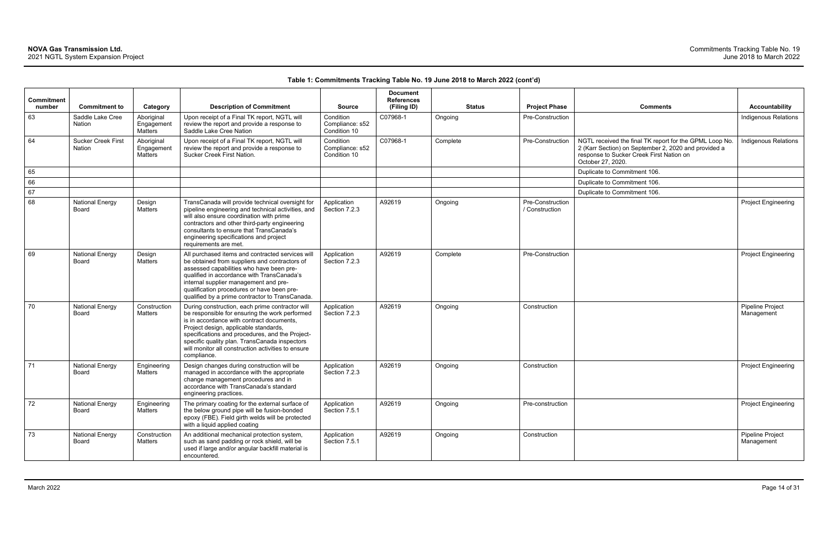|                             |                                     |                                            |                                                                                                                                                                                                                                                                                                                                                                  |                                              | <b>Document</b>                  |               |                                    |                                                                                                                                                                                  |                                |
|-----------------------------|-------------------------------------|--------------------------------------------|------------------------------------------------------------------------------------------------------------------------------------------------------------------------------------------------------------------------------------------------------------------------------------------------------------------------------------------------------------------|----------------------------------------------|----------------------------------|---------------|------------------------------------|----------------------------------------------------------------------------------------------------------------------------------------------------------------------------------|--------------------------------|
| <b>Commitment</b><br>number | <b>Commitment to</b>                | Category                                   | <b>Description of Commitment</b>                                                                                                                                                                                                                                                                                                                                 | <b>Source</b>                                | <b>References</b><br>(Filing ID) | <b>Status</b> | <b>Project Phase</b>               | <b>Comments</b>                                                                                                                                                                  | <b>Accountability</b>          |
| 63                          | Saddle Lake Cree<br>Nation          | Aboriginal<br>Engagement<br><b>Matters</b> | Upon receipt of a Final TK report, NGTL will<br>review the report and provide a response to<br>Saddle Lake Cree Nation                                                                                                                                                                                                                                           | Condition<br>Compliance: s52<br>Condition 10 | C07968-1                         | Ongoing       | Pre-Construction                   |                                                                                                                                                                                  | <b>Indigenous Relations</b>    |
| 64                          | <b>Sucker Creek First</b><br>Nation | Aboriginal<br>Engagement<br>Matters        | Upon receipt of a Final TK report, NGTL will<br>review the report and provide a response to<br>Sucker Creek First Nation.                                                                                                                                                                                                                                        | Condition<br>Compliance: s52<br>Condition 10 | C07968-1                         | Complete      | Pre-Construction                   | NGTL received the final TK report for the GPML Loop No.<br>2 (Karr Section) on September 2, 2020 and provided a<br>response to Sucker Creek First Nation on<br>October 27, 2020. | Indigenous Relations           |
| 65                          |                                     |                                            |                                                                                                                                                                                                                                                                                                                                                                  |                                              |                                  |               |                                    | Duplicate to Commitment 106.                                                                                                                                                     |                                |
| 66                          |                                     |                                            |                                                                                                                                                                                                                                                                                                                                                                  |                                              |                                  |               |                                    | Duplicate to Commitment 106.                                                                                                                                                     |                                |
| 67                          |                                     |                                            |                                                                                                                                                                                                                                                                                                                                                                  |                                              |                                  |               |                                    | Duplicate to Commitment 106.                                                                                                                                                     |                                |
| 68                          | <b>National Energy</b><br>Board     | Design<br>Matters                          | TransCanada will provide technical oversight for<br>pipeline engineering and technical activities, and<br>will also ensure coordination with prime<br>contractors and other third-party engineering<br>consultants to ensure that TransCanada's<br>engineering specifications and project<br>requirements are met.                                               | Application<br>Section 7.2.3                 | A92619                           | Ongoing       | Pre-Construction<br>/ Construction |                                                                                                                                                                                  | <b>Project Engineering</b>     |
| 69                          | <b>National Energy</b><br>Board     | Design<br>Matters                          | All purchased items and contracted services will<br>be obtained from suppliers and contractors of<br>assessed capabilities who have been pre-<br>qualified in accordance with TransCanada's<br>internal supplier management and pre-<br>qualification procedures or have been pre-<br>qualified by a prime contractor to TransCanada.                            | Application<br>Section 7.2.3                 | A92619                           | Complete      | Pre-Construction                   |                                                                                                                                                                                  | <b>Project Engineering</b>     |
| 70                          | <b>National Energy</b><br>Board     | Construction<br>Matters                    | During construction, each prime contractor will<br>be responsible for ensuring the work performed<br>is in accordance with contract documents,<br>Project design, applicable standards,<br>specifications and procedures, and the Project-<br>specific quality plan. TransCanada inspectors<br>will monitor all construction activities to ensure<br>compliance. | Application<br>Section 7.2.3                 | A92619                           | Ongoing       | Construction                       |                                                                                                                                                                                  | Pipeline Project<br>Management |
| 71                          | <b>National Energy</b><br>Board     | Engineering<br><b>Matters</b>              | Design changes during construction will be<br>managed in accordance with the appropriate<br>change management procedures and in<br>accordance with TransCanada's standard<br>engineering practices.                                                                                                                                                              | Application<br>Section 7.2.3                 | A92619                           | Ongoing       | Construction                       |                                                                                                                                                                                  | <b>Project Engineering</b>     |
| 72                          | <b>National Energy</b><br>Board     | Engineering<br>Matters                     | The primary coating for the external surface of<br>the below ground pipe will be fusion-bonded<br>epoxy (FBE). Field girth welds will be protected<br>with a liquid applied coating                                                                                                                                                                              | Application<br>Section 7.5.1                 | A92619                           | Ongoing       | Pre-construction                   |                                                                                                                                                                                  | <b>Project Engineering</b>     |
| 73                          | <b>National Energy</b><br>Board     | Construction<br>Matters                    | An additional mechanical protection system,<br>such as sand padding or rock shield, will be<br>used if large and/or angular backfill material is<br>encountered.                                                                                                                                                                                                 | Application<br>Section 7.5.1                 | A92619                           | Ongoing       | Construction                       |                                                                                                                                                                                  | Pipeline Project<br>Management |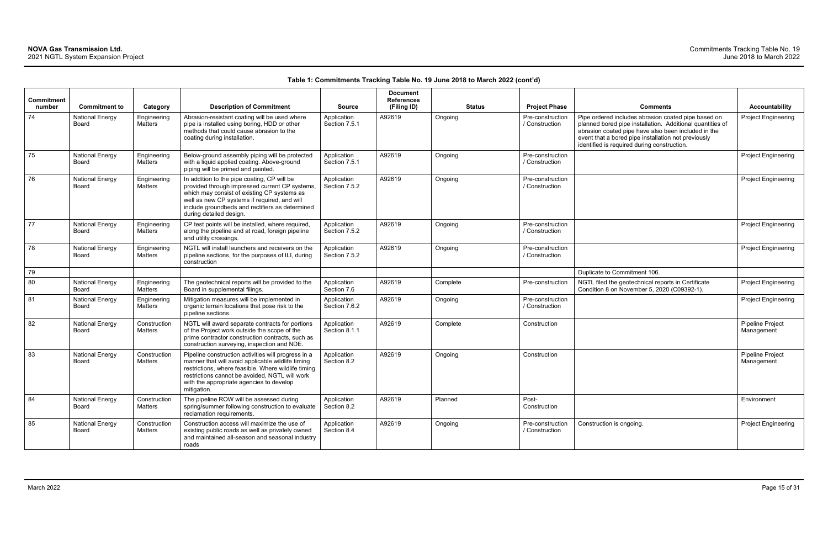| <b>Commitment</b><br>number | <b>Commitment to</b>                   | Category                | <b>Description of Commitment</b>                                                                                                                                                                                                                                             | <b>Source</b>                | <b>Document</b><br><b>References</b><br>(Filing ID) |          | <b>Status</b> | <b>Project Phase</b>               | <b>Comments</b>                                                                                                                                                                                                                                                               | Accountability                 |
|-----------------------------|----------------------------------------|-------------------------|------------------------------------------------------------------------------------------------------------------------------------------------------------------------------------------------------------------------------------------------------------------------------|------------------------------|-----------------------------------------------------|----------|---------------|------------------------------------|-------------------------------------------------------------------------------------------------------------------------------------------------------------------------------------------------------------------------------------------------------------------------------|--------------------------------|
| 74                          | <b>National Energy</b><br>Board        | Engineering<br>Matters  | Abrasion-resistant coating will be used where<br>pipe is installed using boring, HDD or other<br>methods that could cause abrasion to the<br>coating during installation.                                                                                                    | Application<br>Section 7.5.1 | A92619                                              | Ongoing  |               | Pre-construction<br>/ Construction | Pipe ordered includes abrasion coated pipe based on<br>planned bored pipe installation. Additional quantities of<br>abrasion coated pipe have also been included in the<br>event that a bored pipe installation not previously<br>identified is required during construction. | Project Engineerin             |
| 75                          | <b>National Energy</b><br>Board        | Engineering<br>Matters  | Below-ground assembly piping will be protected<br>with a liquid applied coating. Above-ground<br>piping will be primed and painted.                                                                                                                                          | Application<br>Section 7.5.1 | A92619                                              | Ongoing  |               | Pre-construction<br>/ Construction |                                                                                                                                                                                                                                                                               | Project Engineerin             |
| 76                          | <b>National Energy</b><br>Board        | Engineering<br>Matters  | In addition to the pipe coating, CP will be<br>provided through impressed current CP systems,<br>which may consist of existing CP systems as<br>well as new CP systems if required, and will<br>include groundbeds and rectifiers as determined<br>during detailed design.   | Application<br>Section 7.5.2 | A92619                                              | Ongoing  |               | Pre-construction<br>/ Construction |                                                                                                                                                                                                                                                                               | Project Engineerin             |
| 77                          | <b>National Energy</b><br><b>Board</b> | Engineering<br>Matters  | CP test points will be installed, where required,<br>along the pipeline and at road, foreign pipeline<br>and utility crossings.                                                                                                                                              | Application<br>Section 7.5.2 | A92619                                              | Ongoing  |               | Pre-construction<br>/ Construction |                                                                                                                                                                                                                                                                               | Project Engineerin             |
| 78                          | <b>National Energy</b><br>Board        | Engineering<br>Matters  | NGTL will install launchers and receivers on the<br>pipeline sections, for the purposes of ILI, during<br>construction                                                                                                                                                       | Application<br>Section 7.5.2 | A92619                                              | Ongoing  |               | Pre-construction<br>/ Construction |                                                                                                                                                                                                                                                                               | Project Engineerin             |
| 79                          |                                        |                         |                                                                                                                                                                                                                                                                              |                              |                                                     |          |               |                                    | Duplicate to Commitment 106.                                                                                                                                                                                                                                                  |                                |
| 80                          | <b>National Energy</b><br><b>Board</b> | Engineering<br>Matters  | The geotechnical reports will be provided to the<br>Board in supplemental filings.                                                                                                                                                                                           | Application<br>Section 7.6   | A92619                                              | Complete |               | Pre-construction                   | NGTL filed the geotechnical reports in Certificate<br>Condition 8 on November 5, 2020 (C09392-1).                                                                                                                                                                             | Project Engineerin             |
| 81                          | <b>National Energy</b><br><b>Board</b> | Engineering<br>Matters  | Mitigation measures will be implemented in<br>organic terrain locations that pose risk to the<br>pipeline sections.                                                                                                                                                          | Application<br>Section 7.6.2 | A92619                                              | Ongoing  |               | Pre-construction<br>/ Construction |                                                                                                                                                                                                                                                                               | Project Engineerin             |
| 82                          | <b>National Energy</b><br>Board        | Construction<br>Matters | NGTL will award separate contracts for portions<br>of the Project work outside the scope of the<br>prime contractor construction contracts, such as<br>construction surveying, inspection and NDE.                                                                           | Application<br>Section 8.1.1 | A92619                                              | Complete |               | Construction                       |                                                                                                                                                                                                                                                                               | Pipeline Project<br>Management |
| 83                          | <b>National Energy</b><br>Board        | Construction<br>Matters | Pipeline construction activities will progress in a<br>manner that will avoid applicable wildlife timing<br>restrictions, where feasible. Where wildlife timing<br>restrictions cannot be avoided, NGTL will work<br>with the appropriate agencies to develop<br>mitigation. | Application<br>Section 8.2   | A92619                                              | Ongoing  |               | Construction                       |                                                                                                                                                                                                                                                                               | Pipeline Project<br>Management |
| 84                          | <b>National Energy</b><br>Board        | Construction<br>Matters | The pipeline ROW will be assessed during<br>spring/summer following construction to evaluate<br>reclamation requirements.                                                                                                                                                    | Application<br>Section 8.2   | A92619                                              | Planned  |               | Post-<br>Construction              |                                                                                                                                                                                                                                                                               | Environment                    |
| 85                          | <b>National Energy</b><br>Board        | Construction<br>Matters | Construction access will maximize the use of<br>existing public roads as well as privately owned<br>and maintained all-season and seasonal industry<br>roads                                                                                                                 | Application<br>Section 8.4   | A92619                                              | Ongoing  |               | Pre-construction<br>/ Construction | Construction is ongoing.                                                                                                                                                                                                                                                      | Project Engineerin             |

| Comments                                                                                                                                                                                                                                                                      | <b>Accountability</b>          |
|-------------------------------------------------------------------------------------------------------------------------------------------------------------------------------------------------------------------------------------------------------------------------------|--------------------------------|
| Pipe ordered includes abrasion coated pipe based on<br>planned bored pipe installation. Additional quantities of<br>abrasion coated pipe have also been included in the<br>event that a bored pipe installation not previously<br>identified is required during construction. | <b>Project Engineering</b>     |
|                                                                                                                                                                                                                                                                               | Project Engineering            |
|                                                                                                                                                                                                                                                                               | <b>Project Engineering</b>     |
|                                                                                                                                                                                                                                                                               | <b>Project Engineering</b>     |
|                                                                                                                                                                                                                                                                               | <b>Project Engineering</b>     |
| Duplicate to Commitment 106.                                                                                                                                                                                                                                                  |                                |
| NGTL filed the geotechnical reports in Certificate<br>Condition 8 on November 5, 2020 (C09392-1).                                                                                                                                                                             | <b>Project Engineering</b>     |
|                                                                                                                                                                                                                                                                               | <b>Project Engineering</b>     |
|                                                                                                                                                                                                                                                                               | Pipeline Project<br>Management |
|                                                                                                                                                                                                                                                                               | Pipeline Project<br>Management |
|                                                                                                                                                                                                                                                                               | Environment                    |
| Construction is ongoing.                                                                                                                                                                                                                                                      | <b>Project Engineering</b>     |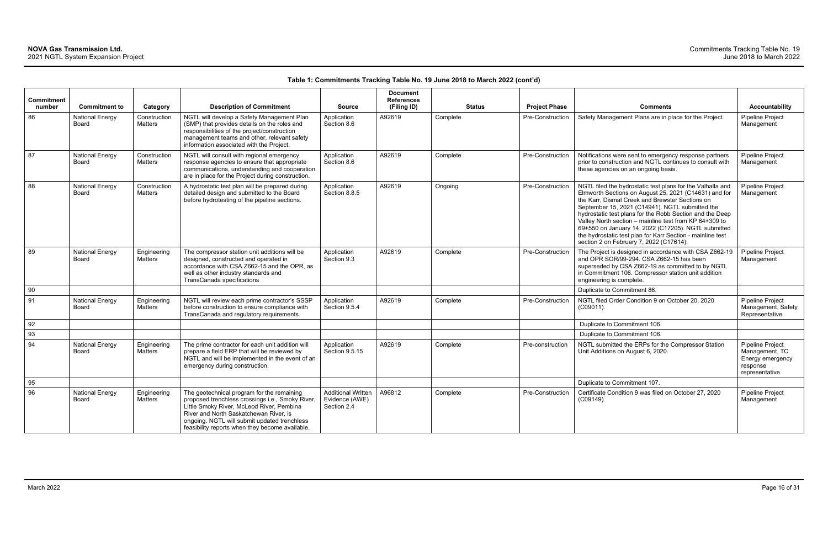|                             |                                        |                                |                                                                                                                                                                                                                                                                                          |                                                            | <b>Document</b>                  |               |                         |                                                                                                                                                                                                                                                                                                                                                                                                                                                                                                                 |                                                                                      |
|-----------------------------|----------------------------------------|--------------------------------|------------------------------------------------------------------------------------------------------------------------------------------------------------------------------------------------------------------------------------------------------------------------------------------|------------------------------------------------------------|----------------------------------|---------------|-------------------------|-----------------------------------------------------------------------------------------------------------------------------------------------------------------------------------------------------------------------------------------------------------------------------------------------------------------------------------------------------------------------------------------------------------------------------------------------------------------------------------------------------------------|--------------------------------------------------------------------------------------|
| <b>Commitment</b><br>number | <b>Commitment to</b>                   | Category                       | <b>Description of Commitment</b>                                                                                                                                                                                                                                                         | <b>Source</b>                                              | <b>References</b><br>(Filing ID) | <b>Status</b> | <b>Project Phase</b>    | <b>Comments</b>                                                                                                                                                                                                                                                                                                                                                                                                                                                                                                 | <b>Accountability</b>                                                                |
| 86                          | <b>National Energy</b><br>Board        | Construction<br>Matters        | NGTL will develop a Safety Management Plan<br>(SMP) that provides details on the roles and<br>responsibilities of the project/construction<br>management teams and other, relevant safety<br>information associated with the Project.                                                    | Application<br>Section 8.6                                 | A92619                           | Complete      | Pre-Construction        | Safety Management Plans are in place for the Project.                                                                                                                                                                                                                                                                                                                                                                                                                                                           | Pipeline Project<br>Management                                                       |
| 87                          | <b>National Energy</b><br><b>Board</b> | Construction<br><b>Matters</b> | NGTL will consult with regional emergency<br>response agencies to ensure that appropriate<br>communications, understanding and cooperation<br>are in place for the Project during construction.                                                                                          | Application<br>Section 8.6                                 | A92619                           | Complete      | Pre-Construction        | Notifications were sent to emergency response partners<br>prior to construction and NGTL continues to consult with<br>these agencies on an ongoing basis.                                                                                                                                                                                                                                                                                                                                                       | <b>Pipeline Project</b><br>Management                                                |
| 88                          | <b>National Energy</b><br>Board        | Construction<br><b>Matters</b> | A hydrostatic test plan will be prepared during<br>detailed design and submitted to the Board<br>before hydrotesting of the pipeline sections.                                                                                                                                           | Application<br>Section 8.8.5                               | A92619                           | Ongoing       | <b>Pre-Construction</b> | NGTL filed the hydrostatic test plans for the Valhalla and<br>Elmworth Sections on August 25, 2021 (C14631) and for<br>the Karr, Dismal Creek and Brewster Sections on<br>September 15, 2021 (C14941). NGTL submitted the<br>hydrostatic test plans for the Robb Section and the Deep<br>Valley North section - mainline test from KP 64+309 to<br>69+550 on January 14, 2022 (C17205). NGTL submitted<br>the hydrostatic test plan for Karr Section - mainline test<br>section 2 on February 7, 2022 (C17614). | Pipeline Project<br>Management                                                       |
| 89                          | <b>National Energy</b><br>Board        | Engineering<br><b>Matters</b>  | The compressor station unit additions will be<br>designed, constructed and operated in<br>accordance with CSA Z662-15 and the OPR, as<br>well as other industry standards and<br>TransCanada specifications                                                                              | Application<br>Section 9.3                                 | A92619                           | Complete      | Pre-Construction        | The Project is designed in accordance with CSA Z662-19<br>and OPR SOR/99-294. CSA Z662-15 has been<br>superseded by CSA Z662-19 as committed to by NGTL<br>in Commitment 106. Compressor station unit addition<br>engineering is complete.                                                                                                                                                                                                                                                                      | Pipeline Project<br>Management                                                       |
| 90                          |                                        |                                |                                                                                                                                                                                                                                                                                          |                                                            |                                  |               |                         | Duplicate to Commitment 86.                                                                                                                                                                                                                                                                                                                                                                                                                                                                                     |                                                                                      |
| 91                          | <b>National Energy</b><br>Board        | Engineering<br>Matters         | NGTL will review each prime contractor's SSSP<br>before construction to ensure compliance with<br>TransCanada and regulatory requirements.                                                                                                                                               | Application<br>Section 9.5.4                               | A92619                           | Complete      | Pre-Construction        | NGTL filed Order Condition 9 on October 20, 2020<br>$(C09011)$ .                                                                                                                                                                                                                                                                                                                                                                                                                                                | Pipeline Project<br>Management, Safety<br>Representative                             |
| 92                          |                                        |                                |                                                                                                                                                                                                                                                                                          |                                                            |                                  |               |                         | Duplicate to Commitment 106.                                                                                                                                                                                                                                                                                                                                                                                                                                                                                    |                                                                                      |
| 93                          |                                        |                                |                                                                                                                                                                                                                                                                                          |                                                            |                                  |               |                         | Duplicate to Commitment 106.                                                                                                                                                                                                                                                                                                                                                                                                                                                                                    |                                                                                      |
| 94                          | <b>National Energy</b><br>Board        | Engineering<br>Matters         | The prime contractor for each unit addition will<br>prepare a field ERP that will be reviewed by<br>NGTL and will be implemented in the event of an<br>emergency during construction.                                                                                                    | Application<br>Section 9.5.15                              | A92619                           | Complete      | Pre-construction        | NGTL submitted the ERPs for the Compressor Station<br>Unit Additions on August 6, 2020.                                                                                                                                                                                                                                                                                                                                                                                                                         | Pipeline Project<br>Management, TC<br>Energy emergency<br>response<br>representative |
| 95                          |                                        |                                |                                                                                                                                                                                                                                                                                          |                                                            |                                  |               |                         | Duplicate to Commitment 107.                                                                                                                                                                                                                                                                                                                                                                                                                                                                                    |                                                                                      |
| 96                          | <b>National Energy</b><br><b>Board</b> | Engineering<br><b>Matters</b>  | The geotechnical program for the remaining<br>proposed trenchless crossings i.e., Smoky River,<br>Little Smoky River, McLeod River, Pembina<br>River and North Saskatchewan River, is<br>ongoing. NGTL will submit updated trenchless<br>feasibility reports when they become available. | <b>Additional Written</b><br>Evidence (AWE)<br>Section 2.4 | A96812                           | Complete      | Pre-Construction        | Certificate Condition 9 was filed on October 27, 2020<br>(C09149).                                                                                                                                                                                                                                                                                                                                                                                                                                              | Pipeline Project<br>Management                                                       |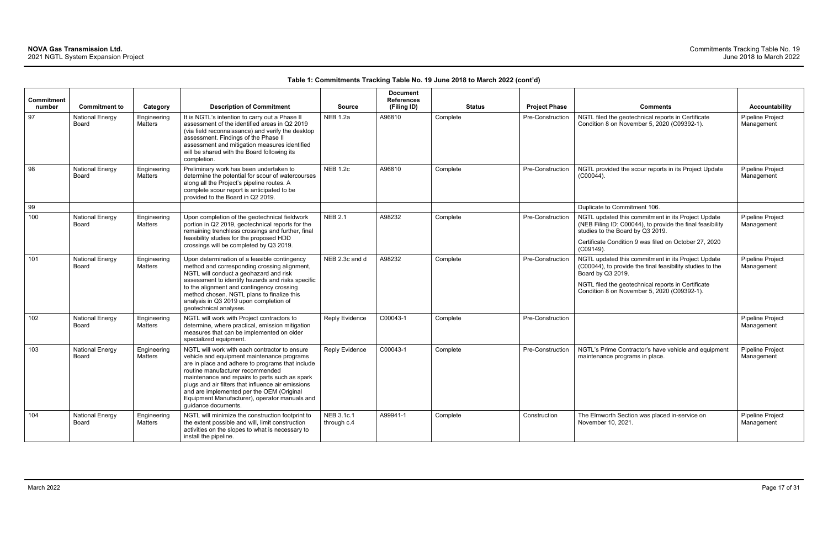| <b>Commitment</b><br>number | <b>Commitment to</b>            | Category               | <b>Description of Commitment</b>                                                                                                                                                                                                                                                                                                                                                                                 | <b>Source</b>             | <b>Document</b><br><b>References</b><br>(Filing ID) | <b>Status</b> | <b>Project Phase</b> | <b>Comments</b>                                                                                                                                                                                                                           | <b>Accountability</b>          |
|-----------------------------|---------------------------------|------------------------|------------------------------------------------------------------------------------------------------------------------------------------------------------------------------------------------------------------------------------------------------------------------------------------------------------------------------------------------------------------------------------------------------------------|---------------------------|-----------------------------------------------------|---------------|----------------------|-------------------------------------------------------------------------------------------------------------------------------------------------------------------------------------------------------------------------------------------|--------------------------------|
| 97                          | <b>National Energy</b><br>Board | Engineering<br>Matters | It is NGTL's intention to carry out a Phase II<br>assessment of the identified areas in Q2 2019<br>(via field reconnaissance) and verify the desktop<br>assessment. Findings of the Phase II<br>assessment and mitigation measures identified<br>will be shared with the Board following its<br>completion.                                                                                                      | <b>NEB 1.2a</b>           | A96810                                              | Complete      | Pre-Construction     | NGTL filed the geotechnical reports in Certificate<br>Condition 8 on November 5, 2020 (C09392-1).                                                                                                                                         | Pipeline Project<br>Management |
| 98                          | <b>National Energy</b><br>Board | Engineering<br>Matters | Preliminary work has been undertaken to<br>determine the potential for scour of watercourses<br>along all the Project's pipeline routes. A<br>complete scour report is anticipated to be<br>provided to the Board in Q2 2019.                                                                                                                                                                                    | <b>NEB 1.2c</b>           | A96810                                              | Complete      | Pre-Construction     | NGTL provided the scour reports in its Project Update<br>$(C00044)$ .                                                                                                                                                                     | Pipeline Project<br>Management |
| 99                          |                                 |                        |                                                                                                                                                                                                                                                                                                                                                                                                                  |                           |                                                     |               |                      | Duplicate to Commitment 106.                                                                                                                                                                                                              |                                |
| 100                         | <b>National Energy</b><br>Board | Engineering<br>Matters | Upon completion of the geotechnical fieldwork<br>portion in Q2 2019, geotechnical reports for the<br>remaining trenchless crossings and further, final<br>feasibility studies for the proposed HDD<br>crossings will be completed by Q3 2019.                                                                                                                                                                    | <b>NEB 2.1</b>            | A98232                                              | Complete      | Pre-Construction     | NGTL updated this commitment in its Project Update<br>(NEB Filing ID: C00044), to provide the final feasibility<br>studies to the Board by Q3 2019.<br>Certificate Condition 9 was filed on October 27, 2020<br>(C09149).                 | Pipeline Project<br>Management |
| 101                         | <b>National Energy</b><br>Board | Engineering<br>Matters | Upon determination of a feasible contingency<br>method and corresponding crossing alignment,<br>NGTL will conduct a geohazard and risk<br>assessment to identify hazards and risks specific<br>to the alignment and contingency crossing<br>method chosen. NGTL plans to finalize this<br>analysis in Q3 2019 upon completion of<br>geotechnical analyses.                                                       | NEB 2.3c and d            | A98232                                              | Complete      | Pre-Construction     | NGTL updated this commitment in its Project Update<br>(C00044), to provide the final feasibility studies to the<br>Board by Q3 2019.<br>NGTL filed the geotechnical reports in Certificate<br>Condition 8 on November 5, 2020 (C09392-1). | Pipeline Project<br>Management |
| 102                         | <b>National Energy</b><br>Board | Engineering<br>Matters | NGTL will work with Project contractors to<br>determine, where practical, emission mitigation<br>measures that can be implemented on older<br>specialized equipment.                                                                                                                                                                                                                                             | <b>Reply Evidence</b>     | C00043-1                                            | Complete      | Pre-Construction     |                                                                                                                                                                                                                                           | Pipeline Project<br>Management |
| 103                         | <b>National Energy</b><br>Board | Engineering<br>Matters | NGTL will work with each contractor to ensure<br>vehicle and equipment maintenance programs<br>are in place and adhere to programs that include<br>routine manufacturer recommended<br>maintenance and repairs to parts such as spark<br>plugs and air filters that influence air emissions<br>and are implemented per the OEM (Original<br>Equipment Manufacturer), operator manuals and<br>guidance documents. | Reply Evidence            | C00043-1                                            | Complete      | Pre-Construction     | NGTL's Prime Contractor's have vehicle and equipment<br>maintenance programs in place.                                                                                                                                                    | Pipeline Project<br>Management |
| 104                         | <b>National Energy</b><br>Board | Engineering<br>Matters | NGTL will minimize the construction footprint to<br>the extent possible and will, limit construction<br>activities on the slopes to what is necessary to<br>install the pipeline.                                                                                                                                                                                                                                | NEB 3.1c.1<br>through c.4 | A99941-1                                            | Complete      | Construction         | The Elmworth Section was placed in-service on<br>November 10, 2021.                                                                                                                                                                       | Pipeline Project<br>Management |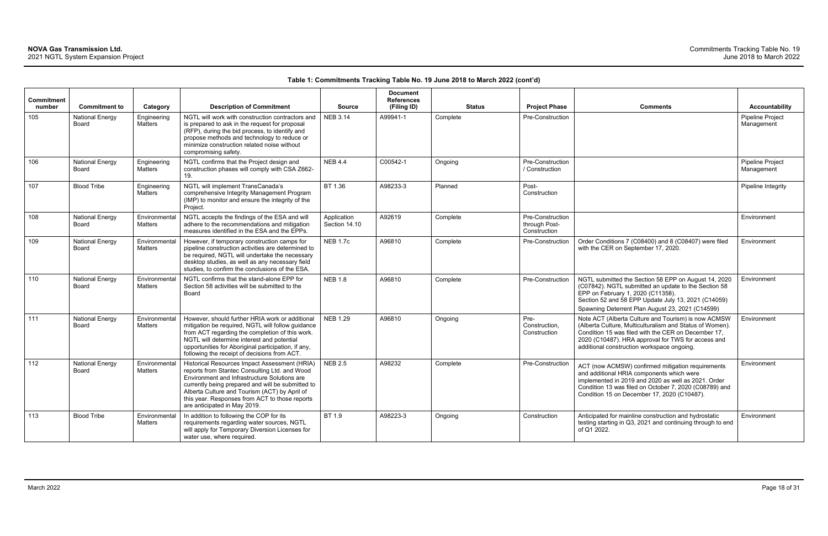| <b>Commitment</b><br>number | <b>Commitment to</b>            | Category                        | <b>Description of Commitment</b>                                                                                                                                                                                                                                                                                                       | <b>Source</b>                | <b>Document</b><br><b>References</b><br>(Filing ID) | <b>Status</b> | <b>Project Phase</b>                              | <b>Comments</b>                                                                                                                                                                                                                                                            | Accountability                        |
|-----------------------------|---------------------------------|---------------------------------|----------------------------------------------------------------------------------------------------------------------------------------------------------------------------------------------------------------------------------------------------------------------------------------------------------------------------------------|------------------------------|-----------------------------------------------------|---------------|---------------------------------------------------|----------------------------------------------------------------------------------------------------------------------------------------------------------------------------------------------------------------------------------------------------------------------------|---------------------------------------|
| 105                         | <b>National Energy</b><br>Board | Engineering<br>Matters          | NGTL will work with construction contractors and<br>is prepared to ask in the request for proposal<br>(RFP), during the bid process, to identify and<br>propose methods and technology to reduce or<br>minimize construction related noise without<br>compromising safety.                                                             | <b>NEB 3.14</b>              | A99941-1                                            | Complete      | Pre-Construction                                  |                                                                                                                                                                                                                                                                            | <b>Pipeline Project</b><br>Management |
| 106                         | <b>National Energy</b><br>Board | Engineering<br><b>Matters</b>   | NGTL confirms that the Project design and<br>construction phases will comply with CSA Z662-<br>19.                                                                                                                                                                                                                                     | <b>NEB 4.4</b>               | C00542-1                                            | Ongoing       | Pre-Construction<br>/ Construction                |                                                                                                                                                                                                                                                                            | <b>Pipeline Project</b><br>Management |
| 107                         | <b>Blood Tribe</b>              | Engineering<br>Matters          | NGTL will implement TransCanada's<br>comprehensive Integrity Management Program<br>(IMP) to monitor and ensure the integrity of the<br>Project.                                                                                                                                                                                        | BT 1.36                      | A98233-3                                            | Planned       | Post-<br>Construction                             |                                                                                                                                                                                                                                                                            | Pipeline Integrity                    |
| 108                         | <b>National Energy</b><br>Board | Environmental<br><b>Matters</b> | NGTL accepts the findings of the ESA and will<br>adhere to the recommendations and mitigation<br>measures identified in the ESA and the EPPs.                                                                                                                                                                                          | Application<br>Section 14.10 | A92619                                              | Complete      | Pre-Construction<br>through Post-<br>Construction |                                                                                                                                                                                                                                                                            | Environment                           |
| 109                         | <b>National Energy</b><br>Board | Environmental<br><b>Matters</b> | However, if temporary construction camps for<br>pipeline construction activities are determined to<br>be required, NGTL will undertake the necessary<br>desktop studies, as well as any necessary field<br>studies, to confirm the conclusions of the ESA.                                                                             | <b>NEB 1.7c</b>              | A96810                                              | Complete      | Pre-Construction                                  | Order Conditions 7 (C08400) and 8 (C08407) were filed<br>with the CER on September 17, 2020.                                                                                                                                                                               | Environment                           |
| 110                         | <b>National Energy</b><br>Board | Environmental<br>Matters        | NGTL confirms that the stand-alone EPP for<br>Section 58 activities will be submitted to the<br>Board                                                                                                                                                                                                                                  | <b>NEB 1.8</b>               | A96810                                              | Complete      | Pre-Construction                                  | NGTL submitted the Section 58 EPP on August 14, 2020<br>(C07842). NGTL submitted an update to the Section 58<br>EPP on February 1, 2020 (C11358).<br>Section 52 and 58 EPP Update July 13, 2021 (C14059)<br>Spawning Deterrent Plan August 23, 2021 (C14599)               | Environment                           |
| 111                         | <b>National Energy</b><br>Board | Environmental<br><b>Matters</b> | However, should further HRIA work or additional<br>mitigation be required, NGTL will follow guidance<br>from ACT regarding the completion of this work.<br>NGTL will determine interest and potential<br>opportunities for Aboriginal participation, if any,<br>following the receipt of decisions from ACT.                           | <b>NEB 1.29</b>              | A96810                                              | Ongoing       | Pre-<br>Construction,<br>Construction             | Note ACT (Alberta Culture and Tourism) is now ACMSW<br>(Alberta Culture, Multiculturalism and Status of Women).<br>Condition 15 was filed with the CER on December 17,<br>2020 (C10487). HRA approval for TWS for access and<br>additional construction workspace ongoing. | Environment                           |
| 112                         | <b>National Energy</b><br>Board | Environmental<br><b>Matters</b> | Historical Resources Impact Assessment (HRIA)<br>reports from Stantec Consulting Ltd. and Wood<br>Environment and Infrastructure Solutions are<br>currently being prepared and will be submitted to<br>Alberta Culture and Tourism (ACT) by April of<br>this year. Responses from ACT to those reports<br>are anticipated in May 2019. | <b>NEB 2.5</b>               | A98232                                              | Complete      | Pre-Construction                                  | ACT (now ACMSW) confirmed mitigation requirements<br>and additional HRIA components which were<br>implemented in 2019 and 2020 as well as 2021. Order<br>Condition 13 was filed on October 7, 2020 (C08789) and<br>Condition 15 on December 17, 2020 (C10487).             | Environment                           |
| 113                         | <b>Blood Tribe</b>              | Environmental<br><b>Matters</b> | In addition to following the COP for its<br>requirements regarding water sources, NGTL<br>will apply for Temporary Diversion Licenses for<br>water use, where required.                                                                                                                                                                | BT 1.9                       | A98223-3                                            | Ongoing       | Construction                                      | Anticipated for mainline construction and hydrostatic<br>testing starting in Q3, 2021 and continuing through to end<br>of Q1 2022.                                                                                                                                         | Environment                           |

| Comments                                                                                                                                                                                                                                                                   | <b>Accountability</b>          |
|----------------------------------------------------------------------------------------------------------------------------------------------------------------------------------------------------------------------------------------------------------------------------|--------------------------------|
|                                                                                                                                                                                                                                                                            | Pipeline Project<br>Management |
|                                                                                                                                                                                                                                                                            | Pipeline Project<br>Management |
|                                                                                                                                                                                                                                                                            | Pipeline Integrity             |
|                                                                                                                                                                                                                                                                            | Environment                    |
| Order Conditions 7 (C08400) and 8 (C08407) were filed<br>with the CER on September 17, 2020.                                                                                                                                                                               | Environment                    |
| NGTL submitted the Section 58 EPP on August 14, 2020<br>(C07842). NGTL submitted an update to the Section 58<br>EPP on February 1, 2020 (C11358).<br>Section 52 and 58 EPP Update July 13, 2021 (C14059)<br>Spawning Deterrent Plan August 23, 2021 (C14599)               | Environment                    |
| Note ACT (Alberta Culture and Tourism) is now ACMSW<br>(Alberta Culture, Multiculturalism and Status of Women).<br>Condition 15 was filed with the CER on December 17,<br>2020 (C10487). HRA approval for TWS for access and<br>additional construction workspace ongoing. | Environment                    |
| ACT (now ACMSW) confirmed mitigation requirements<br>and additional HRIA components which were<br>implemented in 2019 and 2020 as well as 2021. Order<br>Condition 13 was filed on October 7, 2020 (C08789) and<br>Condition 15 on December 17, 2020 (C10487).             | Environment                    |
| Anticipated for mainline construction and hydrostatic<br>testing starting in Q3, 2021 and continuing through to end<br>of Q1 2022.                                                                                                                                         | Environment                    |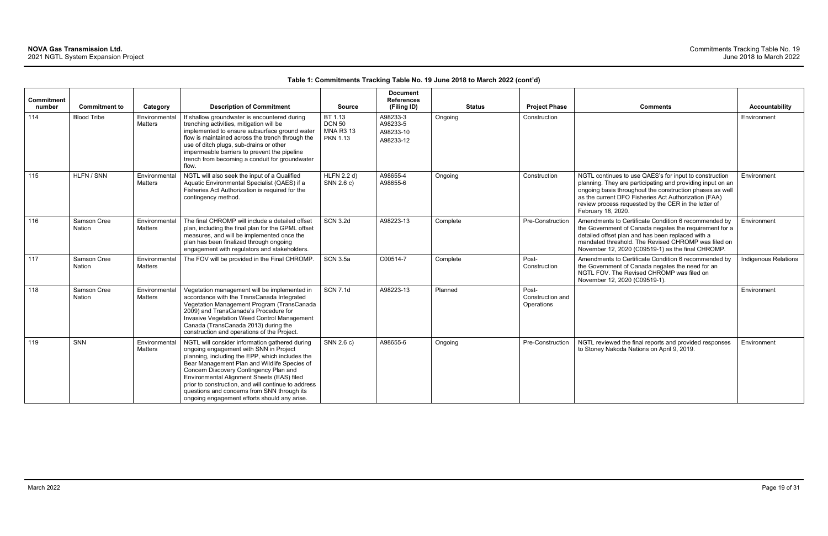| Commitment<br>number | <b>Commitment to</b>         | Category                        | <b>Description of Commitment</b>                                                                                                                                                                                                                                                                                                                                                                                                          | <b>Source</b>                                                   | <b>Document</b><br><b>References</b><br>(Filing ID) | <b>Status</b> | <b>Project Phase</b>                    | <b>Comments</b>                                                                                                                                                                                                                                                                                                        | Accountability              |
|----------------------|------------------------------|---------------------------------|-------------------------------------------------------------------------------------------------------------------------------------------------------------------------------------------------------------------------------------------------------------------------------------------------------------------------------------------------------------------------------------------------------------------------------------------|-----------------------------------------------------------------|-----------------------------------------------------|---------------|-----------------------------------------|------------------------------------------------------------------------------------------------------------------------------------------------------------------------------------------------------------------------------------------------------------------------------------------------------------------------|-----------------------------|
| 114                  | <b>Blood Tribe</b>           | Environmental<br><b>Matters</b> | If shallow groundwater is encountered during<br>trenching activities, mitigation will be<br>implemented to ensure subsurface ground water<br>flow is maintained across the trench through the<br>use of ditch plugs, sub-drains or other<br>impermeable barriers to prevent the pipeline<br>trench from becoming a conduit for groundwater<br>flow.                                                                                       | BT 1.13<br><b>DCN 50</b><br><b>MNA R3 13</b><br><b>PKN 1.13</b> | A98233-3<br>A98233-5<br>A98233-10<br>A98233-12      | Ongoing       | Construction                            |                                                                                                                                                                                                                                                                                                                        | Environment                 |
| 115                  | HLFN / SNN                   | Environmental<br><b>Matters</b> | NGTL will also seek the input of a Qualified<br>Aquatic Environmental Specialist (QAES) if a<br>Fisheries Act Authorization is required for the<br>contingency method.                                                                                                                                                                                                                                                                    | <b>HLFN 2.2 d)</b><br>SNN 2.6 c)                                | A98655-4<br>A98655-6                                | Ongoing       | Construction                            | NGTL continues to use QAES's for input to construction<br>planning. They are participating and providing input on an<br>ongoing basis throughout the construction phases as well<br>as the current DFO Fisheries Act Authorization (FAA)<br>review process requested by the CER in the letter of<br>February 18, 2020. | Environment                 |
| 116                  | Samson Cree<br><b>Nation</b> | Environmental<br><b>Matters</b> | The final CHROMP will include a detailed offset<br>plan, including the final plan for the GPML offset<br>measures, and will be implemented once the<br>plan has been finalized through ongoing<br>engagement with regulators and stakeholders.                                                                                                                                                                                            | <b>SCN 3.2d</b>                                                 | A98223-13                                           | Complete      | Pre-Construction                        | Amendments to Certificate Condition 6 recommended by<br>the Government of Canada negates the requirement for a<br>detailed offset plan and has been replaced with a<br>mandated threshold. The Revised CHROMP was filed on<br>November 12, 2020 (C09519-1) as the final CHROMP.                                        | Environment                 |
| 117                  | Samson Cree<br><b>Nation</b> | Environmental<br><b>Matters</b> | The FOV will be provided in the Final CHROMP.                                                                                                                                                                                                                                                                                                                                                                                             | <b>SCN 3.5a</b>                                                 | C00514-7                                            | Complete      | Post-<br>Construction                   | Amendments to Certificate Condition 6 recommended by<br>the Government of Canada negates the need for an<br>NGTL FOV. The Revised CHROMP was filed on<br>November 12, 2020 (C09519-1).                                                                                                                                 | <b>Indigenous Relations</b> |
| 118                  | Samson Cree<br><b>Nation</b> | Environmental<br>Matters        | Vegetation management will be implemented in<br>accordance with the TransCanada Integrated<br>Vegetation Management Program (TransCanada<br>2009) and TransCanada's Procedure for<br>Invasive Vegetation Weed Control Management<br>Canada (TransCanada 2013) during the<br>construction and operations of the Project                                                                                                                    | <b>SCN 7.1d</b>                                                 | A98223-13                                           | Planned       | Post-<br>Construction and<br>Operations |                                                                                                                                                                                                                                                                                                                        | Environment                 |
| 119                  | SNN                          | Environmental<br><b>Matters</b> | NGTL will consider information gathered during<br>ongoing engagement with SNN in Project<br>planning, including the EPP, which includes the<br>Bear Management Plan and Wildlife Species of<br>Concern Discovery Contingency Plan and<br>Environmental Alignment Sheets (EAS) filed<br>prior to construction, and will continue to address<br>questions and concerns from SNN through its<br>ongoing engagement efforts should any arise. | SNN 2.6 c)                                                      | A98655-6                                            | Ongoing       | Pre-Construction                        | NGTL reviewed the final reports and provided responses<br>to Stoney Nakoda Nations on April 9, 2019.                                                                                                                                                                                                                   | Environment                 |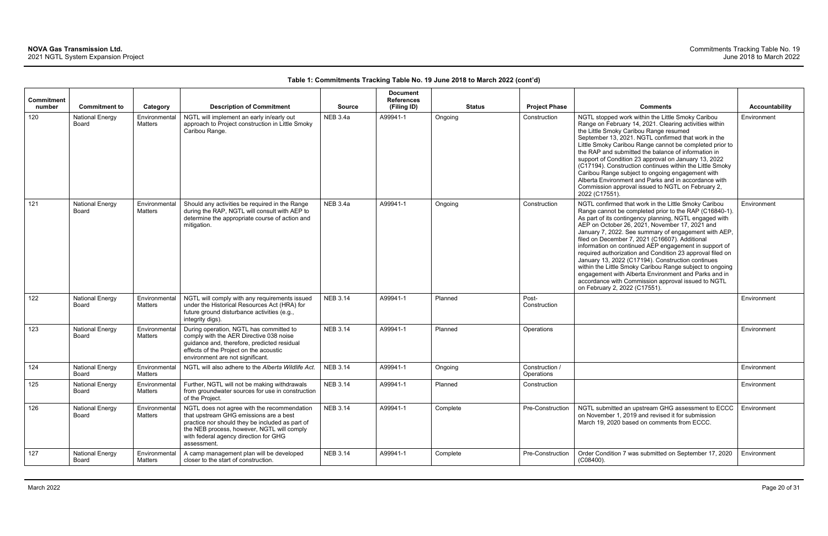| <b>Commitment</b><br>number | <b>Commitment to</b>                   | Category                 | <b>Description of Commitment</b>                                                                                                                                                                                                               | <b>Source</b>   | <b>Document</b><br><b>References</b><br>(Filing ID) |          | <b>Status</b> | <b>Project Phase</b>         | <b>Comments</b>                                                                                                                                                                                                                                                                                                                                                                                                                                                                                                                                                                                                                                                                                                            | Accountability |
|-----------------------------|----------------------------------------|--------------------------|------------------------------------------------------------------------------------------------------------------------------------------------------------------------------------------------------------------------------------------------|-----------------|-----------------------------------------------------|----------|---------------|------------------------------|----------------------------------------------------------------------------------------------------------------------------------------------------------------------------------------------------------------------------------------------------------------------------------------------------------------------------------------------------------------------------------------------------------------------------------------------------------------------------------------------------------------------------------------------------------------------------------------------------------------------------------------------------------------------------------------------------------------------------|----------------|
| 120                         | <b>National Energy</b><br>Board        | Environmental<br>Matters | NGTL will implement an early in/early out<br>approach to Project construction in Little Smoky<br>Caribou Range.                                                                                                                                | <b>NEB 3.4a</b> | A99941-1                                            | Ongoing  |               | Construction                 | NGTL stopped work within the Little Smoky Caribou<br>Range on February 14, 2021. Clearing activities within<br>the Little Smoky Caribou Range resumed<br>September 13, 2021. NGTL confirmed that work in the<br>Little Smoky Caribou Range cannot be completed prior to<br>the RAP and submitted the balance of information in<br>support of Condition 23 approval on January 13, 2022<br>(C17194). Construction continues within the Little Smoky<br>Caribou Range subject to ongoing engagement with<br>Alberta Environment and Parks and in accordance with<br>Commission approval issued to NGTL on February 2,<br>2022 (C17551).                                                                                      | Environment    |
| 121                         | <b>National Energy</b><br>Board        | Environmental<br>Matters | Should any activities be required in the Range<br>during the RAP, NGTL will consult with AEP to<br>determine the appropriate course of action and<br>mitigation.                                                                               | <b>NEB 3.4a</b> | A99941-1                                            | Ongoing  |               | Construction                 | NGTL confirmed that work in the Little Smoky Caribou<br>Range cannot be completed prior to the RAP (C16840-1).<br>As part of its contingency planning, NGTL engaged with<br>AEP on October 26, 2021, November 17, 2021 and<br>January 7, 2022. See summary of engagement with AEP,<br>filed on December 7, 2021 (C16607). Additional<br>information on continued AEP engagement in support of<br>required authorization and Condition 23 approval filed on<br>January 13, 2022 (C17194). Construction continues<br>within the Little Smoky Caribou Range subject to ongoing<br>engagement with Alberta Environment and Parks and in<br>accordance with Commission approval issued to NGTL<br>on February 2, 2022 (C17551). | Environment    |
| 122                         | <b>National Energy</b><br><b>Board</b> | Environmental<br>Matters | NGTL will comply with any requirements issued<br>under the Historical Resources Act (HRA) for<br>future ground disturbance activities (e.g.,<br>integrity digs).                                                                               | <b>NEB 3.14</b> | A99941-1                                            | Planned  |               | Post-<br>Construction        |                                                                                                                                                                                                                                                                                                                                                                                                                                                                                                                                                                                                                                                                                                                            | Environment    |
| 123                         | <b>National Energy</b><br>Board        | Environmental<br>Matters | During operation, NGTL has committed to<br>comply with the AER Directive 038 noise<br>guidance and, therefore, predicted residual<br>effects of the Project on the acoustic<br>environment are not significant.                                | <b>NEB 3.14</b> | A99941-1                                            | Planned  |               | Operations                   |                                                                                                                                                                                                                                                                                                                                                                                                                                                                                                                                                                                                                                                                                                                            | Environment    |
| 124                         | <b>National Energy</b><br>Board        | Environmental<br>Matters | NGTL will also adhere to the Alberta Wildlife Act.                                                                                                                                                                                             | <b>NEB 3.14</b> | A99941-1                                            | Ongoing  |               | Construction /<br>Operations |                                                                                                                                                                                                                                                                                                                                                                                                                                                                                                                                                                                                                                                                                                                            | Environment    |
| 125                         | <b>National Energy</b><br>Board        | Matters                  | Environmental   Further, NGTL will not be making withdrawals<br>from groundwater sources for use in construction<br>of the Project.                                                                                                            | <b>NEB 3.14</b> | A99941-1                                            | Planned  |               | Construction                 |                                                                                                                                                                                                                                                                                                                                                                                                                                                                                                                                                                                                                                                                                                                            | Environment    |
| 126                         | <b>National Energy</b><br>Board        | Environmental<br>Matters | NGTL does not agree with the recommendation<br>that upstream GHG emissions are a best<br>practice nor should they be included as part of<br>the NEB process, however, NGTL will comply<br>with federal agency direction for GHG<br>assessment. | <b>NEB 3.14</b> | A99941-1                                            | Complete |               | Pre-Construction             | NGTL submitted an upstream GHG assessment to ECCC<br>on November 1, 2019 and revised it for submission<br>March 19, 2020 based on comments from ECCC.                                                                                                                                                                                                                                                                                                                                                                                                                                                                                                                                                                      | Environment    |
| 127                         | <b>National Energy</b><br>Board        | Environmental<br>Matters | A camp management plan will be developed<br>closer to the start of construction.                                                                                                                                                               | <b>NEB 3.14</b> | A99941-1                                            | Complete |               | Pre-Construction             | Order Condition 7 was submitted on September 17, 2020<br>$(C08400)$ .                                                                                                                                                                                                                                                                                                                                                                                                                                                                                                                                                                                                                                                      | Environment    |

| Comments                                                                                                                                                                                                                                                                                                                                                                                                                                                                                                                                                                                                                                                                                                                   | <b>Accountability</b> |
|----------------------------------------------------------------------------------------------------------------------------------------------------------------------------------------------------------------------------------------------------------------------------------------------------------------------------------------------------------------------------------------------------------------------------------------------------------------------------------------------------------------------------------------------------------------------------------------------------------------------------------------------------------------------------------------------------------------------------|-----------------------|
| NGTL stopped work within the Little Smoky Caribou<br>Range on February 14, 2021. Clearing activities within<br>the Little Smoky Caribou Range resumed<br>September 13, 2021. NGTL confirmed that work in the<br>Little Smoky Caribou Range cannot be completed prior to<br>the RAP and submitted the balance of information in<br>support of Condition 23 approval on January 13, 2022<br>(C17194). Construction continues within the Little Smoky<br>Caribou Range subject to ongoing engagement with<br>Alberta Environment and Parks and in accordance with<br>Commission approval issued to NGTL on February 2,<br>2022 (C17551).                                                                                      | Environment           |
| NGTL confirmed that work in the Little Smoky Caribou<br>Range cannot be completed prior to the RAP (C16840-1).<br>As part of its contingency planning, NGTL engaged with<br>AEP on October 26, 2021, November 17, 2021 and<br>January 7, 2022. See summary of engagement with AEP,<br>filed on December 7, 2021 (C16607). Additional<br>information on continued AEP engagement in support of<br>required authorization and Condition 23 approval filed on<br>January 13, 2022 (C17194). Construction continues<br>within the Little Smoky Caribou Range subject to ongoing<br>engagement with Alberta Environment and Parks and in<br>accordance with Commission approval issued to NGTL<br>on February 2, 2022 (C17551). | Environment           |
|                                                                                                                                                                                                                                                                                                                                                                                                                                                                                                                                                                                                                                                                                                                            | Environment           |
|                                                                                                                                                                                                                                                                                                                                                                                                                                                                                                                                                                                                                                                                                                                            | Environment           |
|                                                                                                                                                                                                                                                                                                                                                                                                                                                                                                                                                                                                                                                                                                                            | Environment           |
|                                                                                                                                                                                                                                                                                                                                                                                                                                                                                                                                                                                                                                                                                                                            | Environment           |
| NGTL submitted an upstream GHG assessment to ECCC<br>on November 1, 2019 and revised it for submission<br>March 19, 2020 based on comments from ECCC.                                                                                                                                                                                                                                                                                                                                                                                                                                                                                                                                                                      | Environment           |
| Order Condition 7 was submitted on September 17, 2020<br>(C08400).                                                                                                                                                                                                                                                                                                                                                                                                                                                                                                                                                                                                                                                         | Environment           |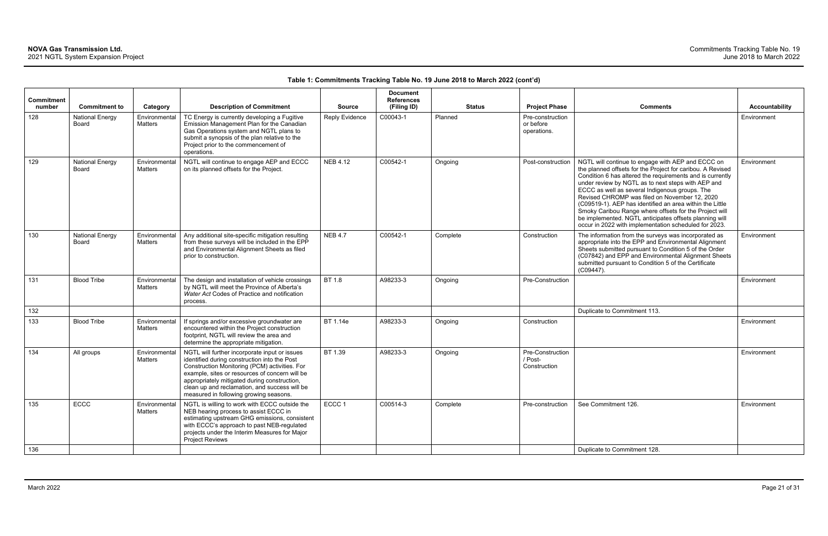| <b>Commitment</b><br>number | <b>Commitment to</b>            | Category                 | <b>Description of Commitment</b>                                                                                                                                                                                                                                                                                                            | <b>Source</b>   | <b>Document</b><br><b>References</b><br>(Filing ID) |          | <b>Status</b> | <b>Project Phase</b>                         | <b>Comments</b>                                                                                                                                                                                                                                                                                                                                                                                                                                                                                                                                                                | Accountability |
|-----------------------------|---------------------------------|--------------------------|---------------------------------------------------------------------------------------------------------------------------------------------------------------------------------------------------------------------------------------------------------------------------------------------------------------------------------------------|-----------------|-----------------------------------------------------|----------|---------------|----------------------------------------------|--------------------------------------------------------------------------------------------------------------------------------------------------------------------------------------------------------------------------------------------------------------------------------------------------------------------------------------------------------------------------------------------------------------------------------------------------------------------------------------------------------------------------------------------------------------------------------|----------------|
| 128                         | <b>National Energy</b><br>Board | Environmental<br>Matters | TC Energy is currently developing a Fugitive<br>Emission Management Plan for the Canadian<br>Gas Operations system and NGTL plans to<br>submit a synopsis of the plan relative to the<br>Project prior to the commencement of<br>operations.                                                                                                | Reply Evidence  | C00043-1                                            | Planned  |               | Pre-construction<br>or before<br>operations. |                                                                                                                                                                                                                                                                                                                                                                                                                                                                                                                                                                                | Environment    |
| 129                         | <b>National Energy</b><br>Board | Environmental<br>Matters | NGTL will continue to engage AEP and ECCC<br>on its planned offsets for the Project.                                                                                                                                                                                                                                                        | <b>NEB 4.12</b> | C00542-1                                            | Ongoing  |               | Post-construction                            | NGTL will continue to engage with AEP and ECCC on<br>the planned offsets for the Project for caribou. A Revised<br>Condition 6 has altered the requirements and is currently<br>under review by NGTL as to next steps with AEP and<br>ECCC as well as several Indigenous groups. The<br>Revised CHROMP was filed on November 12, 2020<br>(C09519-1). AEP has identified an area within the Little<br>Smoky Caribou Range where offsets for the Project will<br>be implemented. NGTL anticipates offsets planning will<br>occur in 2022 with implementation scheduled for 2023. | Environment    |
| 130                         | <b>National Energy</b><br>Board | Environmental<br>Matters | Any additional site-specific mitigation resulting<br>from these surveys will be included in the EPP<br>and Environmental Alignment Sheets as filed<br>prior to construction.                                                                                                                                                                | <b>NEB 4.7</b>  | C00542-1                                            | Complete |               | Construction                                 | The information from the surveys was incorporated as<br>appropriate into the EPP and Environmental Alignment<br>Sheets submitted pursuant to Condition 5 of the Order<br>(C07842) and EPP and Environmental Alignment Sheets<br>submitted pursuant to Condition 5 of the Certificate<br>$(C09447)$ .                                                                                                                                                                                                                                                                           | Environment    |
| 131                         | <b>Blood Tribe</b>              | Environmental<br>Matters | The design and installation of vehicle crossings<br>by NGTL will meet the Province of Alberta's<br>Water Act Codes of Practice and notification<br>process.                                                                                                                                                                                 | BT 1.8          | A98233-3                                            | Ongoing  |               | Pre-Construction                             |                                                                                                                                                                                                                                                                                                                                                                                                                                                                                                                                                                                | Environment    |
| 132                         |                                 |                          |                                                                                                                                                                                                                                                                                                                                             |                 |                                                     |          |               |                                              | Duplicate to Commitment 113.                                                                                                                                                                                                                                                                                                                                                                                                                                                                                                                                                   |                |
| 133                         | <b>Blood Tribe</b>              | Environmental<br>Matters | If springs and/or excessive groundwater are<br>encountered within the Project construction<br>footprint, NGTL will review the area and<br>determine the appropriate mitigation.                                                                                                                                                             | BT 1.14e        | A98233-3                                            | Ongoing  |               | Construction                                 |                                                                                                                                                                                                                                                                                                                                                                                                                                                                                                                                                                                | Environment    |
| 134                         | All groups                      | Environmental<br>Matters | NGTL will further incorporate input or issues<br>identified during construction into the Post<br>Construction Monitoring (PCM) activities. For<br>example, sites or resources of concern will be<br>appropriately mitigated during construction,<br>clean up and reclamation, and success will be<br>measured in following growing seasons. | BT 1.39         | A98233-3                                            | Ongoing  |               | Pre-Construction<br>/ Post-<br>Construction  |                                                                                                                                                                                                                                                                                                                                                                                                                                                                                                                                                                                | Environment    |
| 135                         | ECCC                            | Environmental<br>Matters | NGTL is willing to work with ECCC outside the<br>NEB hearing process to assist ECCC in<br>estimating upstream GHG emissions, consistent<br>with ECCC's approach to past NEB-regulated<br>projects under the Interim Measures for Major<br>Project Reviews                                                                                   | ECCC 1          | C00514-3                                            | Complete |               | Pre-construction                             | See Commitment 126.                                                                                                                                                                                                                                                                                                                                                                                                                                                                                                                                                            | Environment    |
| 136                         |                                 |                          |                                                                                                                                                                                                                                                                                                                                             |                 |                                                     |          |               |                                              | Duplicate to Commitment 128.                                                                                                                                                                                                                                                                                                                                                                                                                                                                                                                                                   |                |

| Comments                                                                                                                                                                                                                                                                                                                                                                                                                                                                                                                                                                       | <b>Accountability</b> |
|--------------------------------------------------------------------------------------------------------------------------------------------------------------------------------------------------------------------------------------------------------------------------------------------------------------------------------------------------------------------------------------------------------------------------------------------------------------------------------------------------------------------------------------------------------------------------------|-----------------------|
|                                                                                                                                                                                                                                                                                                                                                                                                                                                                                                                                                                                | Environment           |
| NGTL will continue to engage with AEP and ECCC on<br>the planned offsets for the Project for caribou. A Revised<br>Condition 6 has altered the requirements and is currently<br>under review by NGTL as to next steps with AEP and<br>ECCC as well as several Indigenous groups. The<br>Revised CHROMP was filed on November 12, 2020<br>(C09519-1). AEP has identified an area within the Little<br>Smoky Caribou Range where offsets for the Project will<br>be implemented. NGTL anticipates offsets planning will<br>occur in 2022 with implementation scheduled for 2023. | Environment           |
| The information from the surveys was incorporated as<br>appropriate into the EPP and Environmental Alignment<br>Sheets submitted pursuant to Condition 5 of the Order<br>(C07842) and EPP and Environmental Alignment Sheets<br>submitted pursuant to Condition 5 of the Certificate<br>(C09447).                                                                                                                                                                                                                                                                              | Environment           |
|                                                                                                                                                                                                                                                                                                                                                                                                                                                                                                                                                                                | Environment           |
| Duplicate to Commitment 113.                                                                                                                                                                                                                                                                                                                                                                                                                                                                                                                                                   |                       |
|                                                                                                                                                                                                                                                                                                                                                                                                                                                                                                                                                                                | Environment           |
|                                                                                                                                                                                                                                                                                                                                                                                                                                                                                                                                                                                | <b>Fnvironment</b>    |
| See Commitment 126.                                                                                                                                                                                                                                                                                                                                                                                                                                                                                                                                                            | Environment           |
| Duplicate to Commitment 128.                                                                                                                                                                                                                                                                                                                                                                                                                                                                                                                                                   |                       |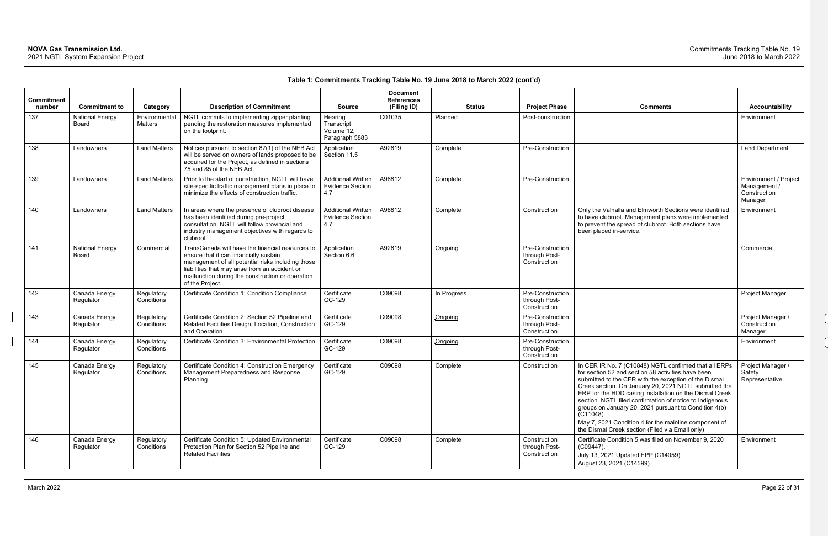| Commitment<br>number | <b>Commitment to</b>                   | Category                 | <b>Description of Commitment</b>                                                                                                                                                                                                                                         | <b>Source</b>                                               | <b>Document</b><br><b>References</b><br>(Filing ID) |             | <b>Status</b> | <b>Project Phase</b>                              | <b>Comments</b>                                                                                                                                                                                                                                                                                                                                                                                                                                                                                                                           | Accountability                                                   |
|----------------------|----------------------------------------|--------------------------|--------------------------------------------------------------------------------------------------------------------------------------------------------------------------------------------------------------------------------------------------------------------------|-------------------------------------------------------------|-----------------------------------------------------|-------------|---------------|---------------------------------------------------|-------------------------------------------------------------------------------------------------------------------------------------------------------------------------------------------------------------------------------------------------------------------------------------------------------------------------------------------------------------------------------------------------------------------------------------------------------------------------------------------------------------------------------------------|------------------------------------------------------------------|
| 137                  | <b>National Energy</b><br>Board        | Environmental<br>Matters | NGTL commits to implementing zipper planting<br>pending the restoration measures implemented<br>on the footprint.                                                                                                                                                        | Hearing<br>Transcript<br>Volume 12,<br>Paragraph 5883       | C01035                                              | Planned     |               | Post-construction                                 |                                                                                                                                                                                                                                                                                                                                                                                                                                                                                                                                           | Environment                                                      |
| 138                  | Landowners                             | <b>Land Matters</b>      | Notices pursuant to section 87(1) of the NEB Act<br>will be served on owners of lands proposed to be<br>acquired for the Project, as defined in sections<br>75 and 85 of the NEB Act.                                                                                    | Application<br>Section 11.5                                 | A92619                                              | Complete    |               | Pre-Construction                                  |                                                                                                                                                                                                                                                                                                                                                                                                                                                                                                                                           | <b>Land Department</b>                                           |
| 139                  | Landowners                             | <b>Land Matters</b>      | Prior to the start of construction, NGTL will have<br>site-specific traffic management plans in place to<br>minimize the effects of construction traffic.                                                                                                                | <b>Additional Written</b><br><b>Evidence Section</b><br>4.7 | A96812                                              | Complete    |               | Pre-Construction                                  |                                                                                                                                                                                                                                                                                                                                                                                                                                                                                                                                           | Environment / Project<br>Management /<br>Construction<br>Manager |
| 140                  | Landowners                             | <b>Land Matters</b>      | In areas where the presence of clubroot disease<br>has been identified during pre-project<br>consultation, NGTL will follow provincial and<br>industry management objectives with regards to<br>clubroot.                                                                | <b>Additional Written</b><br><b>Evidence Section</b><br>4.7 | A96812                                              | Complete    |               | Construction                                      | Only the Valhalla and Elmworth Sections were identified<br>to have clubroot. Management plans were implemented<br>to prevent the spread of clubroot. Both sections have<br>been placed in-service.                                                                                                                                                                                                                                                                                                                                        | Environment                                                      |
| 141                  | <b>National Energy</b><br><b>Board</b> | Commercial               | TransCanada will have the financial resources to<br>ensure that it can financially sustain<br>management of all potential risks including those<br>liabilities that may arise from an accident or<br>malfunction during the construction or operation<br>of the Project. | Application<br>Section 6.6                                  | A92619                                              | Ongoing     |               | Pre-Construction<br>through Post-<br>Construction |                                                                                                                                                                                                                                                                                                                                                                                                                                                                                                                                           | Commercial                                                       |
| 142                  | Canada Energy<br>Regulator             | Regulatory<br>Conditions | Certificate Condition 1: Condition Compliance                                                                                                                                                                                                                            | Certificate<br>GC-129                                       | C09098                                              | In Progress |               | Pre-Construction<br>through Post-<br>Construction |                                                                                                                                                                                                                                                                                                                                                                                                                                                                                                                                           | Project Manager                                                  |
| 143                  | Canada Energy<br>Regulator             | Regulatory<br>Conditions | Certificate Condition 2: Section 52 Pipeline and<br>Related Facilities Design, Location, Construction<br>and Operation                                                                                                                                                   | Certificate<br>GC-129                                       | C09098                                              | Ongoing     |               | Pre-Construction<br>through Post-<br>Construction |                                                                                                                                                                                                                                                                                                                                                                                                                                                                                                                                           | Project Manager /<br>Construction<br>Manager                     |
| 144                  | Canada Energy<br>Regulator             | Regulatory<br>Conditions | Certificate Condition 3: Environmental Protection                                                                                                                                                                                                                        | Certificate<br>GC-129                                       | C09098                                              | Ongoing     |               | Pre-Construction<br>through Post-<br>Construction |                                                                                                                                                                                                                                                                                                                                                                                                                                                                                                                                           | Environment                                                      |
| 145                  | Canada Energy<br>Regulator             | Regulatory<br>Conditions | Certificate Condition 4: Construction Emergency<br>Management Preparedness and Response<br>Planning                                                                                                                                                                      | Certificate<br>GC-129                                       | C09098                                              | Complete    |               | Construction                                      | In CER IR No. 7 (C10848) NGTL confirmed that all ERPs<br>for section 52 and section 58 activities have been<br>submitted to the CER with the exception of the Dismal<br>Creek section. On January 20, 2021 NGTL submitted the<br>ERP for the HDD casing installation on the Dismal Creek<br>section. NGTL filed confirmation of notice to Indigenous<br>groups on January 20, 2021 pursuant to Condition 4(b)<br>$(C11048)$ .<br>May 7, 2021 Condition 4 for the mainline component of<br>the Dismal Creek section (Filed via Email only) | Project Manager /<br>Safety<br>Representative                    |
| 146                  | Canada Energy<br>Regulator             | Regulatory<br>Conditions | Certificate Condition 5: Updated Environmental<br>Protection Plan for Section 52 Pipeline and<br><b>Related Facilities</b>                                                                                                                                               | Certificate<br>GC-129                                       | C09098                                              | Complete    |               | Construction<br>through Post-<br>Construction     | Certificate Condition 5 was filed on November 9, 2020<br>$(C09447)$ .<br>July 13, 2021 Updated EPP (C14059)<br>August 23, 2021 (C14599)                                                                                                                                                                                                                                                                                                                                                                                                   | Environment                                                      |

| <b>Comments</b>                                                                                                                                                                                                                                                                                                                                                                                                            | <b>Accountability</b>                                            |
|----------------------------------------------------------------------------------------------------------------------------------------------------------------------------------------------------------------------------------------------------------------------------------------------------------------------------------------------------------------------------------------------------------------------------|------------------------------------------------------------------|
|                                                                                                                                                                                                                                                                                                                                                                                                                            | Environment                                                      |
|                                                                                                                                                                                                                                                                                                                                                                                                                            | Land Department                                                  |
|                                                                                                                                                                                                                                                                                                                                                                                                                            | Environment / Project<br>Management /<br>Construction<br>Manager |
| Only the Valhalla and Elmworth Sections were identified<br>to have clubroot. Management plans were implemented<br>to prevent the spread of clubroot. Both sections have<br>been placed in-service.                                                                                                                                                                                                                         | Environment                                                      |
|                                                                                                                                                                                                                                                                                                                                                                                                                            | Commercial                                                       |
|                                                                                                                                                                                                                                                                                                                                                                                                                            | Project Manager                                                  |
|                                                                                                                                                                                                                                                                                                                                                                                                                            | Project Manager /                                                |
|                                                                                                                                                                                                                                                                                                                                                                                                                            | Construction<br>Manager                                          |
|                                                                                                                                                                                                                                                                                                                                                                                                                            | Environment                                                      |
|                                                                                                                                                                                                                                                                                                                                                                                                                            |                                                                  |
| In CER IR No. 7 (C10848) NGTL confirmed that all ERPs<br>for section 52 and section 58 activities have been<br>submitted to the CER with the exception of the Dismal<br>Creek section. On January 20, 2021 NGTL submitted the<br>ERP for the HDD casing installation on the Dismal Creek<br>section. NGTL filed confirmation of notice to Indigenous<br>groups on January 20, 2021 pursuant to Condition 4(b)<br>(C11048). | Project Manager /<br>Safety<br>Representative                    |
| May 7, 2021 Condition 4 for the mainline component of<br>the Dismal Creek section (Filed via Email only)                                                                                                                                                                                                                                                                                                                   |                                                                  |
| Certificate Condition 5 was filed on November 9, 2020<br>(C09447).                                                                                                                                                                                                                                                                                                                                                         | Environment                                                      |
| July 13, 2021 Updated EPP (C14059)<br>August 23, 2021 (C14599)                                                                                                                                                                                                                                                                                                                                                             |                                                                  |
|                                                                                                                                                                                                                                                                                                                                                                                                                            |                                                                  |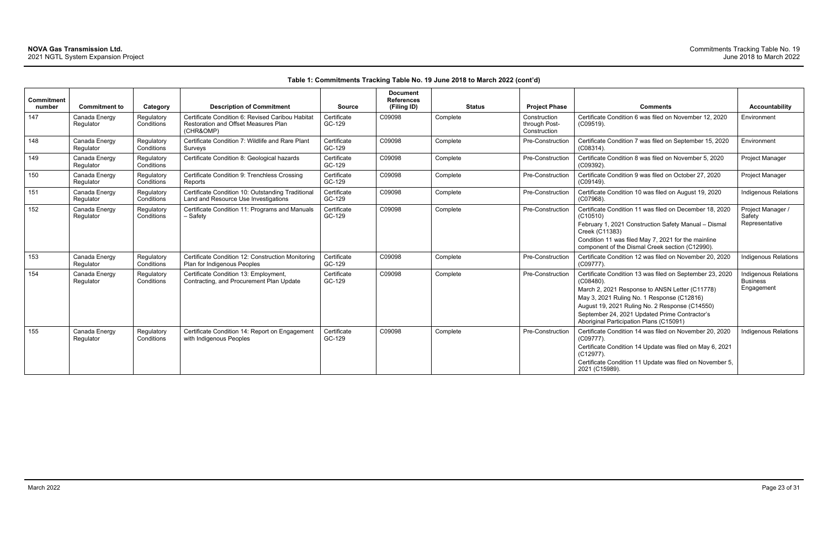| Commitment<br>number | <b>Commitment to</b>       | Category                 | <b>Description of Commitment</b>                                                                      | <b>Source</b>         | <b>Document</b><br><b>References</b><br>(Filing ID) | <b>Status</b> | <b>Project Phase</b>                          | <b>Comments</b>                                                                                                                                                                                                                                                                                                        | <b>Accountability</b>                                        |
|----------------------|----------------------------|--------------------------|-------------------------------------------------------------------------------------------------------|-----------------------|-----------------------------------------------------|---------------|-----------------------------------------------|------------------------------------------------------------------------------------------------------------------------------------------------------------------------------------------------------------------------------------------------------------------------------------------------------------------------|--------------------------------------------------------------|
| 147                  | Canada Energy<br>Regulator | Regulatory<br>Conditions | Certificate Condition 6: Revised Caribou Habitat<br>Restoration and Offset Measures Plan<br>(CHR&OMP) | Certificate<br>GC-129 | C09098                                              | Complete      | Construction<br>through Post-<br>Construction | Certificate Condition 6 was filed on November 12, 2020<br>(C09519).                                                                                                                                                                                                                                                    | Environment                                                  |
| 148                  | Canada Energy<br>Regulator | Regulatory<br>Conditions | Certificate Condition 7: Wildlife and Rare Plant<br>Surveys                                           | Certificate<br>GC-129 | C09098                                              | Complete      | Pre-Construction                              | Certificate Condition 7 was filed on September 15, 2020<br>$(C08314)$ .                                                                                                                                                                                                                                                | Environment                                                  |
| 149                  | Canada Energy<br>Regulator | Regulatory<br>Conditions | Certificate Condition 8: Geological hazards                                                           | Certificate<br>GC-129 | C09098                                              | Complete      | Pre-Construction                              | Certificate Condition 8 was filed on November 5, 2020<br>(C09392).                                                                                                                                                                                                                                                     | Project Manager                                              |
| 150                  | Canada Energy<br>Regulator | Regulatory<br>Conditions | Certificate Condition 9: Trenchless Crossing<br>Reports                                               | Certificate<br>GC-129 | C09098                                              | Complete      | Pre-Construction                              | Certificate Condition 9 was filed on October 27, 2020<br>$(C09149)$ .                                                                                                                                                                                                                                                  | Project Manager                                              |
| 151                  | Canada Energy<br>Regulator | Regulatory<br>Conditions | Certificate Condition 10: Outstanding Traditional<br>Land and Resource Use Investigations             | Certificate<br>GC-129 | C09098                                              | Complete      | Pre-Construction                              | Certificate Condition 10 was filed on August 19, 2020<br>(C07968).                                                                                                                                                                                                                                                     | <b>Indigenous Relations</b>                                  |
| 152                  | Canada Energy<br>Regulator | Regulatory<br>Conditions | Certificate Condition 11: Programs and Manuals<br>- Safety                                            | Certificate<br>GC-129 | C09098                                              | Complete      | Pre-Construction                              | Certificate Condition 11 was filed on December 18, 2020<br>(C10510)<br>February 1, 2021 Construction Safety Manual - Dismal<br>Creek (C11383)<br>Condition 11 was filed May 7, 2021 for the mainline<br>component of the Dismal Creek section (C12990).                                                                | Project Manager /<br>Safety<br>Representative                |
| 153                  | Canada Energy<br>Regulator | Regulatory<br>Conditions | Certificate Condition 12: Construction Monitoring<br>Plan for Indigenous Peoples                      | Certificate<br>GC-129 | C09098                                              | Complete      | Pre-Construction                              | Certificate Condition 12 was filed on November 20, 2020<br>(C09777).                                                                                                                                                                                                                                                   | Indigenous Relations                                         |
| 154                  | Canada Energy<br>Regulator | Regulatory<br>Conditions | Certificate Condition 13: Employment,<br>Contracting, and Procurement Plan Update                     | Certificate<br>GC-129 | C09098                                              | Complete      | Pre-Construction                              | Certificate Condition 13 was filed on September 23, 2020<br>$(C08480)$ .<br>March 2, 2021 Response to ANSN Letter (C11778)<br>May 3, 2021 Ruling No. 1 Response (C12816)<br>August 19, 2021 Ruling No. 2 Response (C14550)<br>September 24, 2021 Updated Prime Contractor's<br>Aboriginal Participation Plans (C15091) | <b>Indigenous Relations</b><br><b>Business</b><br>Engagement |
| 155                  | Canada Energy<br>Regulator | Regulatory<br>Conditions | Certificate Condition 14: Report on Engagement<br>with Indigenous Peoples                             | Certificate<br>GC-129 | C09098                                              | Complete      | Pre-Construction                              | Certificate Condition 14 was filed on November 20, 2020<br>$(C09777)$ .<br>Certificate Condition 14 Update was filed on May 6, 2021<br>$(C12977)$ .<br>Certificate Condition 11 Update was filed on November 5,<br>2021 (C15989).                                                                                      | <b>Indigenous Relations</b>                                  |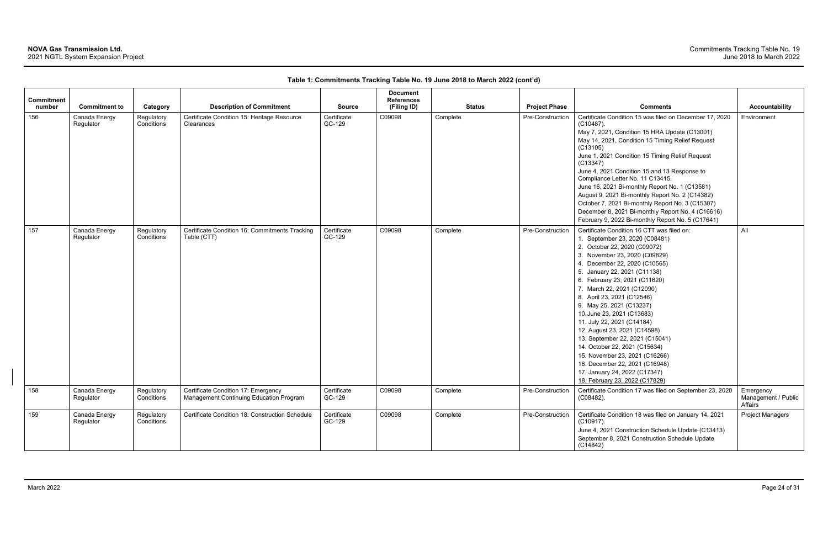| <b>Commitment</b><br>number | <b>Commitment to</b>       | Category                 | <b>Description of Commitment</b>                                               | <b>Source</b>         | <b>Document</b><br><b>References</b><br>(Filing ID) | <b>Status</b> | <b>Project Phase</b> | <b>Comments</b>                                                                                                                                                                                                                                                                                                                                                                                                                                                                                                                                                                                                                                | <b>Accountability</b>                       |
|-----------------------------|----------------------------|--------------------------|--------------------------------------------------------------------------------|-----------------------|-----------------------------------------------------|---------------|----------------------|------------------------------------------------------------------------------------------------------------------------------------------------------------------------------------------------------------------------------------------------------------------------------------------------------------------------------------------------------------------------------------------------------------------------------------------------------------------------------------------------------------------------------------------------------------------------------------------------------------------------------------------------|---------------------------------------------|
| 156                         | Canada Energy<br>Regulator | Regulatory<br>Conditions | Certificate Condition 15: Heritage Resource<br>Clearances                      | Certificate<br>GC-129 | C09098                                              | Complete      | Pre-Construction     | Certificate Condition 15 was filed on December 17, 2020<br>$(C10487)$ .<br>May 7, 2021, Condition 15 HRA Update (C13001)<br>May 14, 2021, Condition 15 Timing Relief Request<br>(C13105)<br>June 1, 2021 Condition 15 Timing Relief Request<br>(C13347)<br>June 4, 2021 Condition 15 and 13 Response to<br>Compliance Letter No. 11 C13415.<br>June 16, 2021 Bi-monthly Report No. 1 (C13581)<br>August 9, 2021 Bi-monthly Report No. 2 (C14382)<br>October 7, 2021 Bi-monthly Report No. 3 (C15307)<br>December 8, 2021 Bi-monthly Report No. 4 (C16616)<br>February 9, 2022 Bi-monthly Report No. 5 (C17641)                                 | Environment                                 |
| 157                         | Canada Energy<br>Regulator | Regulatory<br>Conditions | Certificate Condition 16: Commitments Tracking<br>Table (CTT)                  | Certificate<br>GC-129 | C09098                                              | Complete      | Pre-Construction     | Certificate Condition 16 CTT was filed on:<br>1. September 23, 2020 (C08481)<br>2. October 22, 2020 (C09072)<br>3. November 23, 2020 (C09829)<br>4. December 22, 2020 (C10565)<br>5. January 22, 2021 (C11138)<br>6. February 23, 2021 (C11620)<br>7. March 22, 2021 (C12090)<br>8. April 23, 2021 (C12546)<br>9. May 25, 2021 (C13237)<br>10. June 23, 2021 (C13683)<br>11. July 22, 2021 (C14184)<br>12. August 23, 2021 (C14598)<br>13. September 22, 2021 (C15041)<br>14. October 22, 2021 (C15634)<br>15. November 23, 2021 (C16266)<br>16. December 22, 2021 (C16948)<br>17. January 24, 2022 (C17347)<br>18. February 23, 2022 (C17829) | All                                         |
| 158                         | Canada Energy<br>Regulator | Regulatory<br>Conditions | Certificate Condition 17: Emergency<br>Management Continuing Education Program | Certificate<br>GC-129 | C09098                                              | Complete      | Pre-Construction     | Certificate Condition 17 was filed on September 23, 2020<br>(C08482).                                                                                                                                                                                                                                                                                                                                                                                                                                                                                                                                                                          | Emergency<br>Management / Public<br>Affairs |
| 159                         | Canada Energy<br>Regulator | Regulatory<br>Conditions | Certificate Condition 18: Construction Schedule                                | Certificate<br>GC-129 | C09098                                              | Complete      | Pre-Construction     | Certificate Condition 18 was filed on January 14, 2021<br>$(C10917)$ .<br>June 4, 2021 Construction Schedule Update (C13413)<br>September 8, 2021 Construction Schedule Update<br>(C14842)                                                                                                                                                                                                                                                                                                                                                                                                                                                     | <b>Project Managers</b>                     |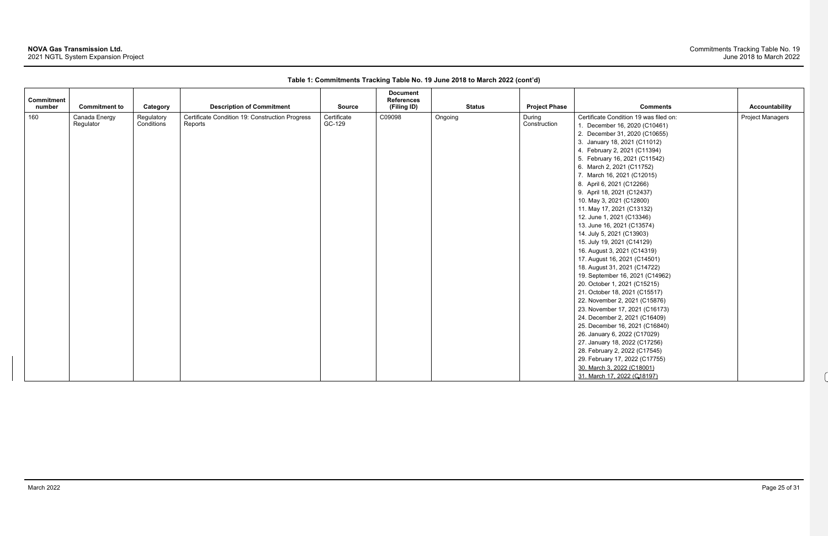# **NOVA Gas Transmission Ltd.**

2021 NGTL System Expansion Project

#### Commitments Tracking Table No. 19 June 2018 to March 2022

 $\boldsymbol{\mathcal{A}}$ 

| Commitment<br>number | <b>Commitment to</b>       | Category   | <b>Description of Commitment</b>                           | <b>Source</b> | <b>Document</b><br><b>References</b><br>(Filing ID) | <b>Status</b> | <b>Project Phase</b>   | <b>Comments</b>                        | <b>Accountability</b>   |
|----------------------|----------------------------|------------|------------------------------------------------------------|---------------|-----------------------------------------------------|---------------|------------------------|----------------------------------------|-------------------------|
| 160                  |                            | Regulatory |                                                            | Certificate   | C09098                                              |               |                        | Certificate Condition 19 was filed on: | <b>Project Managers</b> |
|                      | Canada Energy<br>Regulator | Conditions | Certificate Condition 19: Construction Progress<br>Reports | GC-129        |                                                     | Ongoing       | During<br>Construction |                                        |                         |
|                      |                            |            |                                                            |               |                                                     |               |                        | December 16, 2020 (C10461)             |                         |
|                      |                            |            |                                                            |               |                                                     |               |                        | 2. December 31, 2020 (C10655)          |                         |
|                      |                            |            |                                                            |               |                                                     |               |                        | 3. January 18, 2021 (C11012)           |                         |
|                      |                            |            |                                                            |               |                                                     |               |                        | 4. February 2, 2021 (C11394)           |                         |
|                      |                            |            |                                                            |               |                                                     |               |                        | 5. February 16, 2021 (C11542)          |                         |
|                      |                            |            |                                                            |               |                                                     |               |                        | 6. March 2, 2021 (C11752)              |                         |
|                      |                            |            |                                                            |               |                                                     |               |                        | 7. March 16, 2021 (C12015)             |                         |
|                      |                            |            |                                                            |               |                                                     |               |                        | 8. April 6, 2021 (C12266)              |                         |
|                      |                            |            |                                                            |               |                                                     |               |                        | 9. April 18, 2021 (C12437)             |                         |
|                      |                            |            |                                                            |               |                                                     |               |                        | 10. May 3, 2021 (C12800)               |                         |
|                      |                            |            |                                                            |               |                                                     |               |                        | 11. May 17, 2021 (C13132)              |                         |
|                      |                            |            |                                                            |               |                                                     |               |                        | 12. June 1, 2021 (C13346)              |                         |
|                      |                            |            |                                                            |               |                                                     |               |                        | 13. June 16, 2021 (C13574)             |                         |
|                      |                            |            |                                                            |               |                                                     |               |                        | 14. July 5, 2021 (C13903)              |                         |
|                      |                            |            |                                                            |               |                                                     |               |                        | 15. July 19, 2021 (C14129)             |                         |
|                      |                            |            |                                                            |               |                                                     |               |                        | 16. August 3, 2021 (C14319)            |                         |
|                      |                            |            |                                                            |               |                                                     |               |                        | 17. August 16, 2021 (C14501)           |                         |
|                      |                            |            |                                                            |               |                                                     |               |                        | 18. August 31, 2021 (C14722)           |                         |
|                      |                            |            |                                                            |               |                                                     |               |                        | 19. September 16, 2021 (C14962)        |                         |
|                      |                            |            |                                                            |               |                                                     |               |                        | 20. October 1, 2021 (C15215)           |                         |
|                      |                            |            |                                                            |               |                                                     |               |                        | 21. October 18, 2021 (C15517)          |                         |
|                      |                            |            |                                                            |               |                                                     |               |                        | 22. November 2, 2021 (C15876)          |                         |
|                      |                            |            |                                                            |               |                                                     |               |                        | 23. November 17, 2021 (C16173)         |                         |
|                      |                            |            |                                                            |               |                                                     |               |                        | 24. December 2, 2021 (C16409)          |                         |
|                      |                            |            |                                                            |               |                                                     |               |                        | 25. December 16, 2021 (C16840)         |                         |
|                      |                            |            |                                                            |               |                                                     |               |                        | 26. January 6, 2022 (C17029)           |                         |
|                      |                            |            |                                                            |               |                                                     |               |                        | 27. January 18, 2022 (C17256)          |                         |
|                      |                            |            |                                                            |               |                                                     |               |                        | 28. February 2, 2022 (C17545)          |                         |
|                      |                            |            |                                                            |               |                                                     |               |                        | 29. February 17, 2022 (C17755)         |                         |
|                      |                            |            |                                                            |               |                                                     |               |                        | 30. March 3, 2022 (C18001)             |                         |
|                      |                            |            |                                                            |               |                                                     |               |                        | 31. March 17, 2022 (C18197)            |                         |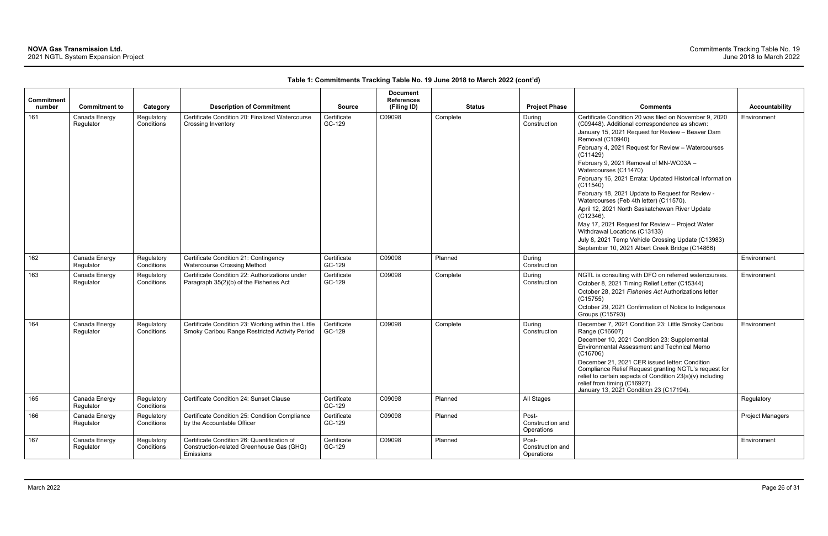| Commitment<br>number | <b>Commitment to</b>       | Category                 | <b>Description of Commitment</b>                                                                      | <b>Source</b>         | <b>Document</b><br><b>References</b><br>(Filing ID) | <b>Status</b> | <b>Project Phase</b>                    | <b>Comments</b>                                                                                                                                                                                                                                                                                                                                                                                                                                                                                                                                                                                                                                                                                                                                            | <b>Accountability</b>   |
|----------------------|----------------------------|--------------------------|-------------------------------------------------------------------------------------------------------|-----------------------|-----------------------------------------------------|---------------|-----------------------------------------|------------------------------------------------------------------------------------------------------------------------------------------------------------------------------------------------------------------------------------------------------------------------------------------------------------------------------------------------------------------------------------------------------------------------------------------------------------------------------------------------------------------------------------------------------------------------------------------------------------------------------------------------------------------------------------------------------------------------------------------------------------|-------------------------|
| 161                  | Canada Energy<br>Regulator | Regulatory<br>Conditions | Certificate Condition 20: Finalized Watercourse<br>Crossing Inventory                                 | Certificate<br>GC-129 | C09098                                              | Complete      | During<br>Construction                  | Certificate Condition 20 was filed on November 9, 2020<br>(C09448). Additional correspondence as shown:<br>January 15, 2021 Request for Review - Beaver Dam<br>Removal (C10940)<br>February 4, 2021 Request for Review - Watercourses<br>(C11429)<br>February 9, 2021 Removal of MN-WC03A -<br>Watercourses (C11470)<br>February 16, 2021 Errata: Updated Historical Information<br>(C11540)<br>February 18, 2021 Update to Request for Review -<br>Watercourses (Feb 4th letter) (C11570).<br>April 12, 2021 North Saskatchewan River Update<br>$(C12346)$ .<br>May 17, 2021 Request for Review - Project Water<br>Withdrawal Locations (C13133)<br>July 8, 2021 Temp Vehicle Crossing Update (C13983)<br>September 10, 2021 Albert Creek Bridge (C14866) | Environment             |
| 162                  | Canada Energy<br>Regulator | Regulatory<br>Conditions | Certificate Condition 21: Contingency<br><b>Watercourse Crossing Method</b>                           | Certificate<br>GC-129 | C09098                                              | Planned       | During<br>Construction                  |                                                                                                                                                                                                                                                                                                                                                                                                                                                                                                                                                                                                                                                                                                                                                            | Environment             |
| 163                  | Canada Energy<br>Regulator | Regulatory<br>Conditions | Certificate Condition 22: Authorizations under<br>Paragraph 35(2)(b) of the Fisheries Act             | Certificate<br>GC-129 | C09098                                              | Complete      | During<br>Construction                  | NGTL is consulting with DFO on referred watercourses.<br>October 8, 2021 Timing Relief Letter (C15344)<br>October 28, 2021 Fisheries Act Authorizations letter<br>(C15755)<br>October 29, 2021 Confirmation of Notice to Indigenous<br><b>Groups (C15793)</b>                                                                                                                                                                                                                                                                                                                                                                                                                                                                                              | Environment             |
| 164                  | Canada Energy<br>Regulator | Regulatory<br>Conditions | Certificate Condition 23: Working within the Little<br>Smoky Caribou Range Restricted Activity Period | Certificate<br>GC-129 | C09098                                              | Complete      | During<br>Construction                  | December 7, 2021 Condition 23: Little Smoky Caribou<br>Range (C16607)<br>December 10, 2021 Condition 23: Supplemental<br>Environmental Assessment and Technical Memo<br>(C16706)<br>December 21, 2021 CER issued letter: Condition<br>Compliance Relief Request granting NGTL's request for<br>relief to certain aspects of Condition 23(a)(v) including<br>relief from timing (C16927).<br>January 13, 2021 Condition 23 (C17194).                                                                                                                                                                                                                                                                                                                        | Environment             |
| 165                  | Canada Energy<br>Regulator | Regulatory<br>Conditions | Certificate Condition 24: Sunset Clause                                                               | Certificate<br>GC-129 | C09098                                              | Planned       | All Stages                              |                                                                                                                                                                                                                                                                                                                                                                                                                                                                                                                                                                                                                                                                                                                                                            | Regulatory              |
| 166                  | Canada Energy<br>Regulator | Regulatory<br>Conditions | Certificate Condition 25: Condition Compliance<br>by the Accountable Officer                          | Certificate<br>GC-129 | C09098                                              | Planned       | Post-<br>Construction and<br>Operations |                                                                                                                                                                                                                                                                                                                                                                                                                                                                                                                                                                                                                                                                                                                                                            | <b>Project Managers</b> |
| 167                  | Canada Energy<br>Regulator | Regulatory<br>Conditions | Certificate Condition 26: Quantification of<br>Construction-related Greenhouse Gas (GHG)<br>Emissions | Certificate<br>GC-129 | C09098                                              | Planned       | Post-<br>Construction and<br>Operations |                                                                                                                                                                                                                                                                                                                                                                                                                                                                                                                                                                                                                                                                                                                                                            | Environment             |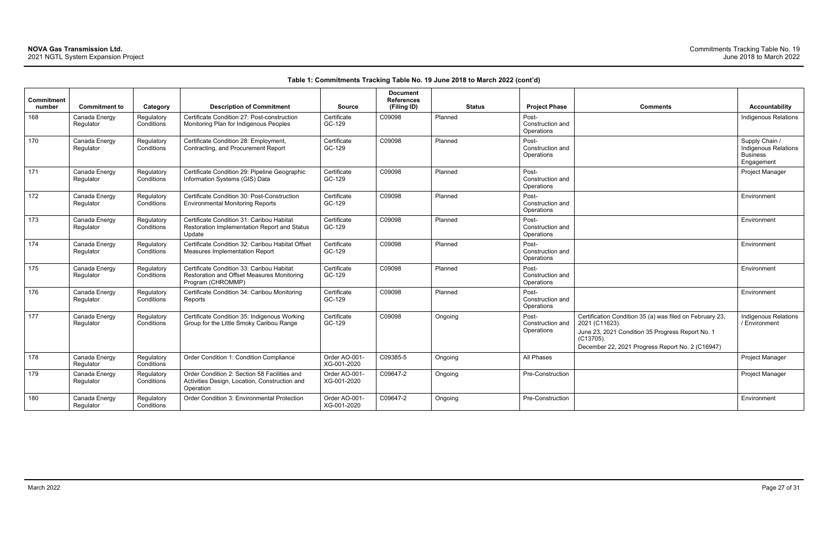| <b>Comments</b>                                                                                                                                                                                 | <b>Accountability</b>                                                   |
|-------------------------------------------------------------------------------------------------------------------------------------------------------------------------------------------------|-------------------------------------------------------------------------|
|                                                                                                                                                                                                 | <b>Indigenous Relations</b>                                             |
|                                                                                                                                                                                                 | Supply Chain /<br>Indigenous Relations<br><b>Business</b><br>Engagement |
|                                                                                                                                                                                                 | Project Manager                                                         |
|                                                                                                                                                                                                 | Environment                                                             |
|                                                                                                                                                                                                 | Environment                                                             |
|                                                                                                                                                                                                 | Environment                                                             |
|                                                                                                                                                                                                 | Environment                                                             |
|                                                                                                                                                                                                 | Environment                                                             |
| Certification Condition 35 (a) was filed on February 23,<br>2021 (C11623).<br>June 23, 2021 Condition 35 Progress Report No. 1<br>(C13705).<br>December 22, 2021 Progress Report No. 2 (C16947) | <b>Indigenous Relations</b><br>/ Environment                            |
|                                                                                                                                                                                                 | Project Manager                                                         |
|                                                                                                                                                                                                 | Project Manager                                                         |
|                                                                                                                                                                                                 | Environment                                                             |

| Commitment<br>number | <b>Commitment to</b>       | Category                 | <b>Description of Commitment</b>                                                                             | <b>Source</b>                | <b>Document</b><br><b>References</b><br>(Filing ID) |         | <b>Status</b> | <b>Project Phase</b>                    | <b>Comments</b>                                                                                                                                                                                    | Accountability                                                        |
|----------------------|----------------------------|--------------------------|--------------------------------------------------------------------------------------------------------------|------------------------------|-----------------------------------------------------|---------|---------------|-----------------------------------------|----------------------------------------------------------------------------------------------------------------------------------------------------------------------------------------------------|-----------------------------------------------------------------------|
| 168                  | Canada Energy<br>Regulator | Regulatory<br>Conditions | Certificate Condition 27: Post-construction<br>Monitoring Plan for Indigenous Peoples                        | Certificate<br>GC-129        | C09098                                              | Planned |               | Post-<br>Construction and<br>Operations |                                                                                                                                                                                                    | Indigenous Relatic                                                    |
| 170                  | Canada Energy<br>Regulator | Regulatory<br>Conditions | Certificate Condition 28: Employment,<br>Contracting, and Procurement Report                                 | Certificate<br>GC-129        | C09098                                              | Planned |               | Post-<br>Construction and<br>Operations |                                                                                                                                                                                                    | Supply Chain /<br>Indigenous Relatio<br><b>Business</b><br>Engagement |
| 171                  | Canada Energy<br>Regulator | Regulatory<br>Conditions | Certificate Condition 29: Pipeline Geographic<br>Information Systems (GIS) Data                              | Certificate<br>GC-129        | C09098                                              | Planned |               | Post-<br>Construction and<br>Operations |                                                                                                                                                                                                    | Project Manager                                                       |
| 172                  | Canada Energy<br>Regulator | Regulatory<br>Conditions | Certificate Condition 30: Post-Construction<br><b>Environmental Monitoring Reports</b>                       | Certificate<br>GC-129        | C09098                                              | Planned |               | Post-<br>Construction and<br>Operations |                                                                                                                                                                                                    | Environment                                                           |
| 173                  | Canada Energy<br>Regulator | Regulatory<br>Conditions | Certificate Condition 31: Caribou Habitat<br>Restoration Implementation Report and Status<br>Update          | Certificate<br>GC-129        | C09098                                              | Planned |               | Post-<br>Construction and<br>Operations |                                                                                                                                                                                                    | Environment                                                           |
| 174                  | Canada Energy<br>Regulator | Regulatory<br>Conditions | Certificate Condition 32: Caribou Habitat Offset<br><b>Measures Implementation Report</b>                    | Certificate<br>GC-129        | C09098                                              | Planned |               | Post-<br>Construction and<br>Operations |                                                                                                                                                                                                    | Environment                                                           |
| 175                  | Canada Energy<br>Regulator | Regulatory<br>Conditions | Certificate Condition 33: Caribou Habitat<br>Restoration and Offset Measures Monitoring<br>Program (CHROMMP) | Certificate<br>GC-129        | C09098                                              | Planned |               | Post-<br>Construction and<br>Operations |                                                                                                                                                                                                    | Environment                                                           |
| 176                  | Canada Energy<br>Regulator | Regulatory<br>Conditions | Certificate Condition 34: Caribou Monitoring<br>Reports                                                      | Certificate<br>GC-129        | C09098                                              | Planned |               | Post-<br>Construction and<br>Operations |                                                                                                                                                                                                    | Environment                                                           |
| 177                  | Canada Energy<br>Regulator | Regulatory<br>Conditions | Certificate Condition 35: Indigenous Working<br>Group for the Little Smoky Caribou Range                     | Certificate<br>GC-129        | C09098                                              | Ongoing |               | Post-<br>Construction and<br>Operations | Certification Condition 35 (a) was filed on February 23,<br>2021 (C11623).<br>June 23, 2021 Condition 35 Progress Report No. 1<br>$(C13705)$ .<br>December 22, 2021 Progress Report No. 2 (C16947) | Indigenous Relatio<br>/ Environment                                   |
| 178                  | Canada Energy<br>Regulator | Regulatory<br>Conditions | Order Condition 1: Condition Compliance                                                                      | Order AO-001-<br>XG-001-2020 | C09385-5                                            | Ongoing |               | All Phases                              |                                                                                                                                                                                                    | Project Manager                                                       |
| 179                  | Canada Energy<br>Regulator | Regulatory<br>Conditions | Order Condition 2: Section 58 Facilities and<br>Activities Design, Location, Construction and<br>Operation   | Order AO-001-<br>XG-001-2020 | C09647-2                                            | Ongoing |               | Pre-Construction                        |                                                                                                                                                                                                    | Project Manager                                                       |
| 180                  | Canada Energy<br>Regulator | Regulatory<br>Conditions | Order Condition 3: Environmental Protection                                                                  | Order AO-001-<br>XG-001-2020 | C09647-2                                            | Ongoing |               | Pre-Construction                        |                                                                                                                                                                                                    | Environment                                                           |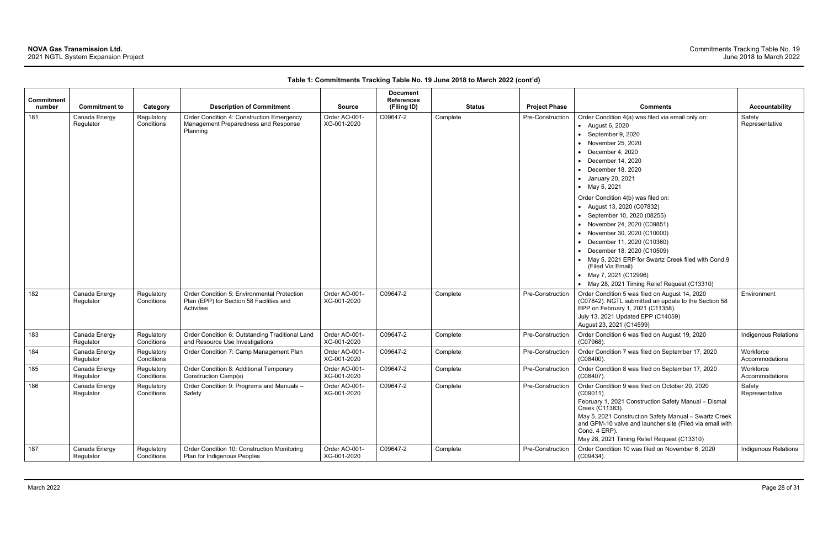| Commitment |                            |                          |                                                                                                       |                              | <b>Document</b><br><b>References</b> |               |                      |                                                                                                                                                                                                                                                                                                                                                                                                                                                                                                                                                                                                                                |                             |
|------------|----------------------------|--------------------------|-------------------------------------------------------------------------------------------------------|------------------------------|--------------------------------------|---------------|----------------------|--------------------------------------------------------------------------------------------------------------------------------------------------------------------------------------------------------------------------------------------------------------------------------------------------------------------------------------------------------------------------------------------------------------------------------------------------------------------------------------------------------------------------------------------------------------------------------------------------------------------------------|-----------------------------|
| number     | <b>Commitment to</b>       | Category                 | <b>Description of Commitment</b>                                                                      | <b>Source</b>                | (Filing ID)                          | <b>Status</b> | <b>Project Phase</b> | <b>Comments</b>                                                                                                                                                                                                                                                                                                                                                                                                                                                                                                                                                                                                                | <b>Accountability</b>       |
| 181        | Canada Energy<br>Regulator | Regulatory<br>Conditions | Order Condition 4: Construction Emergency<br>Management Preparedness and Response<br>Planning         | Order AO-001-<br>XG-001-2020 | C09647-2                             | Complete      | Pre-Construction     | Order Condition 4(a) was filed via email only on:<br>• August 6, 2020<br>• September 9, 2020<br>• November 25, 2020<br>December 4, 2020<br>December 14, 2020<br>$\bullet$ December 18, 2020<br>• January 20, 2021<br>• May 5, 2021<br>Order Condition 4(b) was filed on:<br>• August 13, 2020 (C07832)<br>• September 10, 2020 (08255)<br>• November 24, 2020 (C09851)<br>• November 30, 2020 (C10000)<br>• December 11, 2020 (C10360)<br>• December 18, 2020 (C10509)<br>• May 5, 2021 ERP for Swartz Creek filed with Cond.9<br>(Filed Via Email)<br>• May 7, 2021 (C12996)<br>• May 28, 2021 Timing Relief Request (C13310) | Safety<br>Representative    |
| 182        | Canada Energy<br>Regulator | Regulatory<br>Conditions | Order Condition 5: Environmental Protection<br>Plan (EPP) for Section 58 Facilities and<br>Activities | Order AO-001-<br>XG-001-2020 | C09647-2                             | Complete      | Pre-Construction     | Order Condition 5 was filed on August 14, 2020<br>(C07842). NGTL submitted an update to the Section 58<br>EPP on February 1, 2021 (C11358).<br>July 13, 2021 Updated EPP (C14059)<br>August 23, 2021 (C14599)                                                                                                                                                                                                                                                                                                                                                                                                                  | Environment                 |
| 183        | Canada Energy<br>Regulator | Regulatory<br>Conditions | Order Condition 6: Outstanding Traditional Land<br>and Resource Use Investigations                    | Order AO-001-<br>XG-001-2020 | C09647-2                             | Complete      | Pre-Construction     | Order Condition 6 was filed on August 19, 2020<br>$(C07968)$ .                                                                                                                                                                                                                                                                                                                                                                                                                                                                                                                                                                 | Indigenous Relations        |
| 184        | Canada Energy<br>Regulator | Regulatory<br>Conditions | Order Condition 7: Camp Management Plan                                                               | Order AO-001-<br>XG-001-2020 | C09647-2                             | Complete      | Pre-Construction     | Order Condition 7 was filed on September 17, 2020<br>$(C08400)$ .                                                                                                                                                                                                                                                                                                                                                                                                                                                                                                                                                              | Workforce<br>Accommodations |
| 185        | Canada Energy<br>Regulator | Regulatory<br>Conditions | Order Condition 8: Additional Temporary<br>Construction Camp(s)                                       | Order AO-001-<br>XG-001-2020 | C09647-2                             | Complete      | Pre-Construction     | Order Condition 8 was filed on September 17, 2020<br>$(C08407)$ .                                                                                                                                                                                                                                                                                                                                                                                                                                                                                                                                                              | Workforce<br>Accommodations |
| 186        | Canada Energy<br>Regulator | Regulatory<br>Conditions | Order Condition 9: Programs and Manuals -<br>Safety                                                   | Order AO-001-<br>XG-001-2020 | C09647-2                             | Complete      | Pre-Construction     | Order Condition 9 was filed on October 20, 2020<br>(C09011)<br>February 1, 2021 Construction Safety Manual - Dismal<br>Creek (C11383).<br>May 5, 2021 Construction Safety Manual - Swartz Creek<br>and GPM-10 valve and launcher site (Filed via email with<br>Cond. 4 ERP).<br>May 28, 2021 Timing Relief Request (C13310)                                                                                                                                                                                                                                                                                                    | Safety<br>Representative    |
| 187        | Canada Energy<br>Regulator | Regulatory<br>Conditions | Order Condition 10: Construction Monitoring<br>Plan for Indigenous Peoples                            | Order AO-001-<br>XG-001-2020 | C09647-2                             | Complete      | Pre-Construction     | Order Condition 10 was filed on November 6, 2020<br>(C09434)                                                                                                                                                                                                                                                                                                                                                                                                                                                                                                                                                                   | Indigenous Relations        |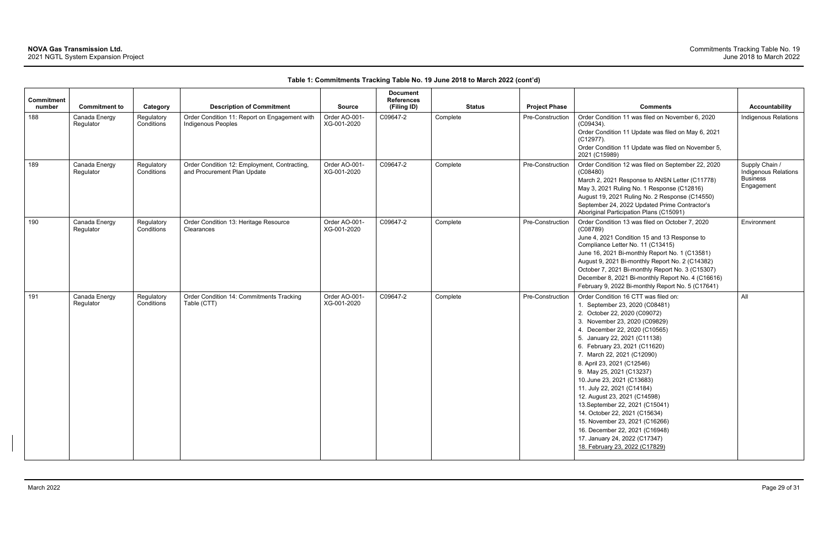| <b>Commitment</b><br>number | <b>Commitment to</b>       | Category                 | <b>Description of Commitment</b>                                            | <b>Source</b>                | <b>Document</b><br><b>References</b><br>(Filing ID) | <b>Status</b> | <b>Project Phase</b> | <b>Comments</b>                                                                                                                                                                                                                                                                                                                                                                                                                                                                                                                                                                                                                          | Accountability                                                                 |
|-----------------------------|----------------------------|--------------------------|-----------------------------------------------------------------------------|------------------------------|-----------------------------------------------------|---------------|----------------------|------------------------------------------------------------------------------------------------------------------------------------------------------------------------------------------------------------------------------------------------------------------------------------------------------------------------------------------------------------------------------------------------------------------------------------------------------------------------------------------------------------------------------------------------------------------------------------------------------------------------------------------|--------------------------------------------------------------------------------|
| 188                         | Canada Energy<br>Regulator | Regulatory<br>Conditions | Order Condition 11: Report on Engagement with<br>Indigenous Peoples         | Order AO-001-<br>XG-001-2020 | C09647-2                                            | Complete      | Pre-Construction     | Order Condition 11 was filed on November 6, 2020<br>$(C09434)$ .<br>Order Condition 11 Update was filed on May 6, 2021<br>(C12977).<br>Order Condition 11 Update was filed on November 5,<br>2021 (C15989)                                                                                                                                                                                                                                                                                                                                                                                                                               | Indigenous Relations                                                           |
| 189                         | Canada Energy<br>Regulator | Regulatory<br>Conditions | Order Condition 12: Employment, Contracting,<br>and Procurement Plan Update | Order AO-001-<br>XG-001-2020 | C09647-2                                            | Complete      | Pre-Construction     | Order Condition 12 was filed on September 22, 2020<br>(C08480)<br>March 2, 2021 Response to ANSN Letter (C11778)<br>May 3, 2021 Ruling No. 1 Response (C12816)<br>August 19, 2021 Ruling No. 2 Response (C14550)<br>September 24, 2022 Updated Prime Contractor's<br>Aboriginal Participation Plans (C15091)                                                                                                                                                                                                                                                                                                                             | Supply Chain /<br><b>Indigenous Relations</b><br><b>Business</b><br>Engagement |
| 190                         | Canada Energy<br>Regulator | Regulatory<br>Conditions | Order Condition 13: Heritage Resource<br>Clearances                         | Order AO-001-<br>XG-001-2020 | C09647-2                                            | Complete      | Pre-Construction     | Order Condition 13 was filed on October 7, 2020<br>(C08789)<br>June 4, 2021 Condition 15 and 13 Response to<br>Compliance Letter No. 11 (C13415)<br>June 16, 2021 Bi-monthly Report No. 1 (C13581)<br>August 9, 2021 Bi-monthly Report No. 2 (C14382)<br>October 7, 2021 Bi-monthly Report No. 3 (C15307)<br>December 8, 2021 Bi-monthly Report No. 4 (C16616)<br>February 9, 2022 Bi-monthly Report No. 5 (C17641)                                                                                                                                                                                                                      | Environment                                                                    |
| 191                         | Canada Energy<br>Regulator | Regulatory<br>Conditions | Order Condition 14: Commitments Tracking<br>Table (CTT)                     | Order AO-001-<br>XG-001-2020 | C09647-2                                            | Complete      | Pre-Construction     | Order Condition 16 CTT was filed on:<br>1. September 23, 2020 (C08481)<br>2. October 22, 2020 (C09072)<br>3. November 23, 2020 (C09829)<br>4. December 22, 2020 (C10565)<br>5. January 22, 2021 (C11138)<br>6. February 23, 2021 (C11620)<br>7. March 22, 2021 (C12090)<br>8. April 23, 2021 (C12546)<br>9. May 25, 2021 (C13237)<br>10. June 23, 2021 (C13683)<br>11. July 22, 2021 (C14184)<br>12. August 23, 2021 (C14598)<br>13. September 22, 2021 (C15041)<br>14. October 22, 2021 (C15634)<br>15. November 23, 2021 (C16266)<br>16. December 22, 2021 (C16948)<br>17. January 24, 2022 (C17347)<br>18. February 23, 2022 (C17829) | All                                                                            |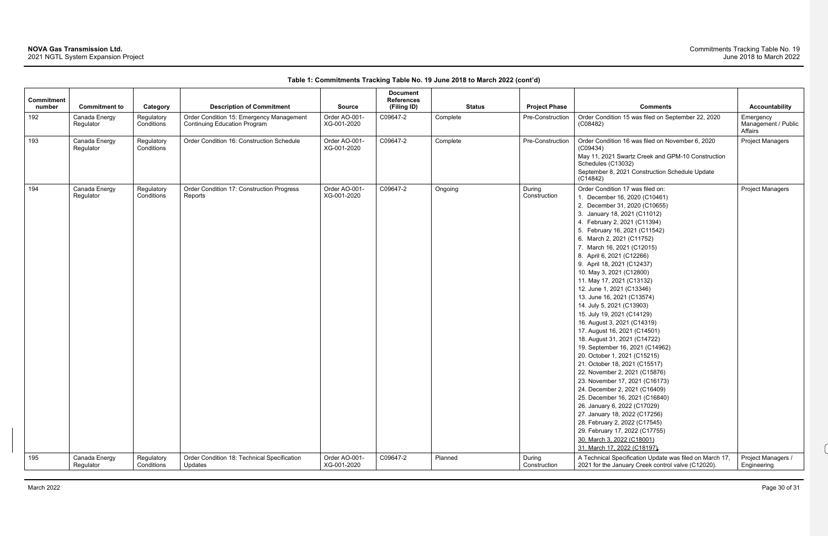| <b>Commitment</b><br>number | <b>Commitment to</b>       | Category                 | <b>Description of Commitment</b>                       | <b>Source</b>                | <b>Document</b><br><b>References</b><br>(Filing ID) | <b>Status</b> | <b>Project Phase</b>   | <b>Comments</b>                                                                                               | <b>Accountability</b>             |
|-----------------------------|----------------------------|--------------------------|--------------------------------------------------------|------------------------------|-----------------------------------------------------|---------------|------------------------|---------------------------------------------------------------------------------------------------------------|-----------------------------------|
| 192                         | Canada Energy              | Regulatory               | Order Condition 15: Emergency Management               | Order AO-001-                | C09647-2                                            | Complete      | Pre-Construction       | Order Condition 15 was filed on September 22, 2020                                                            | Emergency                         |
|                             | Regulator                  | Conditions               | <b>Continuing Education Program</b>                    | XG-001-2020                  |                                                     |               |                        | (C08482)                                                                                                      | Management / Public<br>Affairs    |
| 193                         | Canada Energy<br>Regulator | Regulatory<br>Conditions | Order Condition 16: Construction Schedule              | Order AO-001-<br>XG-001-2020 | C09647-2                                            | Complete      | Pre-Construction       | Order Condition 16 was filed on November 6, 2020<br>(C09434)                                                  | <b>Project Managers</b>           |
|                             |                            |                          |                                                        |                              |                                                     |               |                        | May 11, 2021 Swartz Creek and GPM-10 Construction<br>Schedules (C13032)                                       |                                   |
|                             |                            |                          |                                                        |                              |                                                     |               |                        | September 8, 2021 Construction Schedule Update<br>(C14842)                                                    |                                   |
| 194                         | Canada Energy<br>Regulator | Regulatory<br>Conditions | Order Condition 17: Construction Progress<br>Reports   | Order AO-001-<br>XG-001-2020 | C09647-2                                            | Ongoing       | During<br>Construction | Order Condition 17 was filed on:                                                                              | <b>Project Managers</b>           |
|                             |                            |                          |                                                        |                              |                                                     |               |                        | 1. December 16, 2020 (C10461)                                                                                 |                                   |
|                             |                            |                          |                                                        |                              |                                                     |               |                        | 2. December 31, 2020 (C10655)                                                                                 |                                   |
|                             |                            |                          |                                                        |                              |                                                     |               |                        | 3. January 18, 2021 (C11012)                                                                                  |                                   |
|                             |                            |                          |                                                        |                              |                                                     |               |                        | 4. February 2, 2021 (C11394)<br>5. February 16, 2021 (C11542)                                                 |                                   |
|                             |                            |                          |                                                        |                              |                                                     |               |                        | 6. March 2, 2021 (C11752)                                                                                     |                                   |
|                             |                            |                          |                                                        |                              |                                                     |               |                        | 7. March 16, 2021 (C12015)                                                                                    |                                   |
|                             |                            |                          |                                                        |                              |                                                     |               |                        | 8. April 6, 2021 (C12266)                                                                                     |                                   |
|                             |                            |                          |                                                        |                              |                                                     |               |                        | 9. April 18, 2021 (C12437)                                                                                    |                                   |
|                             |                            |                          |                                                        |                              |                                                     |               |                        | 10. May 3, 2021 (C12800)                                                                                      |                                   |
|                             |                            |                          |                                                        |                              |                                                     |               |                        | 11. May 17, 2021 (C13132)                                                                                     |                                   |
|                             |                            |                          |                                                        |                              |                                                     |               |                        | 12. June 1, 2021 (C13346)                                                                                     |                                   |
|                             |                            |                          |                                                        |                              |                                                     |               |                        | 13. June 16, 2021 (C13574)                                                                                    |                                   |
|                             |                            |                          |                                                        |                              |                                                     |               |                        | 14. July 5, 2021 (C13903)                                                                                     |                                   |
|                             |                            |                          |                                                        |                              |                                                     |               |                        | 15. July 19, 2021 (C14129)                                                                                    |                                   |
|                             |                            |                          |                                                        |                              |                                                     |               |                        | 16. August 3, 2021 (C14319)                                                                                   |                                   |
|                             |                            |                          |                                                        |                              |                                                     |               |                        | 17. August 16, 2021 (C14501)                                                                                  |                                   |
|                             |                            |                          |                                                        |                              |                                                     |               |                        | 18. August 31, 2021 (C14722)                                                                                  |                                   |
|                             |                            |                          |                                                        |                              |                                                     |               |                        | 19. September 16, 2021 (C14962)                                                                               |                                   |
|                             |                            |                          |                                                        |                              |                                                     |               |                        | 20. October 1, 2021 (C15215)                                                                                  |                                   |
|                             |                            |                          |                                                        |                              |                                                     |               |                        | 21. October 18, 2021 (C15517)                                                                                 |                                   |
|                             |                            |                          |                                                        |                              |                                                     |               |                        | 22. November 2, 2021 (C15876)                                                                                 |                                   |
|                             |                            |                          |                                                        |                              |                                                     |               |                        | 23. November 17, 2021 (C16173)                                                                                |                                   |
|                             |                            |                          |                                                        |                              |                                                     |               |                        | 24. December 2, 2021 (C16409)                                                                                 |                                   |
|                             |                            |                          |                                                        |                              |                                                     |               |                        | 25. December 16, 2021 (C16840)                                                                                |                                   |
|                             |                            |                          |                                                        |                              |                                                     |               |                        | 26. January 6, 2022 (C17029)                                                                                  |                                   |
|                             |                            |                          |                                                        |                              |                                                     |               |                        | 27. January 18, 2022 (C17256)<br>28. February 2, 2022 (C17545)                                                |                                   |
|                             |                            |                          |                                                        |                              |                                                     |               |                        | 29. February 17, 2022 (C17755)                                                                                |                                   |
|                             |                            |                          |                                                        |                              |                                                     |               |                        | 30. March 3, 2022 (C18001)                                                                                    |                                   |
|                             |                            |                          |                                                        |                              |                                                     |               |                        | 31. March 17, 2022 (C18197)                                                                                   |                                   |
| 195                         | Canada Energy<br>Regulator | Regulatory<br>Conditions | Order Condition 18: Technical Specification<br>Updates | Order AO-001-<br>XG-001-2020 | C09647-2                                            | Planned       | During<br>Construction | A Technical Specification Update was filed on March 17,<br>2021 for the January Creek control valve (C12020). | Project Managers /<br>Engineering |